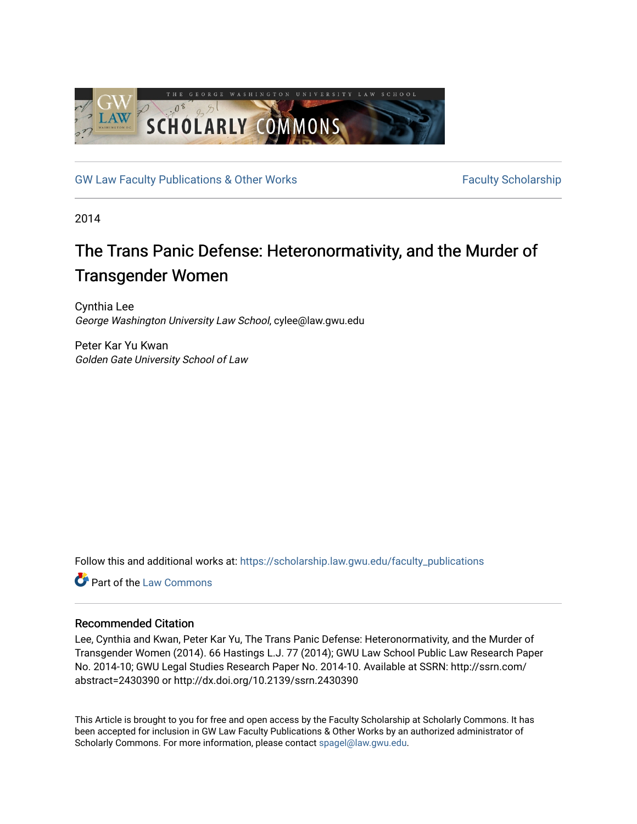

[GW Law Faculty Publications & Other Works](https://scholarship.law.gwu.edu/faculty_publications) Faculty Scholarship

2014

# The Trans Panic Defense: Heteronormativity, and the Murder of Transgender Women

Cynthia Lee George Washington University Law School, cylee@law.gwu.edu

Peter Kar Yu Kwan Golden Gate University School of Law

Follow this and additional works at: [https://scholarship.law.gwu.edu/faculty\\_publications](https://scholarship.law.gwu.edu/faculty_publications?utm_source=scholarship.law.gwu.edu%2Ffaculty_publications%2F1124&utm_medium=PDF&utm_campaign=PDFCoverPages) 

**C** Part of the [Law Commons](http://network.bepress.com/hgg/discipline/578?utm_source=scholarship.law.gwu.edu%2Ffaculty_publications%2F1124&utm_medium=PDF&utm_campaign=PDFCoverPages)

### Recommended Citation

Lee, Cynthia and Kwan, Peter Kar Yu, The Trans Panic Defense: Heteronormativity, and the Murder of Transgender Women (2014). 66 Hastings L.J. 77 (2014); GWU Law School Public Law Research Paper No. 2014-10; GWU Legal Studies Research Paper No. 2014-10. Available at SSRN: http://ssrn.com/ abstract=2430390 or http://dx.doi.org/10.2139/ssrn.2430390

This Article is brought to you for free and open access by the Faculty Scholarship at Scholarly Commons. It has been accepted for inclusion in GW Law Faculty Publications & Other Works by an authorized administrator of Scholarly Commons. For more information, please contact [spagel@law.gwu.edu](mailto:spagel@law.gwu.edu).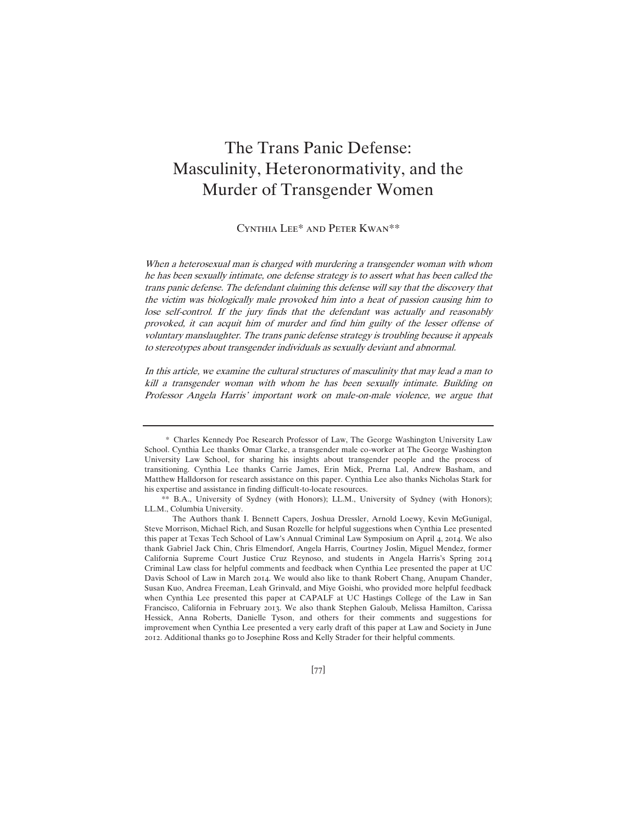## The Trans Panic Defense: Masculinity, Heteronormativity, and the Murder of Transgender Women

Cynthia Lee\* and Peter Kwan\*\*

When a heterosexual man is charged with murdering a transgender woman with whom he has been sexually intimate, one defense strategy is to assert what has been called the trans panic defense. The defendant claiming this defense will say that the discovery that the victim was biologically male provoked him into a heat of passion causing him to lose self-control. If the jury finds that the defendant was actually and reasonably provoked, it can acquit him of murder and find him guilty of the lesser offense of voluntary manslaughter. The trans panic defense strategy is troubling because it appeals to stereotypes about transgender individuals as sexually deviant and abnormal.

In this article, we examine the cultural structures of masculinity that may lead a man to kill a transgender woman with whom he has been sexually intimate. Building on Professor Angela Harris' important work on male-on-male violence, we argue that

 <sup>\*</sup> Charles Kennedy Poe Research Professor of Law, The George Washington University Law School. Cynthia Lee thanks Omar Clarke, a transgender male co-worker at The George Washington University Law School, for sharing his insights about transgender people and the process of transitioning. Cynthia Lee thanks Carrie James, Erin Mick, Prerna Lal, Andrew Basham, and Matthew Halldorson for research assistance on this paper. Cynthia Lee also thanks Nicholas Stark for his expertise and assistance in finding difficult-to-locate resources.

 <sup>\*\*</sup> B.A., University of Sydney (with Honors); LL.M., University of Sydney (with Honors); LL.M., Columbia University.

The Authors thank I. Bennett Capers, Joshua Dressler, Arnold Loewy, Kevin McGunigal, Steve Morrison, Michael Rich, and Susan Rozelle for helpful suggestions when Cynthia Lee presented this paper at Texas Tech School of Law's Annual Criminal Law Symposium on April 4, 2014. We also thank Gabriel Jack Chin, Chris Elmendorf, Angela Harris, Courtney Joslin, Miguel Mendez, former California Supreme Court Justice Cruz Reynoso, and students in Angela Harris's Spring 2014 Criminal Law class for helpful comments and feedback when Cynthia Lee presented the paper at UC Davis School of Law in March 2014. We would also like to thank Robert Chang, Anupam Chander, Susan Kuo, Andrea Freeman, Leah Grinvald, and Miye Goishi, who provided more helpful feedback when Cynthia Lee presented this paper at CAPALF at UC Hastings College of the Law in San Francisco, California in February 2013. We also thank Stephen Galoub, Melissa Hamilton, Carissa Hessick, Anna Roberts, Danielle Tyson, and others for their comments and suggestions for improvement when Cynthia Lee presented a very early draft of this paper at Law and Society in June 2012. Additional thanks go to Josephine Ross and Kelly Strader for their helpful comments.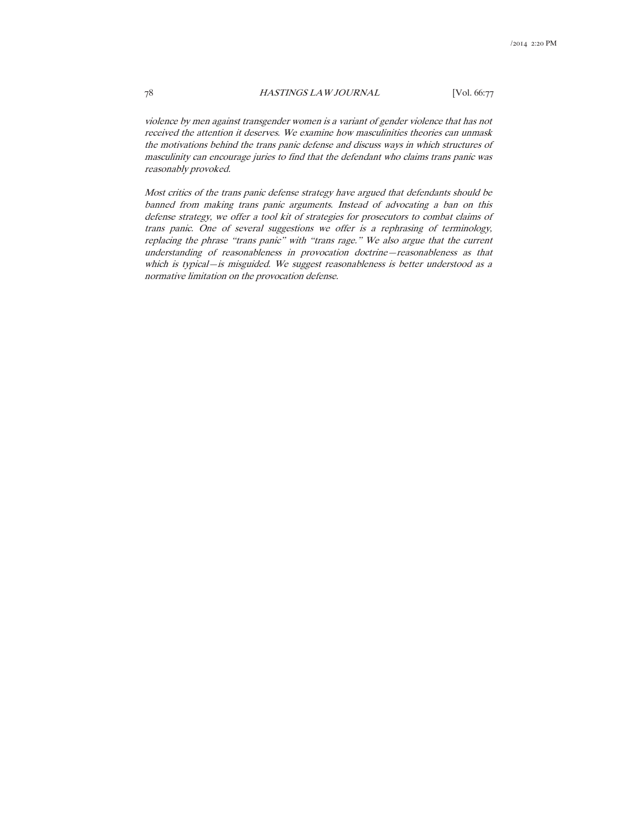violence by men against transgender women is a variant of gender violence that has not received the attention it deserves. We examine how masculinities theories can unmask the motivations behind the trans panic defense and discuss ways in which structures of masculinity can encourage juries to find that the defendant who claims trans panic was reasonably provoked.

Most critics of the trans panic defense strategy have argued that defendants should be banned from making trans panic arguments. Instead of advocating a ban on this defense strategy, we offer a tool kit of strategies for prosecutors to combat claims of trans panic. One of several suggestions we offer is a rephrasing of terminology, replacing the phrase "trans panic" with "trans rage." We also argue that the current understanding of reasonableness in provocation doctrine—reasonableness as that which is typical—is misguided. We suggest reasonableness is better understood as a normative limitation on the provocation defense.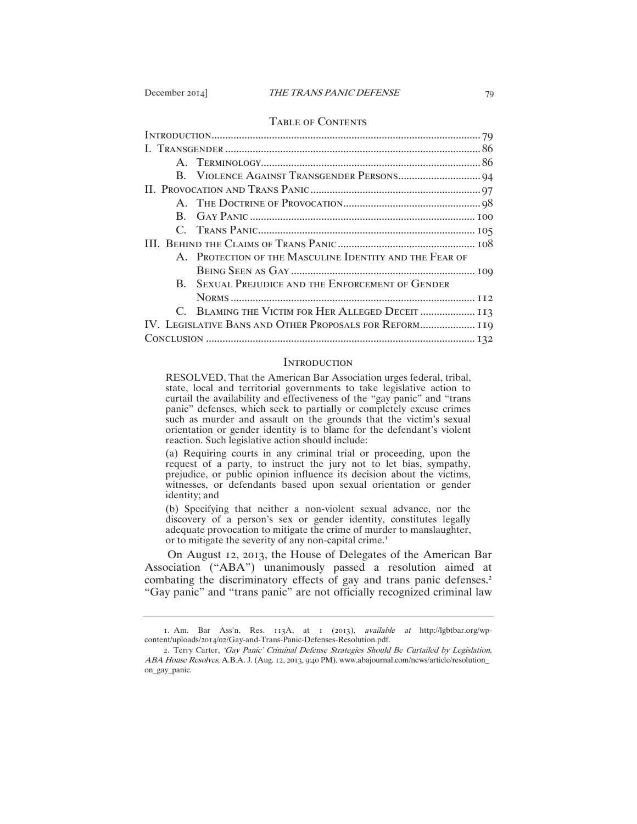#### Table of Contents

|                                                         |  | A. PROTECTION OF THE MASCULINE IDENTITY AND THE FEAR OF  |  |
|---------------------------------------------------------|--|----------------------------------------------------------|--|
|                                                         |  |                                                          |  |
|                                                         |  | <b>B.</b> SEXUAL PREJUDICE AND THE ENFORCEMENT OF GENDER |  |
|                                                         |  |                                                          |  |
|                                                         |  | C. BLAMING THE VICTIM FOR HER ALLEGED DECEIT  113        |  |
| IV. LEGISLATIVE BANS AND OTHER PROPOSALS FOR REFORM 119 |  |                                                          |  |
|                                                         |  |                                                          |  |

#### **INTRODUCTION**

RESOLVED, That the American Bar Association urges federal, tribal, state, local and territorial governments to take legislative action to curtail the availability and effectiveness of the "gay panic" and "trans panic" defenses, which seek to partially or completely excuse crimes such as murder and assault on the grounds that the victim's sexual orientation or gender identity is to blame for the defendant's violent reaction. Such legislative action should include:

(a) Requiring courts in any criminal trial or proceeding, upon the request of a party, to instruct the jury not to let bias, sympathy, prejudice, or public opinion influence its decision about the victims, witnesses, or defendants based upon sexual orientation or gender identity; and

(b) Specifying that neither a non-violent sexual advance, nor the discovery of a person's sex or gender identity, constitutes legally adequate provocation to mitigate the crime of murder to manslaughter, or to mitigate the severity of any non-capital crime.<sup>1</sup>

On August 12, 2013, the House of Delegates of the American Bar Association ("ABA") unanimously passed a resolution aimed at combating the discriminatory effects of gay and trans panic defenses.<sup>2</sup> "Gay panic" and "trans panic" are not officially recognized criminal law

<sup>1</sup>. Am. Bar Ass'n, Res. 113A, at 1 (2013), available at http://lgbtbar.org/wpcontent/uploads/2014/02/Gay-and-Trans-Panic-Defenses-Resolution.pdf.

<sup>2</sup>. Terry Carter, 'Gay Panic' Criminal Defense Strategies Should Be Curtailed by Legislation, ABA House Resolves, A.B.A. J. (Aug. 12, 2013, 9:40 PM), www.abajournal.com/news/article/resolution\_ on\_gay\_panic.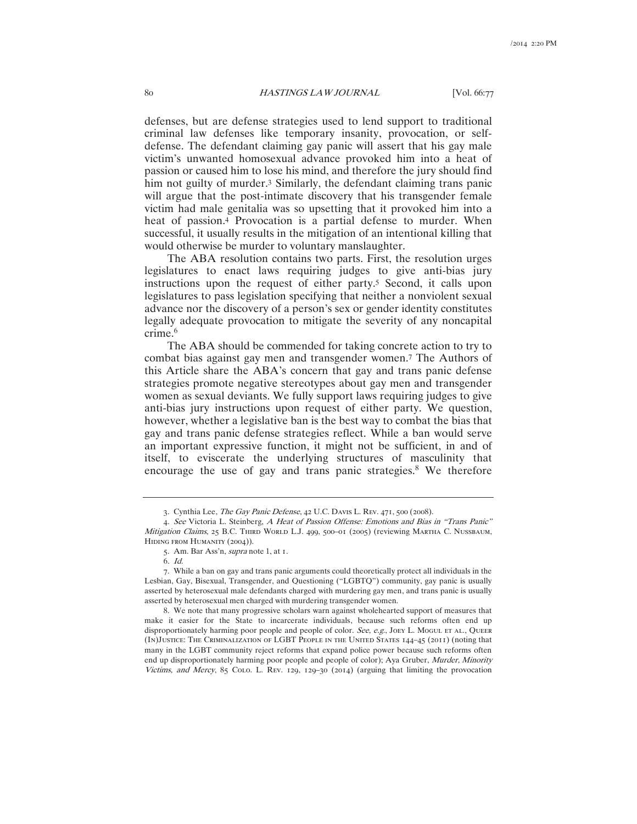defenses, but are defense strategies used to lend support to traditional criminal law defenses like temporary insanity, provocation, or selfdefense. The defendant claiming gay panic will assert that his gay male victim's unwanted homosexual advance provoked him into a heat of passion or caused him to lose his mind, and therefore the jury should find him not guilty of murder.<sup>3</sup> Similarly, the defendant claiming trans panic will argue that the post-intimate discovery that his transgender female victim had male genitalia was so upsetting that it provoked him into a heat of passion.<sup>4</sup> Provocation is a partial defense to murder. When successful, it usually results in the mitigation of an intentional killing that would otherwise be murder to voluntary manslaughter.

The ABA resolution contains two parts. First, the resolution urges legislatures to enact laws requiring judges to give anti-bias jury instructions upon the request of either party.<sup>5</sup> Second, it calls upon legislatures to pass legislation specifying that neither a nonviolent sexual advance nor the discovery of a person's sex or gender identity constitutes legally adequate provocation to mitigate the severity of any noncapital crime.<sup>6</sup>

The ABA should be commended for taking concrete action to try to combat bias against gay men and transgender women.<sup>7</sup> The Authors of this Article share the ABA's concern that gay and trans panic defense strategies promote negative stereotypes about gay men and transgender women as sexual deviants. We fully support laws requiring judges to give anti-bias jury instructions upon request of either party. We question, however, whether a legislative ban is the best way to combat the bias that gay and trans panic defense strategies reflect. While a ban would serve an important expressive function, it might not be sufficient, in and of itself, to eviscerate the underlying structures of masculinity that encourage the use of gay and trans panic strategies.<sup>8</sup> We therefore

<sup>3</sup>. Cynthia Lee, The Gay Panic Defense, 42 U.C. Davis L. Rev. 471, 500 (2008).

<sup>4</sup>. See Victoria L. Steinberg, A Heat of Passion Offense: Emotions and Bias in "Trans Panic" Mitigation Claims, 25 B.C. THIRD WORLD L.J. 499, 500-01 (2005) (reviewing MARTHA C. NUSSBAUM, HIDING FROM HUMANITY (2004)).

<sup>5</sup>. Am. Bar Ass'n, supra note 1, at 1.

<sup>6</sup>. Id.

<sup>7</sup>. While a ban on gay and trans panic arguments could theoretically protect all individuals in the Lesbian, Gay, Bisexual, Transgender, and Questioning ("LGBTQ") community, gay panic is usually asserted by heterosexual male defendants charged with murdering gay men, and trans panic is usually asserted by heterosexual men charged with murdering transgender women.

<sup>8</sup>. We note that many progressive scholars warn against wholehearted support of measures that make it easier for the State to incarcerate individuals, because such reforms often end up disproportionately harming poor people and people of color. See, e.g., Joey L. Mogul ET AL., QUEER (In)Justice: The Criminalization of LGBT People in the United States 144–45 (2011) (noting that many in the LGBT community reject reforms that expand police power because such reforms often end up disproportionately harming poor people and people of color); Aya Gruber, Murder, Minority Victims, and Mercy, 85 Colo. L. Rev. 129, 129-30 (2014) (arguing that limiting the provocation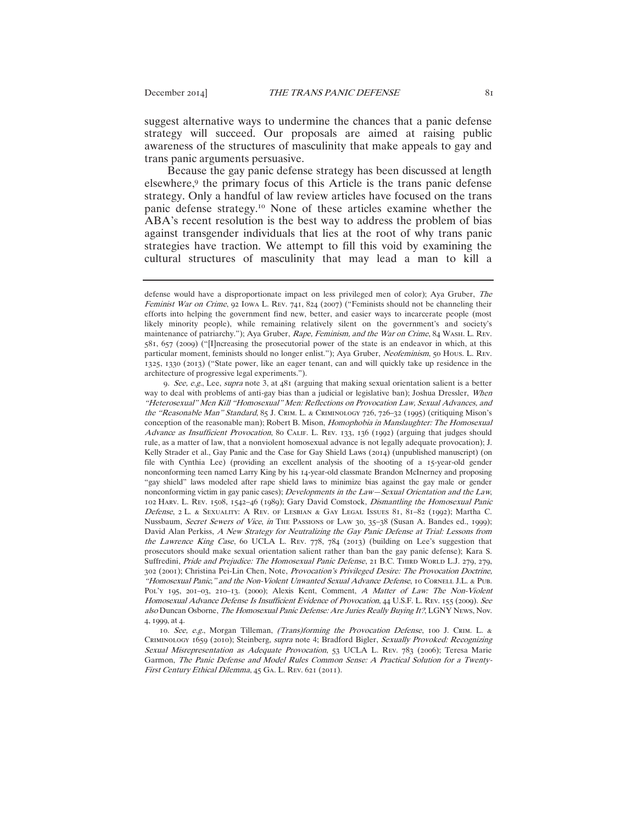suggest alternative ways to undermine the chances that a panic defense strategy will succeed. Our proposals are aimed at raising public awareness of the structures of masculinity that make appeals to gay and trans panic arguments persuasive.

Because the gay panic defense strategy has been discussed at length elsewhere,<sup>9</sup> the primary focus of this Article is the trans panic defense strategy. Only a handful of law review articles have focused on the trans panic defense strategy.<sup>10</sup> None of these articles examine whether the ABA's recent resolution is the best way to address the problem of bias against transgender individuals that lies at the root of why trans panic strategies have traction. We attempt to fill this void by examining the cultural structures of masculinity that may lead a man to kill a

10. See, e.g., Morgan Tilleman, (Trans)forming the Provocation Defense, 100 J. Crim. L. & Criminology 1659 (2010); Steinberg, supra note 4; Bradford Bigler, Sexually Provoked: Recognizing Sexual Misrepresentation as Adequate Provocation, 53 UCLA L. Rev. 783 (2006); Teresa Marie Garmon, The Panic Defense and Model Rules Common Sense: A Practical Solution for a Twenty-First Century Ethical Dilemma, 45 Ga. L. Rev. 621 (2011).

defense would have a disproportionate impact on less privileged men of color); Aya Gruber, The Feminist War on Crime, 92 Iowa L. Rev. 741, 824 (2007) ("Feminists should not be channeling their efforts into helping the government find new, better, and easier ways to incarcerate people (most likely minority people), while remaining relatively silent on the government's and society's maintenance of patriarchy."); Aya Gruber, Rape, Feminism, and the War on Crime, 84 WASH. L. REV. 581, 657 (2009) ("[I]ncreasing the prosecutorial power of the state is an endeavor in which, at this particular moment, feminists should no longer enlist."); Aya Gruber, Neofeminism, 50 Hous. L. Rev. 1325, 1330 (2013) ("State power, like an eager tenant, can and will quickly take up residence in the architecture of progressive legal experiments.").

<sup>9</sup>. See, e.g., Lee, supra note 3, at 481 (arguing that making sexual orientation salient is a better way to deal with problems of anti-gay bias than a judicial or legislative ban); Joshua Dressler, When "Heterosexual" Men Kill "Homosexual" Men: Reflections on Provocation Law, Sexual Advances, and the "Reasonable Man" Standard, 85 J. CRIM. L. & CRIMINOLOGY 726, 726-32 (1995) (critiquing Mison's conception of the reasonable man); Robert B. Mison, Homophobia in Manslaughter: The Homosexual Advance as Insufficient Provocation, 80 CALIF. L. REV. 133, 136 (1992) (arguing that judges should rule, as a matter of law, that a nonviolent homosexual advance is not legally adequate provocation); J. Kelly Strader et al., Gay Panic and the Case for Gay Shield Laws (2014) (unpublished manuscript) (on file with Cynthia Lee) (providing an excellent analysis of the shooting of a 15-year-old gender nonconforming teen named Larry King by his 14-year-old classmate Brandon McInerney and proposing "gay shield" laws modeled after rape shield laws to minimize bias against the gay male or gender nonconforming victim in gay panic cases); *Developments in the Law—Sexual Orientation and the Law*, 102 Harv. L. Rev. 1508, 1542–46 (1989); Gary David Comstock, Dismantling the Homosexual Panic Defense, 2 L. & Sexuality: A Rev. of Lesbian & Gay Legal Issues 81, 81–82 (1992); Martha C. Nussbaum, Secret Sewers of Vice, in The Passions of Law 30, 35-38 (Susan A. Bandes ed., 1999); David Alan Perkiss, A New Strategy for Neutralizing the Gay Panic Defense at Trial: Lessons from the Lawrence King Case, 60 UCLA L. Rev. 778, 784 (2013) (building on Lee's suggestion that prosecutors should make sexual orientation salient rather than ban the gay panic defense); Kara S. Suffredini, Pride and Prejudice: The Homosexual Panic Defense, 21 B.C. THIRD WORLD L.J. 279, 279, 302 (2001); Christina Pei-Lin Chen, Note, Provocation's Privileged Desire: The Provocation Doctrine, "Homosexual Panic," and the Non-Violent Unwanted Sexual Advance Defense, 10 Cornell J.L. & Pub. Pol'y 195, 201–03, 210–13. (2000); Alexis Kent, Comment, A Matter of Law: The Non-Violent Homosexual Advance Defense Is Insufficient Evidence of Provocation, 44 U.S.F. L. Rev. 155 (2009). See also Duncan Osborne, The Homosexual Panic Defense: Are Juries Really Buying It?, LGNY News, Nov. 4, 1999, at 4.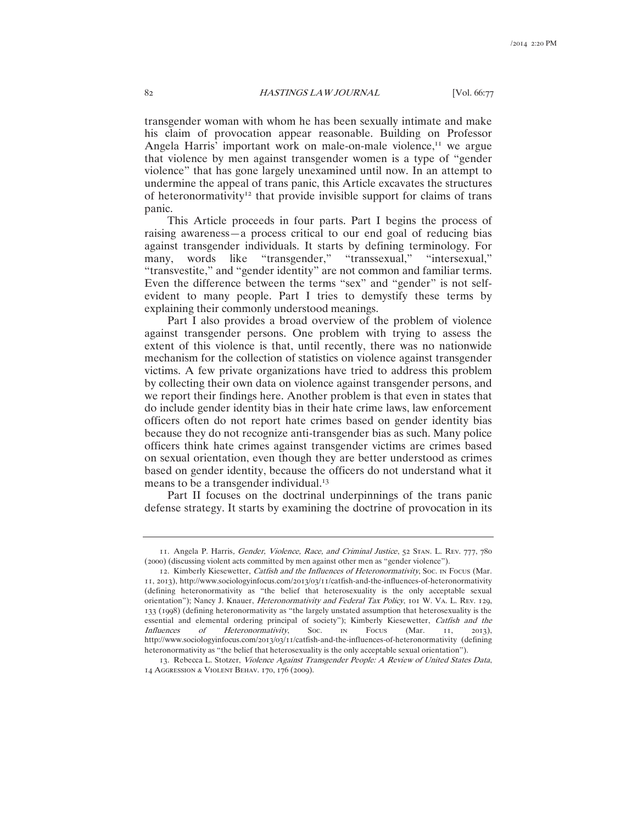transgender woman with whom he has been sexually intimate and make his claim of provocation appear reasonable. Building on Professor Angela Harris' important work on male-on-male violence, $<sup>11</sup>$  we argue</sup> that violence by men against transgender women is a type of "gender violence" that has gone largely unexamined until now. In an attempt to undermine the appeal of trans panic, this Article excavates the structures of heteronormativity<sup>12</sup> that provide invisible support for claims of trans panic.

This Article proceeds in four parts. Part I begins the process of raising awareness—a process critical to our end goal of reducing bias against transgender individuals. It starts by defining terminology. For many, words like "transgender," "transsexual," "intersexual," "transvestite," and "gender identity" are not common and familiar terms. Even the difference between the terms "sex" and "gender" is not selfevident to many people. Part I tries to demystify these terms by explaining their commonly understood meanings.

Part I also provides a broad overview of the problem of violence against transgender persons. One problem with trying to assess the extent of this violence is that, until recently, there was no nationwide mechanism for the collection of statistics on violence against transgender victims. A few private organizations have tried to address this problem by collecting their own data on violence against transgender persons, and we report their findings here. Another problem is that even in states that do include gender identity bias in their hate crime laws, law enforcement officers often do not report hate crimes based on gender identity bias because they do not recognize anti-transgender bias as such. Many police officers think hate crimes against transgender victims are crimes based on sexual orientation, even though they are better understood as crimes based on gender identity, because the officers do not understand what it means to be a transgender individual.<sup>13</sup>

Part II focuses on the doctrinal underpinnings of the trans panic defense strategy. It starts by examining the doctrine of provocation in its

<sup>11</sup>. Angela P. Harris, Gender, Violence, Race, and Criminal Justice, 52 Stan. L. Rev. 777, 780 (2000) (discussing violent acts committed by men against other men as "gender violence").

<sup>12.</sup> Kimberly Kiesewetter, Catfish and the Influences of Heteronormativity, Soc. IN Focus (Mar. 11, 2013), http://www.sociologyinfocus.com/2013/03/11/catfish-and-the-influences-of-heteronormativity (defining heteronormativity as "the belief that heterosexuality is the only acceptable sexual orientation"); Nancy J. Knauer, Heteronormativity and Federal Tax Policy, 101 W. VA. L. REV. 129, 133 (1998) (defining heteronormativity as "the largely unstated assumption that heterosexuality is the essential and elemental ordering principal of society"); Kimberly Kiesewetter, Catfish and the Influences of Heteronormativity, Soc. IN Focus (Mar. 11, 2013), http://www.sociologyinfocus.com/2013/03/11/catfish-and-the-influences-of-heteronormativity (defining heteronormativity as "the belief that heterosexuality is the only acceptable sexual orientation").

<sup>13</sup>. Rebecca L. Stotzer, Violence Against Transgender People: A Review of United States Data, 14 Aggression & Violent Behav. 170, 176 (2009).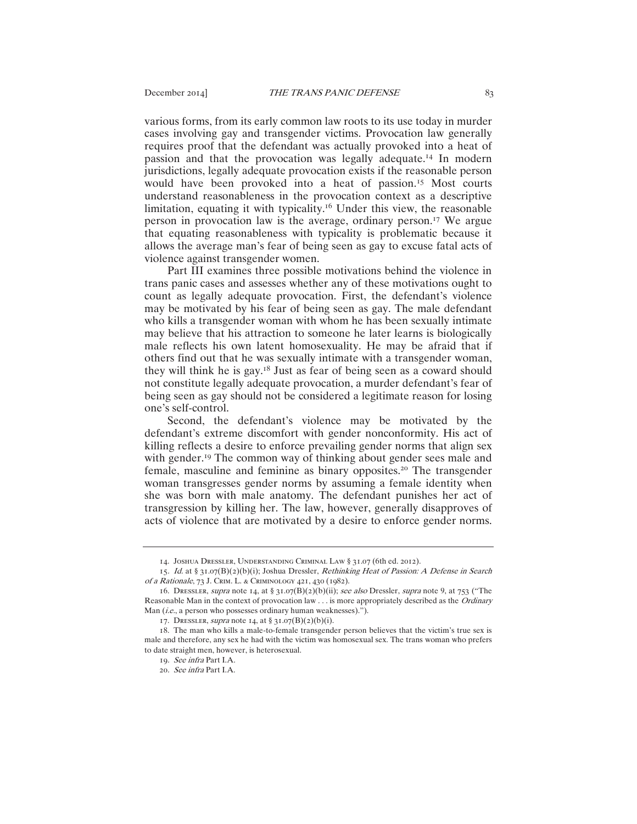various forms, from its early common law roots to its use today in murder cases involving gay and transgender victims. Provocation law generally requires proof that the defendant was actually provoked into a heat of passion and that the provocation was legally adequate.<sup>14</sup> In modern jurisdictions, legally adequate provocation exists if the reasonable person would have been provoked into a heat of passion.<sup>15</sup> Most courts understand reasonableness in the provocation context as a descriptive limitation, equating it with typicality.<sup>16</sup> Under this view, the reasonable person in provocation law is the average, ordinary person.<sup>17</sup> We argue that equating reasonableness with typicality is problematic because it allows the average man's fear of being seen as gay to excuse fatal acts of violence against transgender women.

Part III examines three possible motivations behind the violence in trans panic cases and assesses whether any of these motivations ought to count as legally adequate provocation. First, the defendant's violence may be motivated by his fear of being seen as gay. The male defendant who kills a transgender woman with whom he has been sexually intimate may believe that his attraction to someone he later learns is biologically male reflects his own latent homosexuality. He may be afraid that if others find out that he was sexually intimate with a transgender woman, they will think he is gay.<sup>18</sup> Just as fear of being seen as a coward should not constitute legally adequate provocation, a murder defendant's fear of being seen as gay should not be considered a legitimate reason for losing one's self-control.

Second, the defendant's violence may be motivated by the defendant's extreme discomfort with gender nonconformity. His act of killing reflects a desire to enforce prevailing gender norms that align sex with gender.<sup>19</sup> The common way of thinking about gender sees male and female, masculine and feminine as binary opposites.<sup>20</sup> The transgender woman transgresses gender norms by assuming a female identity when she was born with male anatomy. The defendant punishes her act of transgression by killing her. The law, however, generally disapproves of acts of violence that are motivated by a desire to enforce gender norms.

 <sup>14.</sup> Joshua Dressler, Understanding Criminal Law § 31.07 (6th ed. 2012).

<sup>15</sup>. Id. at § 31.07(B)(2)(b)(i); Joshua Dressler, Rethinking Heat of Passion: A Defense in Search of a Rationale, 73 J. Crim. L. & Criminology 421, 430 (1982).

<sup>16.</sup> DRESSLER, supra note 14, at  $\S 31.07(B)(2)(b)(ii)$ ; see also Dressler, supra note 9, at 753 ("The Reasonable Man in the context of provocation law . . . is more appropriately described as the Ordinary Man (i.e., a person who possesses ordinary human weaknesses).").

<sup>17.</sup> DRESSLER, *supra* note 14, at  $\S 31.07(B)(2)(b)(i)$ .

<sup>18</sup>. The man who kills a male-to-female transgender person believes that the victim's true sex is male and therefore, any sex he had with the victim was homosexual sex. The trans woman who prefers to date straight men, however, is heterosexual.

<sup>19</sup>. See infra Part I.A.

<sup>20</sup>. See infra Part I.A.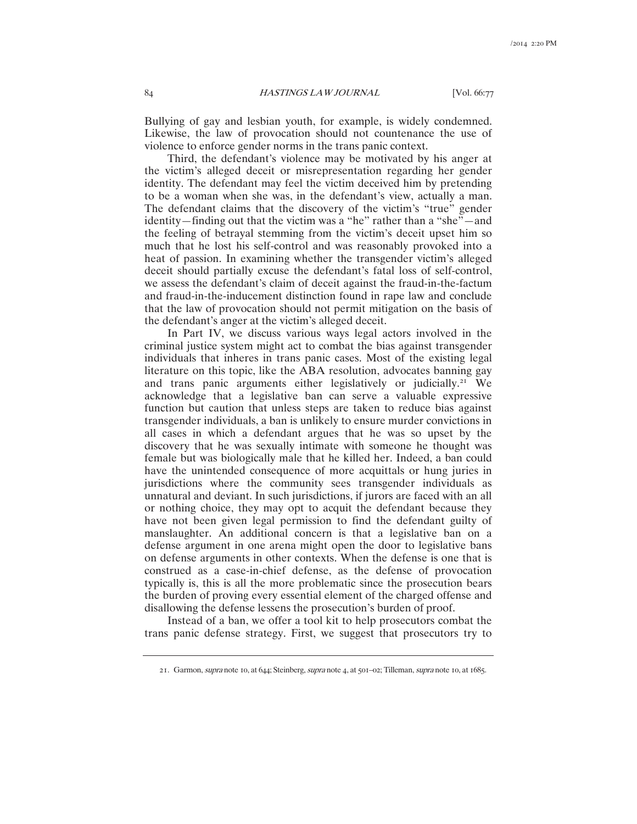Bullying of gay and lesbian youth, for example, is widely condemned. Likewise, the law of provocation should not countenance the use of violence to enforce gender norms in the trans panic context.

Third, the defendant's violence may be motivated by his anger at the victim's alleged deceit or misrepresentation regarding her gender identity. The defendant may feel the victim deceived him by pretending to be a woman when she was, in the defendant's view, actually a man. The defendant claims that the discovery of the victim's "true" gender identity—finding out that the victim was a "he" rather than a "she"—and the feeling of betrayal stemming from the victim's deceit upset him so much that he lost his self-control and was reasonably provoked into a heat of passion. In examining whether the transgender victim's alleged deceit should partially excuse the defendant's fatal loss of self-control, we assess the defendant's claim of deceit against the fraud-in-the-factum and fraud-in-the-inducement distinction found in rape law and conclude that the law of provocation should not permit mitigation on the basis of the defendant's anger at the victim's alleged deceit.

In Part IV, we discuss various ways legal actors involved in the criminal justice system might act to combat the bias against transgender individuals that inheres in trans panic cases. Most of the existing legal literature on this topic, like the ABA resolution, advocates banning gay and trans panic arguments either legislatively or judicially.<sup>21</sup> We acknowledge that a legislative ban can serve a valuable expressive function but caution that unless steps are taken to reduce bias against transgender individuals, a ban is unlikely to ensure murder convictions in all cases in which a defendant argues that he was so upset by the discovery that he was sexually intimate with someone he thought was female but was biologically male that he killed her. Indeed, a ban could have the unintended consequence of more acquittals or hung juries in jurisdictions where the community sees transgender individuals as unnatural and deviant. In such jurisdictions, if jurors are faced with an all or nothing choice, they may opt to acquit the defendant because they have not been given legal permission to find the defendant guilty of manslaughter. An additional concern is that a legislative ban on a defense argument in one arena might open the door to legislative bans on defense arguments in other contexts. When the defense is one that is construed as a case-in-chief defense, as the defense of provocation typically is, this is all the more problematic since the prosecution bears the burden of proving every essential element of the charged offense and disallowing the defense lessens the prosecution's burden of proof.

Instead of a ban, we offer a tool kit to help prosecutors combat the trans panic defense strategy. First, we suggest that prosecutors try to

<sup>21</sup>. Garmon, supra note 10, at 644; Steinberg, supra note 4, at 501–02; Tilleman, supra note 10, at 1685.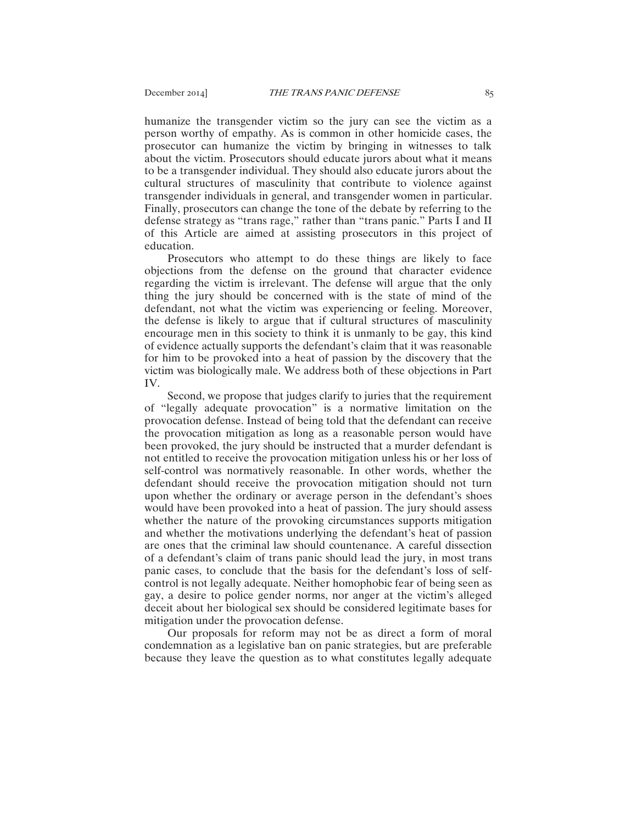humanize the transgender victim so the jury can see the victim as a person worthy of empathy. As is common in other homicide cases, the prosecutor can humanize the victim by bringing in witnesses to talk about the victim. Prosecutors should educate jurors about what it means to be a transgender individual. They should also educate jurors about the cultural structures of masculinity that contribute to violence against transgender individuals in general, and transgender women in particular. Finally, prosecutors can change the tone of the debate by referring to the defense strategy as "trans rage," rather than "trans panic." Parts I and II of this Article are aimed at assisting prosecutors in this project of education.

Prosecutors who attempt to do these things are likely to face objections from the defense on the ground that character evidence regarding the victim is irrelevant. The defense will argue that the only thing the jury should be concerned with is the state of mind of the defendant, not what the victim was experiencing or feeling. Moreover, the defense is likely to argue that if cultural structures of masculinity encourage men in this society to think it is unmanly to be gay, this kind of evidence actually supports the defendant's claim that it was reasonable for him to be provoked into a heat of passion by the discovery that the victim was biologically male. We address both of these objections in Part IV.

Second, we propose that judges clarify to juries that the requirement of "legally adequate provocation" is a normative limitation on the provocation defense. Instead of being told that the defendant can receive the provocation mitigation as long as a reasonable person would have been provoked, the jury should be instructed that a murder defendant is not entitled to receive the provocation mitigation unless his or her loss of self-control was normatively reasonable. In other words, whether the defendant should receive the provocation mitigation should not turn upon whether the ordinary or average person in the defendant's shoes would have been provoked into a heat of passion. The jury should assess whether the nature of the provoking circumstances supports mitigation and whether the motivations underlying the defendant's heat of passion are ones that the criminal law should countenance. A careful dissection of a defendant's claim of trans panic should lead the jury, in most trans panic cases, to conclude that the basis for the defendant's loss of selfcontrol is not legally adequate. Neither homophobic fear of being seen as gay, a desire to police gender norms, nor anger at the victim's alleged deceit about her biological sex should be considered legitimate bases for mitigation under the provocation defense.

Our proposals for reform may not be as direct a form of moral condemnation as a legislative ban on panic strategies, but are preferable because they leave the question as to what constitutes legally adequate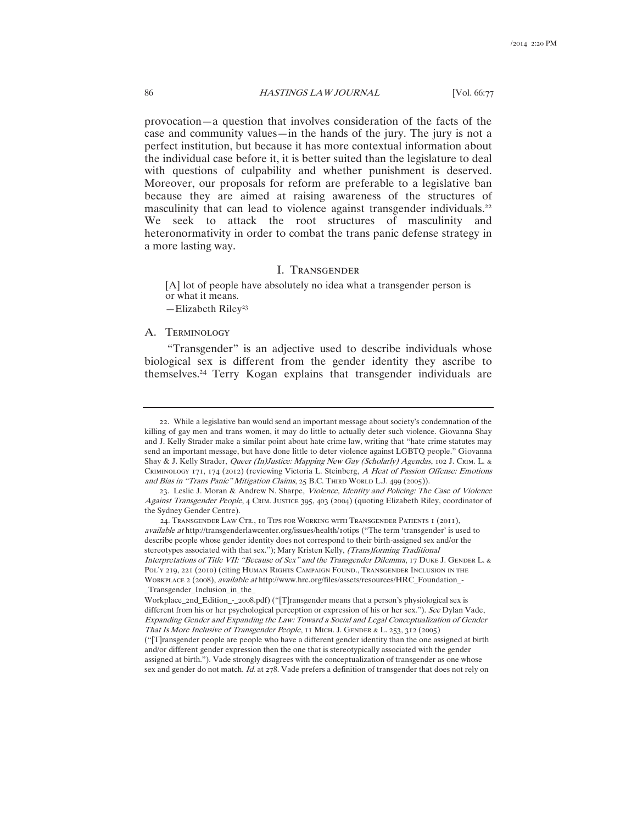provocation—a question that involves consideration of the facts of the case and community values—in the hands of the jury. The jury is not a perfect institution, but because it has more contextual information about the individual case before it, it is better suited than the legislature to deal with questions of culpability and whether punishment is deserved. Moreover, our proposals for reform are preferable to a legislative ban because they are aimed at raising awareness of the structures of masculinity that can lead to violence against transgender individuals.<sup>22</sup> We seek to attack the root structures of masculinity and heteronormativity in order to combat the trans panic defense strategy in a more lasting way.

### I. Transgender

[A] lot of people have absolutely no idea what a transgender person is or what it means.

 $-Elizabeth Riley<sup>23</sup>$ 

#### A. Terminology

"Transgender" is an adjective used to describe individuals whose biological sex is different from the gender identity they ascribe to themselves.<sup>24</sup> Terry Kogan explains that transgender individuals are

<sup>22</sup>. While a legislative ban would send an important message about society's condemnation of the killing of gay men and trans women, it may do little to actually deter such violence. Giovanna Shay and J. Kelly Strader make a similar point about hate crime law, writing that "hate crime statutes may send an important message, but have done little to deter violence against LGBTQ people." Giovanna Shay & J. Kelly Strader, Queer (In)Justice: Mapping New Gay (Scholarly) Agendas, 102 J. CRIM. L. & Criminology 171, 174 (2012) (reviewing Victoria L. Steinberg, A Heat of Passion Offense: Emotions and Bias in "Trans Panic" Mitigation Claims, 25 B.C. THIRD WORLD L.J. 499 (2005)).

<sup>23</sup>. Leslie J. Moran & Andrew N. Sharpe, Violence, Identity and Policing: The Case of Violence Against Transgender People, 4 Crim. Justice 395, 403 (2004) (quoting Elizabeth Riley, coordinator of the Sydney Gender Centre).

24. Transgender Law Ctr., 10 Tips for Working with Transgender Patients 1 (2011), available at http://transgenderlawcenter.org/issues/health/10tips ("The term 'transgender' is used to describe people whose gender identity does not correspond to their birth-assigned sex and/or the stereotypes associated with that sex."); Mary Kristen Kelly, (Trans)forming Traditional Interpretations of Title VII: "Because of Sex" and the Transgender Dilemma, 17 DUKE J. GENDER L. & Pol'y 219, 221 (2010) (citing Human Rights Campaign Found., Transgender Inclusion in the WORKPLACE 2 (2008), *available at* http://www.hrc.org/files/assets/resources/HRC\_Foundation\_-\_Transgender\_Inclusion\_in\_the\_

Workplace\_2nd\_Edition\_-\_2008.pdf) ("[T]ransgender means that a person's physiological sex is different from his or her psychological perception or expression of his or her sex."). See Dylan Vade, Expanding Gender and Expanding the Law: Toward a Social and Legal Conceptualization of Gender That Is More Inclusive of Transgender People, 11 MICH. J. GENDER & L. 253, 312 (2005) ("[T]ransgender people are people who have a different gender identity than the one assigned at birth and/or different gender expression then the one that is stereotypically associated with the gender assigned at birth."). Vade strongly disagrees with the conceptualization of transgender as one whose sex and gender do not match. Id. at 278. Vade prefers a definition of transgender that does not rely on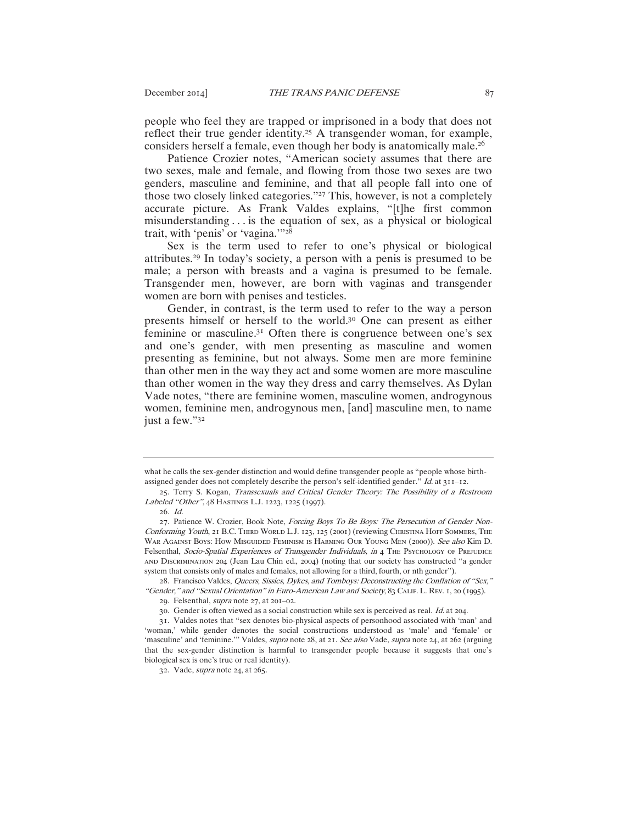people who feel they are trapped or imprisoned in a body that does not reflect their true gender identity.<sup>25</sup> A transgender woman, for example, considers herself a female, even though her body is anatomically male.<sup>26</sup>

Patience Crozier notes, "American society assumes that there are two sexes, male and female, and flowing from those two sexes are two genders, masculine and feminine, and that all people fall into one of those two closely linked categories."<sup>27</sup> This, however, is not a completely accurate picture. As Frank Valdes explains, "[t]he first common misunderstanding . . . is the equation of sex, as a physical or biological trait, with 'penis' or 'vagina.'"<sup>28</sup>

Sex is the term used to refer to one's physical or biological attributes.<sup>29</sup> In today's society, a person with a penis is presumed to be male; a person with breasts and a vagina is presumed to be female. Transgender men, however, are born with vaginas and transgender women are born with penises and testicles.

Gender, in contrast, is the term used to refer to the way a person presents himself or herself to the world.<sup>30</sup> One can present as either feminine or masculine.<sup>31</sup> Often there is congruence between one's sex and one's gender, with men presenting as masculine and women presenting as feminine, but not always. Some men are more feminine than other men in the way they act and some women are more masculine than other women in the way they dress and carry themselves. As Dylan Vade notes, "there are feminine women, masculine women, androgynous women, feminine men, androgynous men, [and] masculine men, to name just a few."<sup>32</sup>

what he calls the sex-gender distinction and would define transgender people as "people whose birthassigned gender does not completely describe the person's self-identified gender." Id. at 311–12.

<sup>25</sup>. Terry S. Kogan, Transsexuals and Critical Gender Theory: The Possibility of a Restroom Labeled "Other", 48 Hastings L.J. 1223, 1225 (1997).

<sup>26</sup>. Id.

<sup>27.</sup> Patience W. Crozier, Book Note, Forcing Boys To Be Boys: The Persecution of Gender Non-Conforming Youth, 21 B.C. THIRD WORLD L.J. 123, 125 (2001) (reviewing CHRISTINA HOFF SOMMERS, THE WAR AGAINST BOYS: HOW MISGUIDED FEMINISM IS HARMING OUR YOUNG MEN (2000)). See also Kim D. Felsenthal, Socio-Spatial Experiences of Transgender Individuals, in 4 THE PSYCHOLOGY OF PREJUDICE and Discrimination 204 (Jean Lau Chin ed., 2004) (noting that our society has constructed "a gender system that consists only of males and females, not allowing for a third, fourth, or nth gender").

<sup>28</sup>. Francisco Valdes, Queers, Sissies, Dykes, and Tomboys: Deconstructing the Conflation of "Sex," "Gender," and "Sexual Orientation" in Euro-American Law and Society, 83 CALIF. L. REV. 1, 20 (1995).

<sup>29</sup>. Felsenthal, supra note 27, at 201–02.

<sup>30</sup>. Gender is often viewed as a social construction while sex is perceived as real. Id. at 204.

<sup>31</sup>. Valdes notes that "sex denotes bio-physical aspects of personhood associated with 'man' and 'woman,' while gender denotes the social constructions understood as 'male' and 'female' or 'masculine' and 'feminine.'" Valdes, *supra* note 28, at 21. See also Vade, supra note 24, at 262 (arguing that the sex-gender distinction is harmful to transgender people because it suggests that one's biological sex is one's true or real identity).

<sup>32</sup>. Vade, supra note 24, at 265.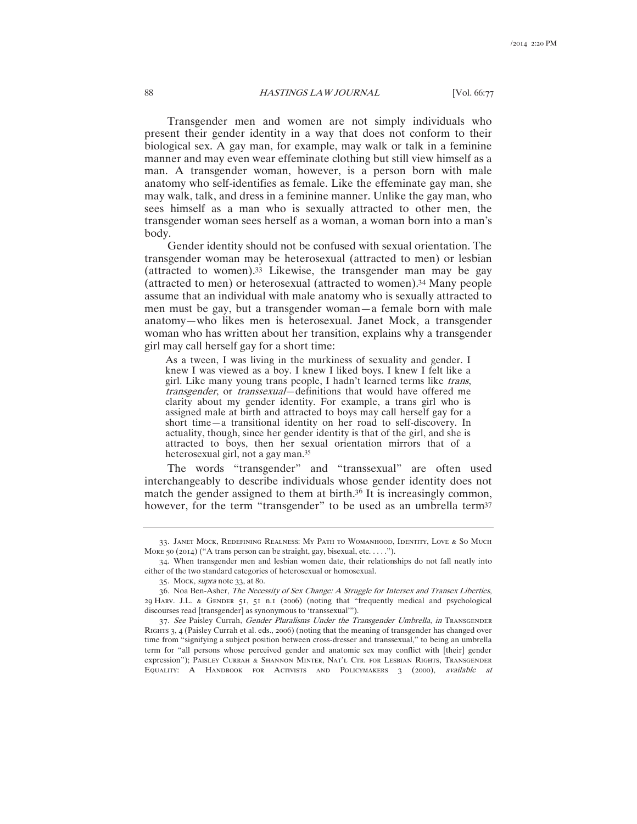Transgender men and women are not simply individuals who present their gender identity in a way that does not conform to their biological sex. A gay man, for example, may walk or talk in a feminine manner and may even wear effeminate clothing but still view himself as a man. A transgender woman, however, is a person born with male anatomy who self-identifies as female. Like the effeminate gay man, she may walk, talk, and dress in a feminine manner. Unlike the gay man, who sees himself as a man who is sexually attracted to other men, the transgender woman sees herself as a woman, a woman born into a man's body.

Gender identity should not be confused with sexual orientation. The transgender woman may be heterosexual (attracted to men) or lesbian (attracted to women).<sup>33</sup> Likewise, the transgender man may be gay (attracted to men) or heterosexual (attracted to women).<sup>34</sup> Many people assume that an individual with male anatomy who is sexually attracted to men must be gay, but a transgender woman—a female born with male anatomy—who likes men is heterosexual. Janet Mock, a transgender woman who has written about her transition, explains why a transgender girl may call herself gay for a short time:

As a tween, I was living in the murkiness of sexuality and gender. I knew I was viewed as a boy. I knew I liked boys. I knew I felt like a girl. Like many young trans people, I hadn't learned terms like *trans*, transgender, or transsexual—definitions that would have offered me clarity about my gender identity. For example, a trans girl who is assigned male at birth and attracted to boys may call herself gay for a short time—a transitional identity on her road to self-discovery. In actuality, though, since her gender identity is that of the girl, and she is attracted to boys, then her sexual orientation mirrors that of a heterosexual girl, not a gay man.<sup>35</sup>

The words "transgender" and "transsexual" are often used interchangeably to describe individuals whose gender identity does not match the gender assigned to them at birth.<sup>36</sup> It is increasingly common, however, for the term "transgender" to be used as an umbrella term<sup>37</sup>

 <sup>33.</sup> Janet Mock, Redefining Realness: My Path to Womanhood, Identity, Love & So Much More 50 (2014) ("A trans person can be straight, gay, bisexual, etc. . . . .").

<sup>34</sup>. When transgender men and lesbian women date, their relationships do not fall neatly into either of the two standard categories of heterosexual or homosexual.

 <sup>35.</sup> Mock, supra note 33, at 80.

<sup>36</sup>. Noa Ben-Asher, The Necessity of Sex Change: A Struggle for Intersex and Transex Liberties, 29 HARV. J.L. & GENDER 51, 51 n.1 (2006) (noting that "frequently medical and psychological discourses read [transgender] as synonymous to 'transsexual'").

<sup>37</sup>. See Paisley Currah, Gender Pluralisms Under the Transgender Umbrella, in Transgender Rights 3, 4 (Paisley Currah et al. eds., 2006) (noting that the meaning of transgender has changed over time from "signifying a subject position between cross-dresser and transsexual," to being an umbrella term for "all persons whose perceived gender and anatomic sex may conflict with [their] gender expression"); Paisley Currah & Shannon Minter, Nat'l Ctr. for Lesbian Rights, Transgender EQUALITY: A HANDBOOK FOR ACTIVISTS AND POLICYMAKERS 3 (2000), available at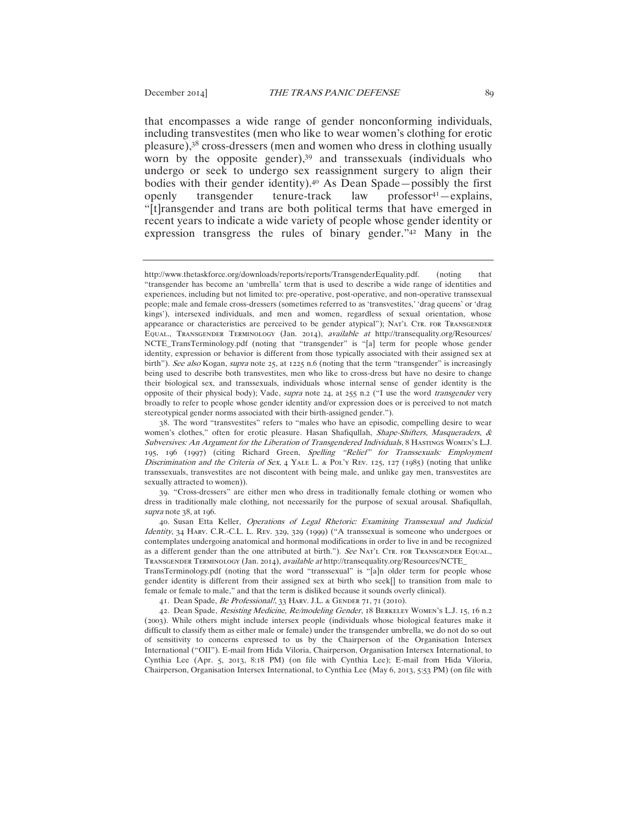that encompasses a wide range of gender nonconforming individuals, including transvestites (men who like to wear women's clothing for erotic pleasure),<sup>38</sup> cross-dressers (men and women who dress in clothing usually worn by the opposite gender),<sup>39</sup> and transsexuals (individuals who undergo or seek to undergo sex reassignment surgery to align their bodies with their gender identity).<sup>40</sup> As Dean Spade—possibly the first openly transgender tenure-track law professor<sup>41</sup> explains, "[t]ransgender and trans are both political terms that have emerged in recent years to indicate a wide variety of people whose gender identity or expression transgress the rules of binary gender."<sup>42</sup> Many in the

http://www.thetaskforce.org/downloads/reports/reports/TransgenderEquality.pdf. (noting that "transgender has become an 'umbrella' term that is used to describe a wide range of identities and experiences, including but not limited to: pre-operative, post-operative, and non-operative transsexual people; male and female cross-dressers (sometimes referred to as 'transvestites,' 'drag queens' or 'drag kings'), intersexed individuals, and men and women, regardless of sexual orientation, whose appearance or characteristics are perceived to be gender atypical"); NAT'L CTR. FOR TRANSGENDER EQUAL., TRANSGENDER TERMINOLOGY (Jan. 2014), available at http://transequality.org/Resources/ NCTE\_TransTerminology.pdf (noting that "transgender" is "[a] term for people whose gender identity, expression or behavior is different from those typically associated with their assigned sex at birth"). See also Kogan, supra note 25, at 1225 n.6 (noting that the term "transgender" is increasingly being used to describe both transvestites, men who like to cross-dress but have no desire to change their biological sex, and transsexuals, individuals whose internal sense of gender identity is the opposite of their physical body); Vade, supra note 24, at 255 n.2 ("I use the word transgender very broadly to refer to people whose gender identity and/or expression does or is perceived to not match stereotypical gender norms associated with their birth-assigned gender.").

<sup>38</sup>. The word "transvestites" refers to "males who have an episodic, compelling desire to wear women's clothes," often for erotic pleasure. Hasan Shafiqullah, Shape-Shifters, Masqueraders, & Subversives: An Argument for the Liberation of Transgendered Individuals, 8 Hastings Women's L.J. 195, 196 (1997) (citing Richard Green, Spelling "Relief" for Transsexuals: Employment Discrimination and the Criteria of Sex, 4 YALE L. & POL'Y REV. 125, 127 (1985) (noting that unlike transsexuals, transvestites are not discontent with being male, and unlike gay men, transvestites are sexually attracted to women)).

<sup>39</sup>. "Cross-dressers" are either men who dress in traditionally female clothing or women who dress in traditionally male clothing, not necessarily for the purpose of sexual arousal. Shafiqullah, supra note 38, at 196.

<sup>40</sup>. Susan Etta Keller, Operations of Legal Rhetoric: Examining Transsexual and Judicial Identity, 34 Harv. C.R.-C.L. L. Rev. 329, 329 (1999) ("A transsexual is someone who undergoes or contemplates undergoing anatomical and hormonal modifications in order to live in and be recognized as a different gender than the one attributed at birth."). See NAT'L CTR. FOR TRANSGENDER EQUAL., Transgender Terminology (Jan. 2014), available at http://transequality.org/Resources/NCTE\_

TransTerminology.pdf (noting that the word "transsexual" is "[a]n older term for people whose gender identity is different from their assigned sex at birth who seek[] to transition from male to female or female to male," and that the term is disliked because it sounds overly clinical).

<sup>41.</sup> Dean Spade, Be Professional!, 33 HARV. J.L. & GENDER 71, 71 (2010).

<sup>42.</sup> Dean Spade, Resisting Medicine, Re/modeling Gender, 18 BERKELEY WOMEN'S L.J. 15, 16 n.2 (2003). While others might include intersex people (individuals whose biological features make it difficult to classify them as either male or female) under the transgender umbrella, we do not do so out of sensitivity to concerns expressed to us by the Chairperson of the Organisation Intersex International ("OII"). E-mail from Hida Viloria, Chairperson, Organisation Intersex International, to Cynthia Lee (Apr. 5, 2013, 8:18 PM) (on file with Cynthia Lee); E-mail from Hida Viloria, Chairperson, Organisation Intersex International, to Cynthia Lee (May 6, 2013, 5:53 PM) (on file with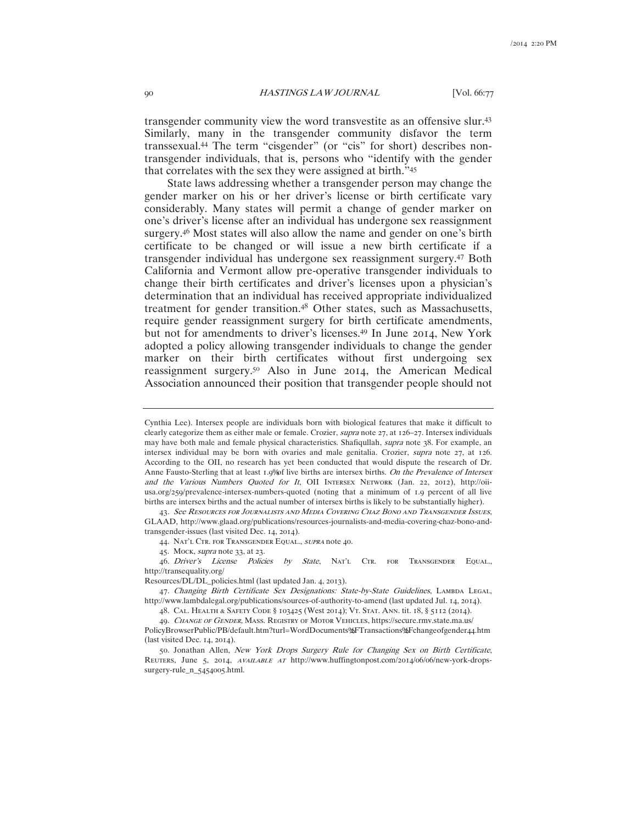transgender community view the word transvestite as an offensive slur.<sup>43</sup> Similarly, many in the transgender community disfavor the term transsexual.44 The term "cisgender" (or "cis" for short) describes nontransgender individuals, that is, persons who "identify with the gender that correlates with the sex they were assigned at birth."<sup>45</sup>

State laws addressing whether a transgender person may change the gender marker on his or her driver's license or birth certificate vary considerably. Many states will permit a change of gender marker on one's driver's license after an individual has undergone sex reassignment surgery.<sup>46</sup> Most states will also allow the name and gender on one's birth certificate to be changed or will issue a new birth certificate if a transgender individual has undergone sex reassignment surgery.<sup>47</sup> Both California and Vermont allow pre-operative transgender individuals to change their birth certificates and driver's licenses upon a physician's determination that an individual has received appropriate individualized treatment for gender transition.<sup>48</sup> Other states, such as Massachusetts, require gender reassignment surgery for birth certificate amendments, but not for amendments to driver's licenses.<sup>49</sup> In June 2014, New York adopted a policy allowing transgender individuals to change the gender marker on their birth certificates without first undergoing sex reassignment surgery.<sup>50</sup> Also in June 2014, the American Medical Association announced their position that transgender people should not

Cynthia Lee). Intersex people are individuals born with biological features that make it difficult to clearly categorize them as either male or female. Crozier, supra note 27, at 126-27. Intersex individuals may have both male and female physical characteristics. Shafiqullah, *supra* note 38. For example, an intersex individual may be born with ovaries and male genitalia. Crozier, supra note 27, at 126. According to the OII, no research has yet been conducted that would dispute the research of Dr. Anne Fausto-Sterling that at least 1.9% of live births are intersex births. On the Prevalence of Intersex and the Various Numbers Quoted for It, OII Intersex Network (Jan. 22, 2012), http://oiiusa.org/259/prevalence-intersex-numbers-quoted (noting that a minimum of 1.9 percent of all live births are intersex births and the actual number of intersex births is likely to be substantially higher).

<sup>43</sup>. See Resources for Journalists and Media Covering Chaz Bono and Transgender Issues, GLAAD, http://www.glaad.org/publications/resources-journalists-and-media-covering-chaz-bono-andtransgender-issues (last visited Dec. 14, 2014).

<sup>44.</sup> NAT'L CTR. FOR TRANSGENDER EQUAL., SUPRA note 40.

 <sup>45.</sup> Mock, supra note 33, at 23.

<sup>46.</sup> Driver's License Policies by State, NAT'L CTR. FOR TRANSGENDER EQUAL., http://transequality.org/

Resources/DL/DL\_policies.html (last updated Jan. 4, 2013).

<sup>47.</sup> Changing Birth Certificate Sex Designations: State-by-State Guidelines, LAMBDA LEGAL, http://www.lambdalegal.org/publications/sources-of-authority-to-amend (last updated Jul. 14, 2014).

 <sup>48.</sup> Cal. Health & Safety Code § 103425 (West 2014); Vt. Stat. Ann. tit. 18, § 5112 (2014).

<sup>49.</sup> CHANGE OF GENDER, MASS. REGISTRY OF MOTOR VEHICLES, https://secure.rmv.state.ma.us/ PolicyBrowserPublic/PB/default.htm?turl=WordDocuments%2FTransactions%2Fchangeofgender44.htm (last visited Dec. 14, 2014).

<sup>50</sup>. Jonathan Allen, New York Drops Surgery Rule for Changing Sex on Birth Certificate, Reuters, June 5, 2014, available at http://www.huffingtonpost.com/2014/06/06/new-york-dropssurgery-rule\_n\_5454005.html.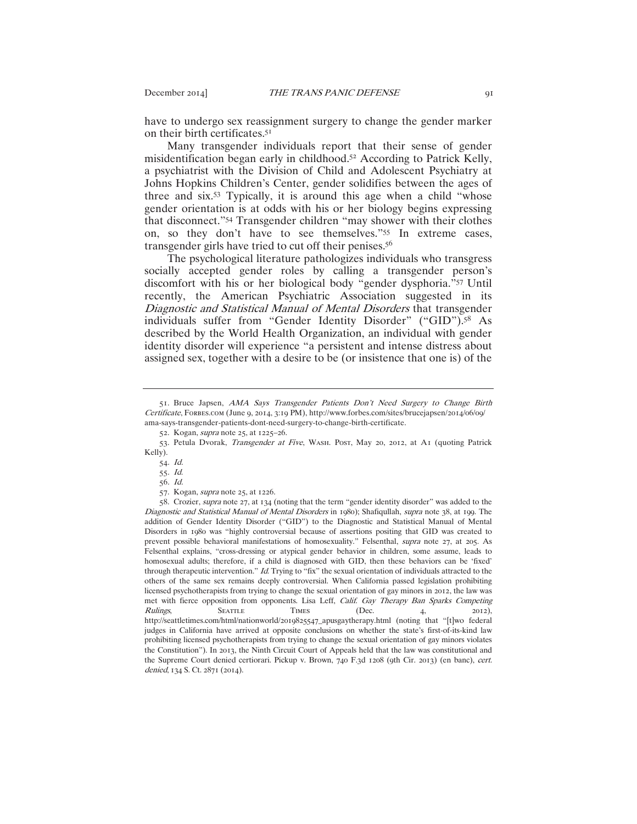have to undergo sex reassignment surgery to change the gender marker on their birth certificates.<sup>51</sup>

Many transgender individuals report that their sense of gender misidentification began early in childhood.<sup>52</sup> According to Patrick Kelly, a psychiatrist with the Division of Child and Adolescent Psychiatry at Johns Hopkins Children's Center, gender solidifies between the ages of three and six.<sup>53</sup> Typically, it is around this age when a child "whose gender orientation is at odds with his or her biology begins expressing that disconnect."<sup>54</sup> Transgender children "may shower with their clothes on, so they don't have to see themselves."<sup>55</sup> In extreme cases, transgender girls have tried to cut off their penises.<sup>56</sup>

The psychological literature pathologizes individuals who transgress socially accepted gender roles by calling a transgender person's discomfort with his or her biological body "gender dysphoria."<sup>57</sup> Until recently, the American Psychiatric Association suggested in its Diagnostic and Statistical Manual of Mental Disorders that transgender individuals suffer from "Gender Identity Disorder" ("GID").<sup>58</sup> As described by the World Health Organization, an individual with gender identity disorder will experience "a persistent and intense distress about assigned sex, together with a desire to be (or insistence that one is) of the

<sup>51</sup>. Bruce Japsen, AMA Says Transgender Patients Don't Need Surgery to Change Birth Certificate, Forbes.com (June 9, 2014, 3:19 PM), http://www.forbes.com/sites/brucejapsen/2014/06/09/ ama-says-transgender-patients-dont-need-surgery-to-change-birth-certificate.

<sup>52</sup>. Kogan, supra note 25, at 1225–26.

<sup>53.</sup> Petula Dvorak, Transgender at Five, WASH. Post, May 20, 2012, at A1 (quoting Patrick Kelly).

<sup>54</sup>. Id.

<sup>55</sup>. Id.

<sup>56</sup>. Id.

<sup>57</sup>. Kogan, supra note 25, at 1226.

<sup>58</sup>. Crozier, supra note 27, at 134 (noting that the term "gender identity disorder" was added to the Diagnostic and Statistical Manual of Mental Disorders in 1980); Shafiqullah, supra note 38, at 199. The addition of Gender Identity Disorder ("GID") to the Diagnostic and Statistical Manual of Mental Disorders in 1980 was "highly controversial because of assertions positing that GID was created to prevent possible behavioral manifestations of homosexuality." Felsenthal, supra note 27, at 205. As Felsenthal explains, "cross-dressing or atypical gender behavior in children, some assume, leads to homosexual adults; therefore, if a child is diagnosed with GID, then these behaviors can be 'fixed' through therapeutic intervention." Id. Trying to "fix" the sexual orientation of individuals attracted to the others of the same sex remains deeply controversial. When California passed legislation prohibiting licensed psychotherapists from trying to change the sexual orientation of gay minors in 2012, the law was met with fierce opposition from opponents. Lisa Leff, Calif. Gay Therapy Ban Sparks Competing Rulings, SEATTLE TIMES (Dec. 4, 2012), http://seattletimes.com/html/nationworld/2019825547\_apusgaytherapy.html (noting that "[t]wo federal judges in California have arrived at opposite conclusions on whether the state's first-of-its-kind law prohibiting licensed psychotherapists from trying to change the sexual orientation of gay minors violates the Constitution"). In 2013, the Ninth Circuit Court of Appeals held that the law was constitutional and the Supreme Court denied certiorari. Pickup v. Brown, 740 F.3d 1208 (9th Cir. 2013) (en banc), cert. denied, 134 S. Ct. 2871 (2014).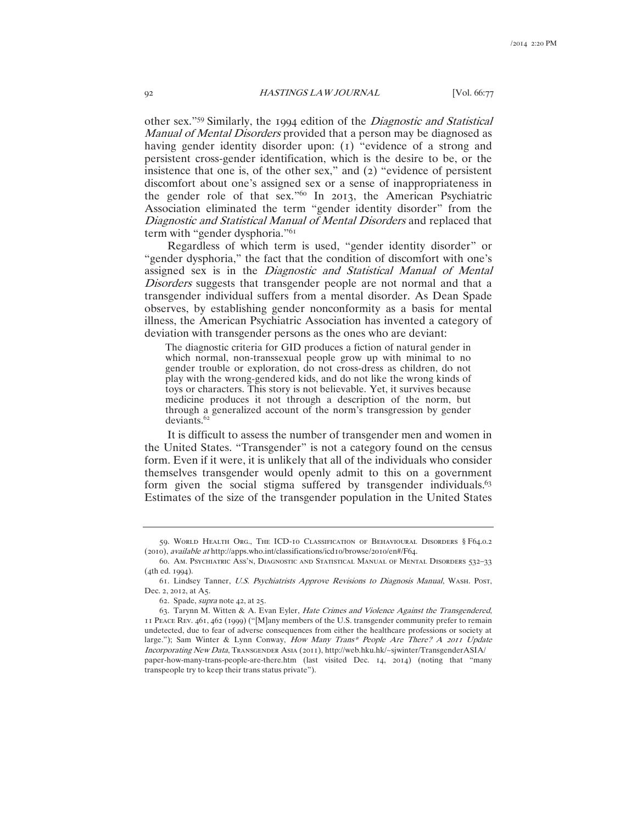other sex."<sup>59</sup> Similarly, the 1994 edition of the Diagnostic and Statistical Manual of Mental Disorders provided that a person may be diagnosed as having gender identity disorder upon: (1) "evidence of a strong and persistent cross-gender identification, which is the desire to be, or the insistence that one is, of the other sex," and (2) "evidence of persistent discomfort about one's assigned sex or a sense of inappropriateness in the gender role of that sex."<sup>60</sup> In 2013, the American Psychiatric Association eliminated the term "gender identity disorder" from the Diagnostic and Statistical Manual of Mental Disorders and replaced that term with "gender dysphoria."<sup>61</sup>

Regardless of which term is used, "gender identity disorder" or "gender dysphoria," the fact that the condition of discomfort with one's assigned sex is in the Diagnostic and Statistical Manual of Mental Disorders suggests that transgender people are not normal and that a transgender individual suffers from a mental disorder. As Dean Spade observes, by establishing gender nonconformity as a basis for mental illness, the American Psychiatric Association has invented a category of deviation with transgender persons as the ones who are deviant:

The diagnostic criteria for GID produces a fiction of natural gender in which normal, non-transsexual people grow up with minimal to no gender trouble or exploration, do not cross-dress as children, do not play with the wrong-gendered kids, and do not like the wrong kinds of toys or characters. This story is not believable. Yet, it survives because medicine produces it not through a description of the norm, but through a generalized account of the norm's transgression by gender deviants.<sup>62</sup>

It is difficult to assess the number of transgender men and women in the United States. "Transgender" is not a category found on the census form. Even if it were, it is unlikely that all of the individuals who consider themselves transgender would openly admit to this on a government form given the social stigma suffered by transgender individuals.<sup>63</sup> Estimates of the size of the transgender population in the United States

 <sup>59.</sup> World Health Org., The ICD-10 Classification of Behavioural Disorders § F64.0.2 (2010), available at http://apps.who.int/classifications/icd10/browse/2010/en#/F64.

 <sup>60.</sup> Am. Psychiatric Ass'n, Diagnostic and Statistical Manual of Mental Disorders 532–33  $(4th$  ed.  $1994)$ .

<sup>61</sup>. Lindsey Tanner, U.S. Psychiatrists Approve Revisions to Diagnosis Manual, Wash. Post, Dec. 2, 2012, at A5.

<sup>62</sup>. Spade, supra note 42, at 25.

<sup>63</sup>. Tarynn M. Witten & A. Evan Eyler, Hate Crimes and Violence Against the Transgendered, 11 Peace Rev. 461, 462 (1999) ("[M]any members of the U.S. transgender community prefer to remain undetected, due to fear of adverse consequences from either the healthcare professions or society at large."); Sam Winter & Lynn Conway, How Many Trans\* People Are There? A 2011 Update Incorporating New Data, Transgender Asia (2011), http://web.hku.hk/~sjwinter/TransgenderASIA/ paper-how-many-trans-people-are-there.htm (last visited Dec. 14, 2014) (noting that "many transpeople try to keep their trans status private").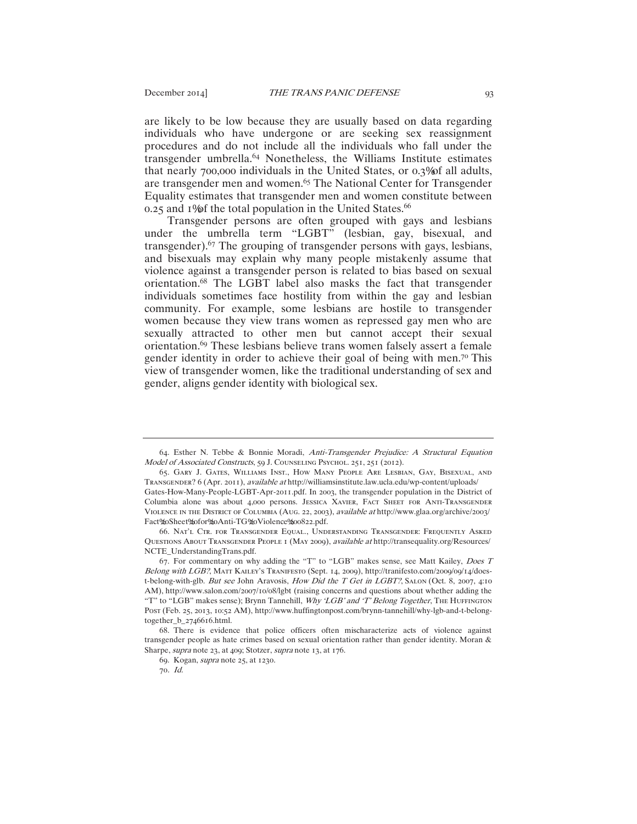are likely to be low because they are usually based on data regarding individuals who have undergone or are seeking sex reassignment procedures and do not include all the individuals who fall under the transgender umbrella.<sup>64</sup> Nonetheless, the Williams Institute estimates that nearly  $700,000$  individuals in the United States, or  $0.3\%$  f all adults, are transgender men and women.<sup>65</sup> The National Center for Transgender Equality estimates that transgender men and women constitute between 0.25 and  $\frac{1}{6}$  f the total population in the United States.<sup>66</sup>

Transgender persons are often grouped with gays and lesbians under the umbrella term "LGBT" (lesbian, gay, bisexual, and transgender).<sup>67</sup> The grouping of transgender persons with gays, lesbians, and bisexuals may explain why many people mistakenly assume that violence against a transgender person is related to bias based on sexual orientation.<sup>68</sup> The LGBT label also masks the fact that transgender individuals sometimes face hostility from within the gay and lesbian community. For example, some lesbians are hostile to transgender women because they view trans women as repressed gay men who are sexually attracted to other men but cannot accept their sexual orientation.<sup>69</sup> These lesbians believe trans women falsely assert a female gender identity in order to achieve their goal of being with men.<sup>70</sup> This view of transgender women, like the traditional understanding of sex and gender, aligns gender identity with biological sex.

<sup>64</sup>. Esther N. Tebbe & Bonnie Moradi, Anti-Transgender Prejudice: A Structural Equation Model of Associated Constructs, 59 J. Counseling Psychol. 251, 251 (2012).

<sup>65</sup>. Gary J. Gates, Williams Inst., How Many People Are Lesbian, Gay, Bisexual, and Transgender? 6 (Apr. 2011), available at http://williamsinstitute.law.ucla.edu/wp-content/uploads/ Gates-How-Many-People-LGBT-Apr-2011.pdf. In 2003, the transgender population in the District of Columbia alone was about 4,000 persons. Jessica Xavier, Fact Sheet for Anti-Transgender Violence in the District of Columbia (Aug. 22, 2003), available at http://www.glaa.org/archive/2003/ Fact%20Sheet%20for%20Anti-TG%20Violence%200822.pdf.

<sup>66</sup>. Nat'l Ctr. for Transgender Equal., Understanding Transgender: Frequently Asked Questions About Transgender People 1 (May 2009), available at http://transequality.org/Resources/ NCTE\_UnderstandingTrans.pdf.

<sup>67</sup>. For commentary on why adding the "T" to "LGB" makes sense, see Matt Kailey, Does T Belong with LGB?, MATT KAILEY'S TRANIFESTO (Sept. 14, 2009), http://tranifesto.com/2009/09/14/doest-belong-with-glb. But see John Aravosis, How Did the T Get in LGBT?, SALON (Oct. 8, 2007, 4:10) AM), http://www.salon.com/2007/10/08/lgbt (raising concerns and questions about whether adding the "T" to "LGB" makes sense); Brynn Tannehill, Why 'LGB' and 'T' Belong Together, The Huffington Post (Feb. 25, 2013, 10:52 AM), http://www.huffingtonpost.com/brynn-tannehill/why-lgb-and-t-belongtogether\_b\_2746616.html.

<sup>68</sup>. There is evidence that police officers often mischaracterize acts of violence against transgender people as hate crimes based on sexual orientation rather than gender identity. Moran & Sharpe, supra note 23, at 409; Stotzer, supra note 13, at 176.

<sup>69</sup>. Kogan, supra note 25, at 1230.

<sup>70</sup>. Id.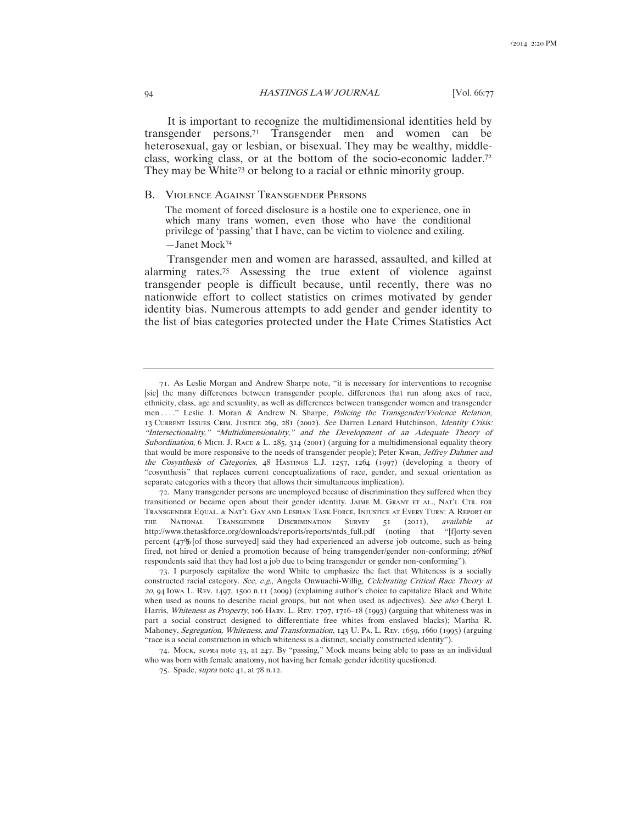It is important to recognize the multidimensional identities held by transgender persons.<sup>71</sup> Transgender men and women can be heterosexual, gay or lesbian, or bisexual. They may be wealthy, middleclass, working class, or at the bottom of the socio-economic ladder.<sup>72</sup> They may be White<sup>73</sup> or belong to a racial or ethnic minority group.

B. Violence Against Transgender Persons

The moment of forced disclosure is a hostile one to experience, one in which many trans women, even those who have the conditional privilege of 'passing' that I have, can be victim to violence and exiling. —Janet Mock<sup>74</sup>

Transgender men and women are harassed, assaulted, and killed at alarming rates.<sup>75</sup> Assessing the true extent of violence against transgender people is difficult because, until recently, there was no nationwide effort to collect statistics on crimes motivated by gender identity bias. Numerous attempts to add gender and gender identity to the list of bias categories protected under the Hate Crimes Statistics Act

<sup>71</sup>. As Leslie Morgan and Andrew Sharpe note, "it is necessary for interventions to recognise [sic] the many differences between transgender people, differences that run along axes of race, ethnicity, class, age and sexuality, as well as differences between transgender women and transgender men ...." Leslie J. Moran & Andrew N. Sharpe, Policing the Transgender/Violence Relation, 13 CURRENT ISSUES CRIM. JUSTICE 269, 281 (2002). See Darren Lenard Hutchinson, Identity Crisis: "Intersectionality," "Multidimensionality," and the Development of an Adequate Theory of Subordination, 6 Mich. J. Race & L. 285, 314 (2001) (arguing for a multidimensional equality theory that would be more responsive to the needs of transgender people); Peter Kwan, Jeffrey Dahmer and the Cosynthesis of Categories, 48 Hastings L.J. 1257, 1264 (1997) (developing a theory of "cosynthesis" that replaces current conceptualizations of race, gender, and sexual orientation as separate categories with a theory that allows their simultaneous implication).

<sup>72</sup>. Many transgender persons are unemployed because of discrimination they suffered when they transitioned or became open about their gender identity. Jaime M. Grant et al., Nat'l Ctr. for Transgender Equal. & Nat'l Gay and Lesbian Task Force, Injustice at Every Turn: A Report of the National Transgender Discrimination Survey 51 (2011), available at http://www.thetaskforce.org/downloads/reports/reports/ntds\_full.pdf (noting that "[f]orty-seven percent (47%) [of those surveyed] said they had experienced an adverse job outcome, such as being fired, not hired or denied a promotion because of being transgender/gender non-conforming; 26% of respondents said that they had lost a job due to being transgender or gender non-conforming").

<sup>73</sup>. I purposely capitalize the word White to emphasize the fact that Whiteness is a socially constructed racial category. See, e.g., Angela Onwuachi-Willig, Celebrating Critical Race Theory at <sup>20</sup>, 94 Iowa L. Rev. 1497, 1500 n.11 (2009) (explaining author's choice to capitalize Black and White when used as nouns to describe racial groups, but not when used as adjectives). See also Cheryl I. Harris, Whiteness as Property, 106 HARV. L. REV. 1707, 1716-18 (1993) (arguing that whiteness was in part a social construct designed to differentiate free whites from enslaved blacks); Martha R. Mahoney, Segregation, Whiteness, and Transformation, 143 U. PA. L. REV. 1659, 1660 (1995) (arguing "race is a social construction in which whiteness is a distinct, socially constructed identity").

<sup>74.</sup> Mock, supra note 33, at 247. By "passing," Mock means being able to pass as an individual who was born with female anatomy, not having her female gender identity questioned.

<sup>75</sup>. Spade, supra note 41, at 78 n.12.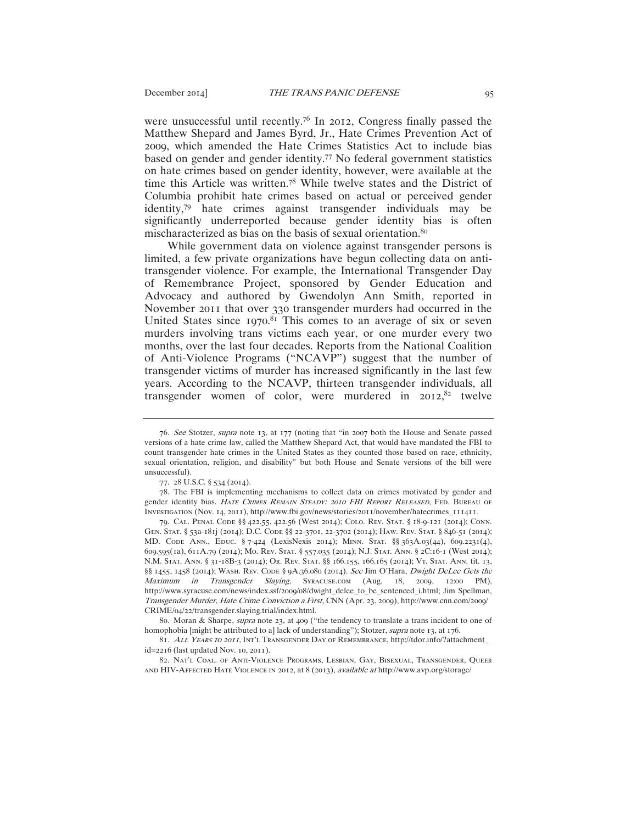were unsuccessful until recently.<sup>76</sup> In 2012, Congress finally passed the Matthew Shepard and James Byrd, Jr., Hate Crimes Prevention Act of 2009, which amended the Hate Crimes Statistics Act to include bias based on gender and gender identity.<sup>77</sup> No federal government statistics on hate crimes based on gender identity, however, were available at the time this Article was written.<sup>78</sup> While twelve states and the District of Columbia prohibit hate crimes based on actual or perceived gender identity,<sup>79</sup> hate crimes against transgender individuals may be significantly underreported because gender identity bias is often mischaracterized as bias on the basis of sexual orientation.<sup>80</sup>

While government data on violence against transgender persons is limited, a few private organizations have begun collecting data on antitransgender violence. For example, the International Transgender Day of Remembrance Project, sponsored by Gender Education and Advocacy and authored by Gwendolyn Ann Smith, reported in November 2011 that over 330 transgender murders had occurred in the United States since  $1970$ .<sup>81</sup> This comes to an average of six or seven murders involving trans victims each year, or one murder every two months, over the last four decades. Reports from the National Coalition of Anti-Violence Programs ("NCAVP") suggest that the number of transgender victims of murder has increased significantly in the last few years. According to the NCAVP, thirteen transgender individuals, all transgender women of color, were murdered in  $20I2$ ,<sup>82</sup> twelve

<sup>76</sup>. See Stotzer, supra note 13, at 177 (noting that "in 2007 both the House and Senate passed versions of a hate crime law, called the Matthew Shepard Act, that would have mandated the FBI to count transgender hate crimes in the United States as they counted those based on race, ethnicity, sexual orientation, religion, and disability" but both House and Senate versions of the bill were unsuccessful).

<sup>77</sup>. 28 U.S.C. § 534 (2014).

<sup>78</sup>. The FBI is implementing mechanisms to collect data on crimes motivated by gender and gender identity bias. HATE CRIMES REMAIN STEADY: 2010 FBI REPORT RELEASED, FED. BUREAU OF Investigation (Nov. 14, 2011), http://www.fbi.gov/news/stories/2011/november/hatecrimes\_111411.

 <sup>79.</sup> Cal. Penal Code §§ 422.55, 422.56 (West 2014); Colo. Rev. Stat. § 18-9-121 (2014); Conn. Gen. Stat. § 53a-181j (2014); D.C. Code §§ 22-3701, 22-3702 (2014); Haw. Rev. Stat. § 846-51 (2014); MD. Code Ann., Educ. § 7-424 (LexisNexis 2014); Minn. Stat. §§ 363A.03(44), 609.2231(4), 609.595(1a), 611A.79 (2014); Mo. Rev. Stat. § 557.035 (2014); N.J. Stat. Ann. § 2C:16-1 (West 2014); N.M. Stat. Ann. § 31-18B-3 (2014); Or. Rev. Stat. §§ 166.155, 166.165 (2014); Vt. Stat. Ann. tit. 13, §§ 1455, 1458 (2014); WASH. REV. CODE § 9A.36.080 (2014). See Jim O'Hara, Dwight DeLee Gets the Maximum in Transgender Slaying, Syracuse.com (Aug. 18, 2009, 12:00 PM), http://www.syracuse.com/news/index.ssf/2009/08/dwight\_delee\_to\_be\_sentenced\_i.html; Jim Spellman, Transgender Murder, Hate Crime Conviction a First, CNN (Apr. 23, 2009), http://www.cnn.com/2009/ CRIME/04/22/transgender.slaying.trial/index.html.

<sup>80</sup>. Moran & Sharpe, supra note 23, at 409 ("the tendency to translate a trans incident to one of homophobia [might be attributed to a] lack of understanding"); Stotzer, supra note 13, at 176.

<sup>81</sup>. All Years to 2011, Int'l Transgender Day of Remembrance, http://tdor.info/?attachment\_ id=2216 (last updated Nov. 10, 2011).

 <sup>82.</sup> Nat'l Coal. of Anti-Violence Programs, Lesbian, Gay, Bisexual, Transgender, Queer and HIV-Affected Hate Violence in 2012, at 8 (2013), available at http://www.avp.org/storage/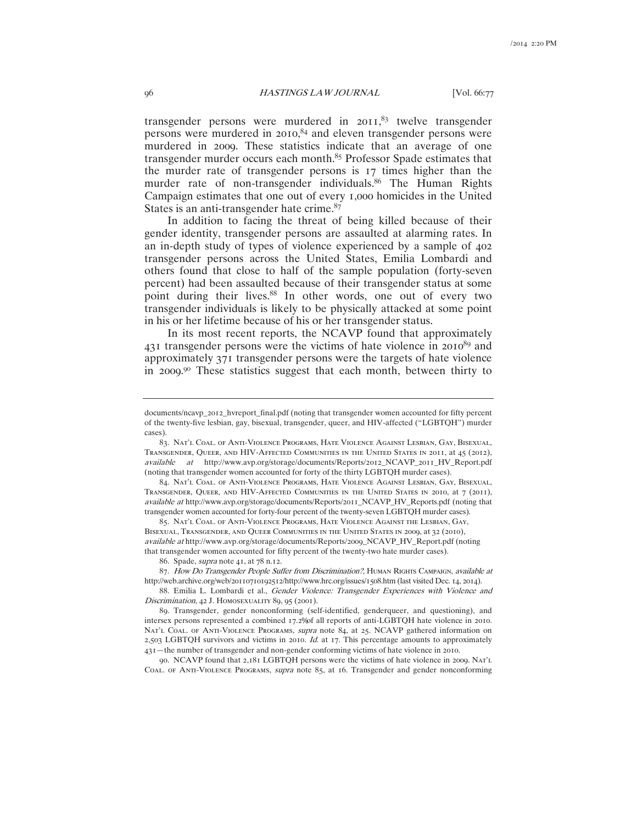transgender persons were murdered in  $201I<sub>1</sub><sup>83</sup>$  twelve transgender persons were murdered in 2010, <sup>84</sup> and eleven transgender persons were murdered in 2009. These statistics indicate that an average of one transgender murder occurs each month.<sup>85</sup> Professor Spade estimates that the murder rate of transgender persons is 17 times higher than the murder rate of non-transgender individuals.<sup>86</sup> The Human Rights Campaign estimates that one out of every 1,000 homicides in the United States is an anti-transgender hate crime.<sup>87</sup>

In addition to facing the threat of being killed because of their gender identity, transgender persons are assaulted at alarming rates. In an in-depth study of types of violence experienced by a sample of 402 transgender persons across the United States, Emilia Lombardi and others found that close to half of the sample population (forty-seven percent) had been assaulted because of their transgender status at some point during their lives.<sup>88</sup> In other words, one out of every two transgender individuals is likely to be physically attacked at some point in his or her lifetime because of his or her transgender status.

In its most recent reports, the NCAVP found that approximately 431 transgender persons were the victims of hate violence in 2010<sup>89</sup> and approximately 371 transgender persons were the targets of hate violence in 2009. <sup>90</sup> These statistics suggest that each month, between thirty to

 85. Nat'l Coal. of Anti-Violence Programs, Hate Violence Against the Lesbian, Gay, Bisexual, Transgender, and Queer Communities in the United States in 2009, at 32 (2010), available at http://www.avp.org/storage/documents/Reports/2009\_NCAVP\_HV\_Report.pdf (noting that transgender women accounted for fifty percent of the twenty-two hate murder cases).

86. Spade, supra note 41, at 78 n.12.

87. How Do Transgender People Suffer from Discrimination?, HUMAN RIGHTS CAMPAIGN, available at http://web.archive.org/web/20110710192512/http://www.hrc.org/issues/1508.htm (last visited Dec. 14, 2014).

88. Emilia L. Lombardi et al., Gender Violence: Transgender Experiences with Violence and Discrimination, 42 J. HOMOSEXUALITY 89, 95 (2001).

89. Transgender, gender nonconforming (self-identified, genderqueer, and questioning), and intersex persons represented a combined 17.2% of all reports of anti-LGBTQH hate violence in 2010. NAT'L COAL. OF ANTI-VIOLENCE PROGRAMS, supra note 84, at 25. NCAVP gathered information on 2,503 LGBTQH survivors and victims in 2010. Id. at 17. This percentage amounts to approximately 431—the number of transgender and non-gender conforming victims of hate violence in 2010.

90. NCAVP found that 2,181 LGBTQH persons were the victims of hate violence in 2009. Nat'l Coal. of Anti-Violence Programs, supra note 85, at 16. Transgender and gender nonconforming

documents/ncavp\_2012\_hvreport\_final.pdf (noting that transgender women accounted for fifty percent of the twenty-five lesbian, gay, bisexual, transgender, queer, and HIV-affected ("LGBTQH") murder cases).

 <sup>83.</sup> Nat'l Coal. of Anti-Violence Programs, Hate Violence Against Lesbian, Gay, Bisexual, Transgender, Queer, and HIV-Affected Communities in the United States in 2011, at 45 (2012), available at http://www.avp.org/storage/documents/Reports/2012\_NCAVP\_2011\_HV\_Report.pdf (noting that transgender women accounted for forty of the thirty LGBTQH murder cases).

 <sup>84.</sup> Nat'l Coal. of Anti-Violence Programs, Hate Violence Against Lesbian, Gay, Bisexual, Transgender, Queer, and HIV-Affected Communities in the United States in 2010, at 7 (2011), available at http://www.avp.org/storage/documents/Reports/2011\_NCAVP\_HV\_Reports.pdf (noting that transgender women accounted for forty-four percent of the twenty-seven LGBTQH murder cases).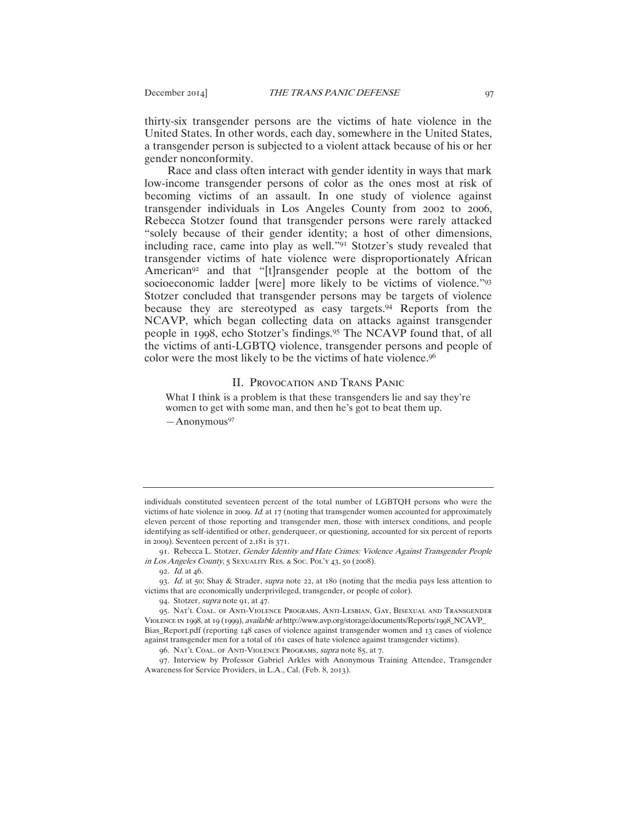thirty-six transgender persons are the victims of hate violence in the United States. In other words, each day, somewhere in the United States, a transgender person is subjected to a violent attack because of his or her gender nonconformity.

Race and class often interact with gender identity in ways that mark low-income transgender persons of color as the ones most at risk of becoming victims of an assault. In one study of violence against transgender individuals in Los Angeles County from 2002 to 2006, Rebecca Stotzer found that transgender persons were rarely attacked "solely because of their gender identity; a host of other dimensions, including race, came into play as well."<sup>91</sup> Stotzer's study revealed that transgender victims of hate violence were disproportionately African American<sup>92</sup> and that "[t]ransgender people at the bottom of the socioeconomic ladder [were] more likely to be victims of violence."<sup>93</sup> Stotzer concluded that transgender persons may be targets of violence because they are stereotyped as easy targets.<sup>94</sup> Reports from the NCAVP, which began collecting data on attacks against transgender people in 1998, echo Stotzer's findings.<sup>95</sup> The NCAVP found that, of all the victims of anti-LGBTQ violence, transgender persons and people of color were the most likely to be the victims of hate violence.<sup>96</sup>

#### II. Provocation and Trans Panic

What I think is a problem is that these transgenders lie and say they're women to get with some man, and then he's got to beat them up.  $-$ Anonymous<sup>97</sup>

individuals constituted seventeen percent of the total number of LGBTQH persons who were the victims of hate violence in 2009. Id. at 17 (noting that transgender women accounted for approximately eleven percent of those reporting and transgender men, those with intersex conditions, and people identifying as self-identified or other, genderqueer, or questioning, accounted for six percent of reports in 2009). Seventeen percent of 2,181 is 371.

<sup>91</sup>. Rebecca L. Stotzer, Gender Identity and Hate Crimes: Violence Against Transgender People in Los Angeles County, 5 Sexuality Res. & Soc. Pol'y 43, 50 (2008).

<sup>92</sup>. Id. at 46.

<sup>93</sup>. Id. at 50; Shay & Strader, supra note 22, at 180 (noting that the media pays less attention to victims that are economically underprivileged, transgender, or people of color).

<sup>94</sup>. Stotzer, supra note 91, at 47.

 <sup>95.</sup> Nat'l Coal. of Anti-Violence Programs, Anti-Lesbian, Gay, Bisexual and Transgender Violence in 1998, at 19 (1999), available at http://www.avp.org/storage/documents/Reports/1998\_NCAVP\_ Bias\_Report.pdf (reporting 148 cases of violence against transgender women and 13 cases of violence against transgender men for a total of 161 cases of hate violence against transgender victims).

<sup>96.</sup> NAT'L COAL. OF ANTI-VIOLENCE PROGRAMS, supra note 85, at 7.

<sup>97</sup>. Interview by Professor Gabriel Arkles with Anonymous Training Attendee, Transgender Awareness for Service Providers, in L.A., Cal. (Feb. 8, 2013).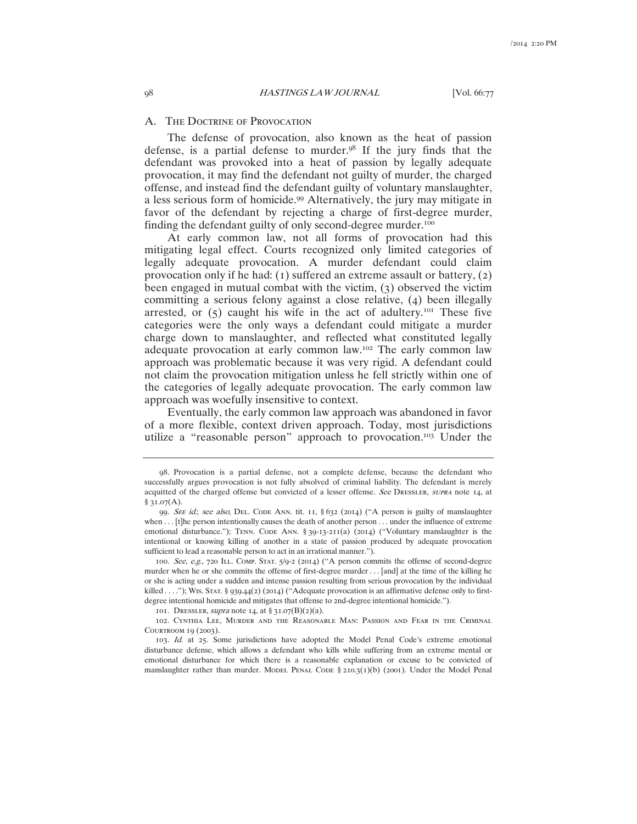#### A. The Doctrine of Provocation

The defense of provocation, also known as the heat of passion defense, is a partial defense to murder.<sup>98</sup> If the jury finds that the defendant was provoked into a heat of passion by legally adequate provocation, it may find the defendant not guilty of murder, the charged offense, and instead find the defendant guilty of voluntary manslaughter, a less serious form of homicide.<sup>99</sup> Alternatively, the jury may mitigate in favor of the defendant by rejecting a charge of first-degree murder, finding the defendant guilty of only second-degree murder.<sup>100</sup>

At early common law, not all forms of provocation had this mitigating legal effect. Courts recognized only limited categories of legally adequate provocation. A murder defendant could claim provocation only if he had:  $(1)$  suffered an extreme assault or battery,  $(2)$ been engaged in mutual combat with the victim, (3) observed the victim committing a serious felony against a close relative, (4) been illegally arrested, or  $(5)$  caught his wife in the act of adultery.<sup>101</sup> These five categories were the only ways a defendant could mitigate a murder charge down to manslaughter, and reflected what constituted legally adequate provocation at early common law.<sup>102</sup> The early common law approach was problematic because it was very rigid. A defendant could not claim the provocation mitigation unless he fell strictly within one of the categories of legally adequate provocation. The early common law approach was woefully insensitive to context.

Eventually, the early common law approach was abandoned in favor of a more flexible, context driven approach. Today, most jurisdictions utilize a "reasonable person" approach to provocation.<sup>103</sup> Under the

101. Dressler, supra note 14, at § 31.07(B)(2)(a).

<sup>98</sup>. Provocation is a partial defense, not a complete defense, because the defendant who successfully argues provocation is not fully absolved of criminal liability. The defendant is merely acquitted of the charged offense but convicted of a lesser offense. See DRESSLER, SUPRA note 14, at  $§ 31.07(A).$ 

<sup>99.</sup> See id.; see also, DEL. CODE ANN. tit. 11, § 632 (2014) ("A person is guilty of manslaughter when . . . [t]he person intentionally causes the death of another person . . . under the influence of extreme emotional disturbance."); TENN. CODE ANN. § 39-13-211(a) (2014) ("Voluntary manslaughter is the intentional or knowing killing of another in a state of passion produced by adequate provocation sufficient to lead a reasonable person to act in an irrational manner.").

<sup>100</sup>. See, e.g., 720 Ill. Comp. Stat. 5/9-2 (2014) ("A person commits the offense of second-degree murder when he or she commits the offense of first-degree murder . . . [and] at the time of the killing he or she is acting under a sudden and intense passion resulting from serious provocation by the individual killed . . . ."); Wis. Stat. § 939.44(2) (2014) ("Adequate provocation is an affirmative defense only to firstdegree intentional homicide and mitigates that offense to 2nd-degree intentional homicide.").

 <sup>102.</sup> Cynthia Lee, Murder and the Reasonable Man: Passion and Fear in the Criminal Courtroom 19 (2003).

<sup>103</sup>. Id. at 25. Some jurisdictions have adopted the Model Penal Code's extreme emotional disturbance defense, which allows a defendant who kills while suffering from an extreme mental or emotional disturbance for which there is a reasonable explanation or excuse to be convicted of manslaughter rather than murder. MODEL PENAL CODE § 210.3(1)(b) (2001). Under the Model Penal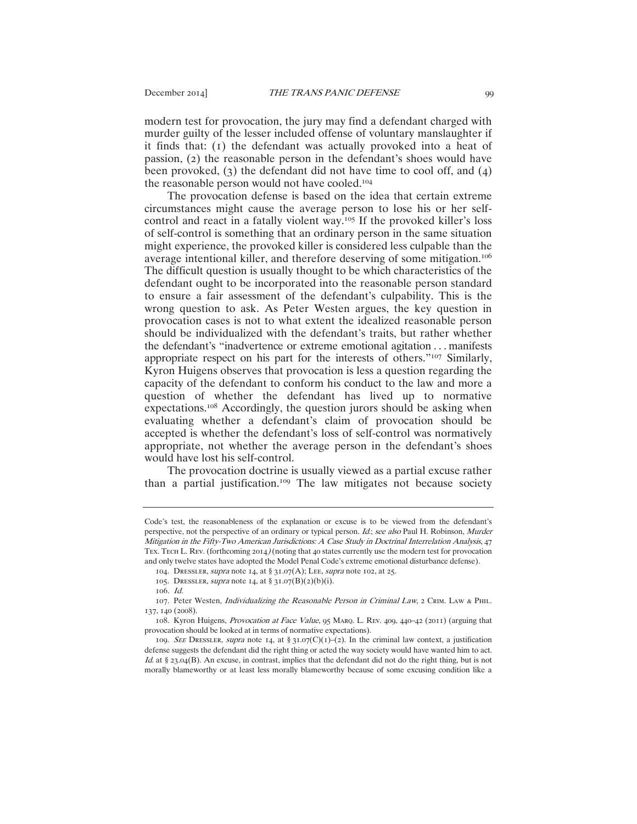modern test for provocation, the jury may find a defendant charged with murder guilty of the lesser included offense of voluntary manslaughter if it finds that: (1) the defendant was actually provoked into a heat of passion, (2) the reasonable person in the defendant's shoes would have been provoked, (3) the defendant did not have time to cool off, and (4) the reasonable person would not have cooled.<sup>104</sup>

The provocation defense is based on the idea that certain extreme circumstances might cause the average person to lose his or her selfcontrol and react in a fatally violent way.<sup>105</sup> If the provoked killer's loss of self-control is something that an ordinary person in the same situation might experience, the provoked killer is considered less culpable than the average intentional killer, and therefore deserving of some mitigation.<sup>106</sup> The difficult question is usually thought to be which characteristics of the defendant ought to be incorporated into the reasonable person standard to ensure a fair assessment of the defendant's culpability. This is the wrong question to ask. As Peter Westen argues, the key question in provocation cases is not to what extent the idealized reasonable person should be individualized with the defendant's traits, but rather whether the defendant's "inadvertence or extreme emotional agitation . . . manifests appropriate respect on his part for the interests of others."<sup>107</sup> Similarly, Kyron Huigens observes that provocation is less a question regarding the capacity of the defendant to conform his conduct to the law and more a question of whether the defendant has lived up to normative expectations.<sup>108</sup> Accordingly, the question jurors should be asking when evaluating whether a defendant's claim of provocation should be accepted is whether the defendant's loss of self-control was normatively appropriate, not whether the average person in the defendant's shoes would have lost his self-control.

The provocation doctrine is usually viewed as a partial excuse rather than a partial justification.<sup>109</sup> The law mitigates not because society

Code's test, the reasonableness of the explanation or excuse is to be viewed from the defendant's perspective, not the perspective of an ordinary or typical person. Id.; see also Paul H. Robinson, Murder Mitigation in the Fifty-Two American Jurisdictions: A Case Study in Doctrinal Interrelation Analysis, 47 Tex. Tech L. Rev. (forthcoming 2014) (noting that 40 states currently use the modern test for provocation and only twelve states have adopted the Model Penal Code's extreme emotional disturbance defense).

 <sup>104.</sup> Dressler, supra note 14, at § 31.07(A); Lee, supra note 102, at 25.

<sup>105.</sup> DRESSLER, supra note 14, at §  $31.07(B)(2)(b)(i)$ .

<sup>106</sup>. Id.

<sup>107.</sup> Peter Westen, Individualizing the Reasonable Person in Criminal Law, 2 CRIM. LAW & PHIL. 137, 140 (2008).

<sup>108</sup>. Kyron Huigens, Provocation at Face Value, 95 Marq. L. Rev. 409, 440–42 (2011) (arguing that provocation should be looked at in terms of normative expectations).

<sup>109.</sup> SEE DRESSLER, supra note 14, at § 31.07(C)(1)–(2). In the criminal law context, a justification defense suggests the defendant did the right thing or acted the way society would have wanted him to act. Id. at § 23.04(B). An excuse, in contrast, implies that the defendant did not do the right thing, but is not morally blameworthy or at least less morally blameworthy because of some excusing condition like a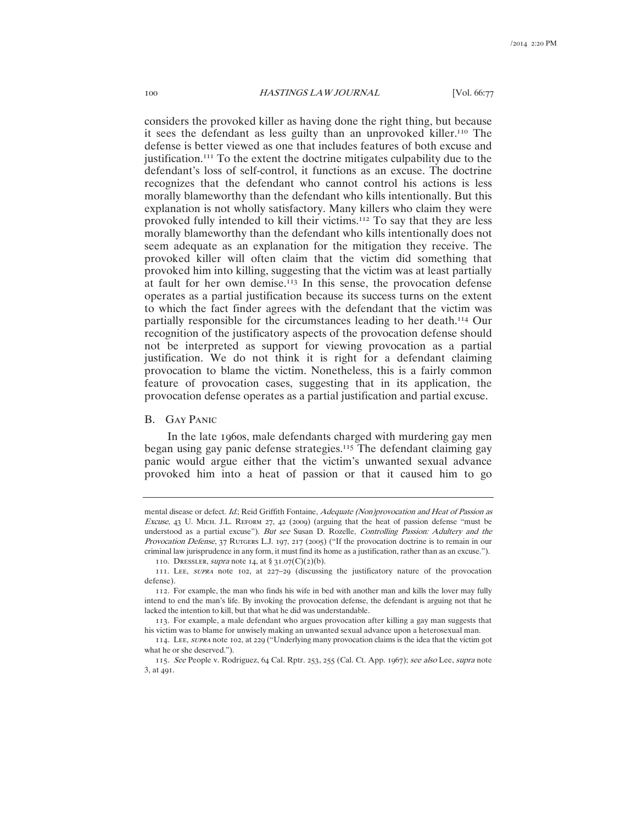considers the provoked killer as having done the right thing, but because it sees the defendant as less guilty than an unprovoked killer.<sup>110</sup> The defense is better viewed as one that includes features of both excuse and justification.<sup>111</sup> To the extent the doctrine mitigates culpability due to the defendant's loss of self-control, it functions as an excuse. The doctrine recognizes that the defendant who cannot control his actions is less morally blameworthy than the defendant who kills intentionally. But this explanation is not wholly satisfactory. Many killers who claim they were provoked fully intended to kill their victims.<sup>112</sup> To say that they are less morally blameworthy than the defendant who kills intentionally does not seem adequate as an explanation for the mitigation they receive. The provoked killer will often claim that the victim did something that provoked him into killing, suggesting that the victim was at least partially at fault for her own demise.<sup>113</sup> In this sense, the provocation defense operates as a partial justification because its success turns on the extent to which the fact finder agrees with the defendant that the victim was partially responsible for the circumstances leading to her death.<sup>114</sup> Our recognition of the justificatory aspects of the provocation defense should not be interpreted as support for viewing provocation as a partial justification. We do not think it is right for a defendant claiming provocation to blame the victim. Nonetheless, this is a fairly common feature of provocation cases, suggesting that in its application, the provocation defense operates as a partial justification and partial excuse.

#### B. Gay Panic

In the late 1960s, male defendants charged with murdering gay men began using gay panic defense strategies.<sup>115</sup> The defendant claiming gay panic would argue either that the victim's unwanted sexual advance provoked him into a heat of passion or that it caused him to go

mental disease or defect. Id.; Reid Griffith Fontaine, Adequate (Non)provocation and Heat of Passion as Excuse, 43 U. Mich. J.L. Reform 27, 42 (2009) (arguing that the heat of passion defense "must be understood as a partial excuse"). But see Susan D. Rozelle, Controlling Passion: Adultery and the Provocation Defense, 37 RUTGERS L.J. 197, 217 (2005) ("If the provocation doctrine is to remain in our criminal law jurisprudence in any form, it must find its home as a justification, rather than as an excuse.").

<sup>110.</sup> DRESSLER, supra note 14, at  $\S 31.07(C)(2)(b)$ .

 <sup>111.</sup> Lee, supra note 102, at 227–29 (discussing the justificatory nature of the provocation defense).

<sup>112</sup>. For example, the man who finds his wife in bed with another man and kills the lover may fully intend to end the man's life. By invoking the provocation defense, the defendant is arguing not that he lacked the intention to kill, but that what he did was understandable.

<sup>113</sup>. For example, a male defendant who argues provocation after killing a gay man suggests that his victim was to blame for unwisely making an unwanted sexual advance upon a heterosexual man.

<sup>114</sup>. Lee, supra note 102, at 229 ("Underlying many provocation claims is the idea that the victim got what he or she deserved.").

<sup>115</sup>. See People v. Rodriguez, 64 Cal. Rptr. 253, 255 (Cal. Ct. App. 1967); see also Lee, supra note 3, at 491.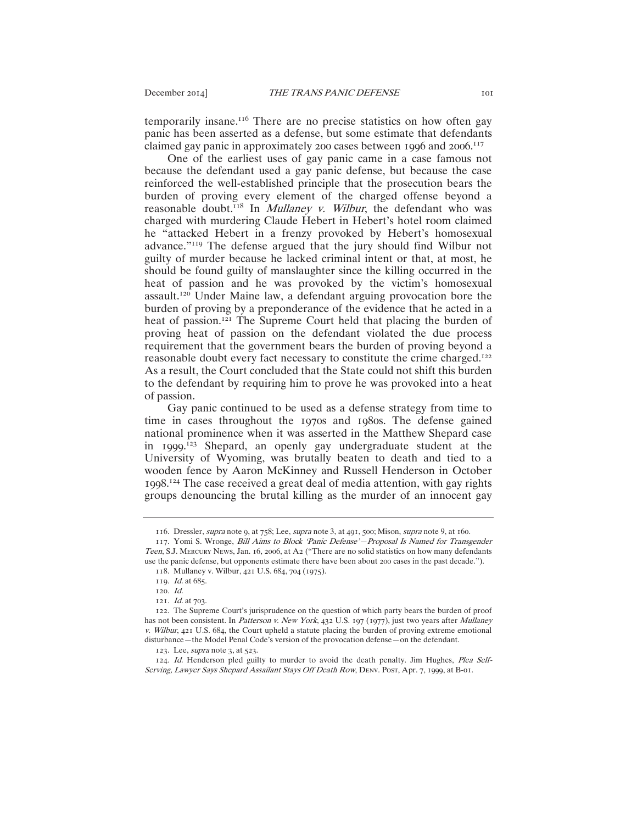temporarily insane.<sup>116</sup> There are no precise statistics on how often gay panic has been asserted as a defense, but some estimate that defendants claimed gay panic in approximately 200 cases between 1996 and 2006.<sup>117</sup>

One of the earliest uses of gay panic came in a case famous not because the defendant used a gay panic defense, but because the case reinforced the well-established principle that the prosecution bears the burden of proving every element of the charged offense beyond a reasonable doubt.<sup>118</sup> In *Mullaney v. Wilbur*, the defendant who was charged with murdering Claude Hebert in Hebert's hotel room claimed he "attacked Hebert in a frenzy provoked by Hebert's homosexual advance."<sup>119</sup> The defense argued that the jury should find Wilbur not guilty of murder because he lacked criminal intent or that, at most, he should be found guilty of manslaughter since the killing occurred in the heat of passion and he was provoked by the victim's homosexual assault.<sup>120</sup> Under Maine law, a defendant arguing provocation bore the burden of proving by a preponderance of the evidence that he acted in a heat of passion.<sup>121</sup> The Supreme Court held that placing the burden of proving heat of passion on the defendant violated the due process requirement that the government bears the burden of proving beyond a reasonable doubt every fact necessary to constitute the crime charged.<sup>122</sup> As a result, the Court concluded that the State could not shift this burden to the defendant by requiring him to prove he was provoked into a heat of passion.

Gay panic continued to be used as a defense strategy from time to time in cases throughout the 1970s and 1980s. The defense gained national prominence when it was asserted in the Matthew Shepard case in 1999. <sup>123</sup> Shepard, an openly gay undergraduate student at the University of Wyoming, was brutally beaten to death and tied to a wooden fence by Aaron McKinney and Russell Henderson in October 1998. <sup>124</sup> The case received a great deal of media attention, with gay rights groups denouncing the brutal killing as the murder of an innocent gay

<sup>116</sup>. Dressler, supra note 9, at 758; Lee, supra note 3, at 491, 500; Mison, supra note 9, at 160.

<sup>117</sup>. Yomi S. Wronge, Bill Aims to Block 'Panic Defense'—Proposal Is Named for Transgender Teen, S.J. MERCURY NEWS, Jan. 16, 2006, at A2 ("There are no solid statistics on how many defendants use the panic defense, but opponents estimate there have been about 200 cases in the past decade.").

<sup>118</sup>. Mullaney v. Wilbur, 421 U.S. 684, 704 (1975).

<sup>119</sup>. Id. at 685.

<sup>120</sup>. Id.

<sup>121</sup>. Id. at 703.

<sup>122</sup>. The Supreme Court's jurisprudence on the question of which party bears the burden of proof has not been consistent. In Patterson v. New York, 432 U.S. 197 (1977), just two years after Mullaney v. Wilbur, 421 U.S. 684, the Court upheld a statute placing the burden of proving extreme emotional disturbance—the Model Penal Code's version of the provocation defense—on the defendant.

<sup>123</sup>. Lee, supra note 3, at 523.

<sup>124</sup>. Id. Henderson pled guilty to murder to avoid the death penalty. Jim Hughes, Plea Self-Serving, Lawyer Says Shepard Assailant Stays Off Death Row, DENV. Post, Apr. 7, 1999, at B-01.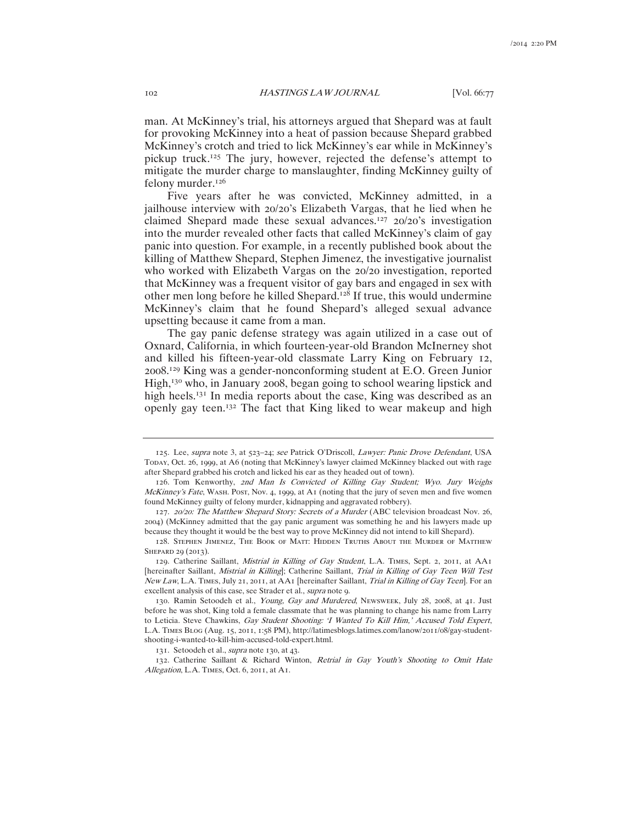man. At McKinney's trial, his attorneys argued that Shepard was at fault for provoking McKinney into a heat of passion because Shepard grabbed McKinney's crotch and tried to lick McKinney's ear while in McKinney's pickup truck.<sup>125</sup> The jury, however, rejected the defense's attempt to mitigate the murder charge to manslaughter, finding McKinney guilty of felony murder.<sup>126</sup>

Five years after he was convicted, McKinney admitted, in a jailhouse interview with 20/20's Elizabeth Vargas, that he lied when he claimed Shepard made these sexual advances.<sup>127</sup> 20/20's investigation into the murder revealed other facts that called McKinney's claim of gay panic into question. For example, in a recently published book about the killing of Matthew Shepard, Stephen Jimenez, the investigative journalist who worked with Elizabeth Vargas on the 20/20 investigation, reported that McKinney was a frequent visitor of gay bars and engaged in sex with other men long before he killed Shepard.<sup>128</sup> If true, this would undermine McKinney's claim that he found Shepard's alleged sexual advance upsetting because it came from a man.

The gay panic defense strategy was again utilized in a case out of Oxnard, California, in which fourteen-year-old Brandon McInerney shot and killed his fifteen-year-old classmate Larry King on February 12, 2008. <sup>129</sup> King was a gender-nonconforming student at E.O. Green Junior High,<sup>130</sup> who, in January 2008, began going to school wearing lipstick and high heels.<sup>131</sup> In media reports about the case, King was described as an openly gay teen.<sup>132</sup> The fact that King liked to wear makeup and high

<sup>125</sup>. Lee, supra note 3, at 523–24; see Patrick O'Driscoll, Lawyer: Panic Drove Defendant, USA Today, Oct. 26, 1999, at A6 (noting that McKinney's lawyer claimed McKinney blacked out with rage after Shepard grabbed his crotch and licked his ear as they headed out of town).

<sup>126</sup>. Tom Kenworthy, 2nd Man Is Convicted of Killing Gay Student; Wyo. Jury Weighs McKinney's Fate, WASH. Post, Nov. 4, 1999, at A1 (noting that the jury of seven men and five women found McKinney guilty of felony murder, kidnapping and aggravated robbery).

<sup>127</sup>. 20/20: The Matthew Shepard Story: Secrets of a Murder (ABC television broadcast Nov. 26, 2004) (McKinney admitted that the gay panic argument was something he and his lawyers made up because they thought it would be the best way to prove McKinney did not intend to kill Shepard).

 <sup>128.</sup> Stephen Jimenez, The Book of Matt: Hidden Truths About the Murder of Matthew SHEPARD 29 (2013).

<sup>129</sup>. Catherine Saillant, Mistrial in Killing of Gay Student, L.A. Times, Sept. 2, 2011, at AA1 [hereinafter Saillant, Mistrial in Killing]; Catherine Saillant, Trial in Killing of Gay Teen Will Test New Law, L.A. TIMES, July 21, 2011, at AA1 [hereinafter Saillant, Trial in Killing of Gay Teen]. For an excellent analysis of this case, see Strader et al., supra note 9.

<sup>130</sup>. Ramin Setoodeh et al., Young, Gay and Murdered, Newsweek, July 28, 2008, at 41. Just before he was shot, King told a female classmate that he was planning to change his name from Larry to Leticia. Steve Chawkins, Gay Student Shooting: 'I Wanted To Kill Him,' Accused Told Expert, L.A. Times Blog (Aug. 15, 2011, 1:58 PM), http://latimesblogs.latimes.com/lanow/2011/08/gay-studentshooting-i-wanted-to-kill-him-accused-told-expert.html.

<sup>131</sup>. Setoodeh et al., supra note 130, at 43.

<sup>132</sup>. Catherine Saillant & Richard Winton, Retrial in Gay Youth's Shooting to Omit Hate Allegation, L.A. TIMES, Oct. 6, 2011, at A1.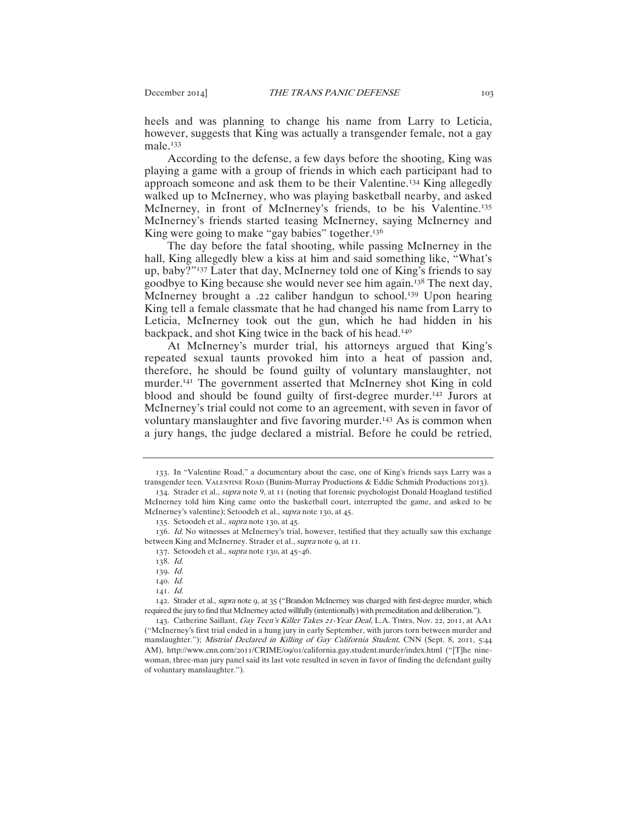heels and was planning to change his name from Larry to Leticia, however, suggests that King was actually a transgender female, not a gay male. $133$ 

According to the defense, a few days before the shooting, King was playing a game with a group of friends in which each participant had to approach someone and ask them to be their Valentine.<sup>134</sup> King allegedly walked up to McInerney, who was playing basketball nearby, and asked McInerney, in front of McInerney's friends, to be his Valentine.<sup>135</sup> McInerney's friends started teasing McInerney, saying McInerney and King were going to make "gay babies" together.<sup>136</sup>

The day before the fatal shooting, while passing McInerney in the hall, King allegedly blew a kiss at him and said something like, "What's up, baby?"<sup>137</sup> Later that day, McInerney told one of King's friends to say goodbye to King because she would never see him again.<sup>138</sup> The next day, McInerney brought a .22 caliber handgun to school.<sup>139</sup> Upon hearing King tell a female classmate that he had changed his name from Larry to Leticia, McInerney took out the gun, which he had hidden in his backpack, and shot King twice in the back of his head.<sup>140</sup>

At McInerney's murder trial, his attorneys argued that King's repeated sexual taunts provoked him into a heat of passion and, therefore, he should be found guilty of voluntary manslaughter, not murder.<sup>141</sup> The government asserted that McInerney shot King in cold blood and should be found guilty of first-degree murder.<sup>142</sup> Jurors at McInerney's trial could not come to an agreement, with seven in favor of voluntary manslaughter and five favoring murder.<sup>143</sup> As is common when a jury hangs, the judge declared a mistrial. Before he could be retried,

<sup>133</sup>. In "Valentine Road," a documentary about the case, one of King's friends says Larry was a transgender teen.Valentine Road (Bunim-Murray Productions & Eddie Schmidt Productions 2013).

<sup>134</sup>. Strader et al., supra note 9, at 11 (noting that forensic psychologist Donald Hoagland testified McInerney told him King came onto the basketball court, interrupted the game, and asked to be McInerney's valentine); Setoodeh et al., supra note 130, at 45.

<sup>135</sup>. Setoodeh et al., supra note 130, at 45.

<sup>136</sup>. Id. No witnesses at McInerney's trial, however, testified that they actually saw this exchange between King and McInerney. Strader et al., *supra* note 9, at 11.

<sup>137</sup>. Setoodeh et al., supra note 130, at 45–46.

<sup>138</sup>. Id.

<sup>139</sup>. Id.

<sup>140</sup>. Id.

<sup>141</sup>. Id.

<sup>142</sup>. Strader et al., supra note 9, at 35 ("Brandon McInerney was charged with first-degree murder, which required the jury to find that McInerney acted willfully (intentionally) with premeditation and deliberation.").

<sup>143</sup>. Catherine Saillant, Gay Teen's Killer Takes 21-Year Deal, L.A. Times, Nov. 22, 2011, at AA1 ("McInerney's first trial ended in a hung jury in early September, with jurors torn between murder and manslaughter."); Mistrial Declared in Killing of Gay California Student, CNN (Sept. 8, 2011, 5:44 AM), http://www.cnn.com/2011/CRIME/09/01/california.gay.student.murder/index.html ("[T]he ninewoman, three-man jury panel said its last vote resulted in seven in favor of finding the defendant guilty of voluntary manslaughter.").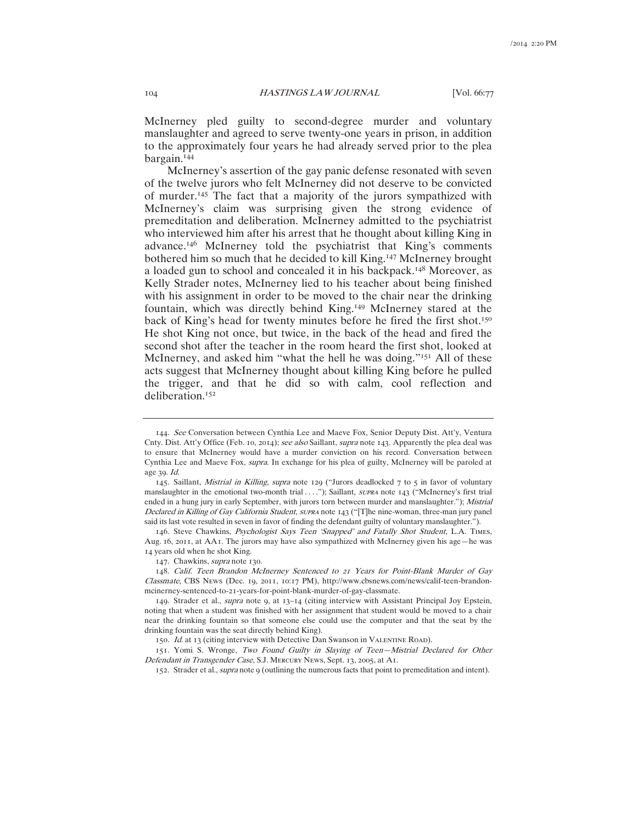McInerney pled guilty to second-degree murder and voluntary manslaughter and agreed to serve twenty-one years in prison, in addition to the approximately four years he had already served prior to the plea bargain.<sup>144</sup>

McInerney's assertion of the gay panic defense resonated with seven of the twelve jurors who felt McInerney did not deserve to be convicted of murder.<sup>145</sup> The fact that a majority of the jurors sympathized with McInerney's claim was surprising given the strong evidence of premeditation and deliberation. McInerney admitted to the psychiatrist who interviewed him after his arrest that he thought about killing King in advance.<sup>146</sup> McInerney told the psychiatrist that King's comments bothered him so much that he decided to kill King.<sup>147</sup> McInerney brought a loaded gun to school and concealed it in his backpack.<sup>148</sup> Moreover, as Kelly Strader notes, McInerney lied to his teacher about being finished with his assignment in order to be moved to the chair near the drinking fountain, which was directly behind King.<sup>149</sup> McInerney stared at the back of King's head for twenty minutes before he fired the first shot.<sup>150</sup> He shot King not once, but twice, in the back of the head and fired the second shot after the teacher in the room heard the first shot, looked at McInerney, and asked him "what the hell he was doing."<sup>151</sup> All of these acts suggest that McInerney thought about killing King before he pulled the trigger, and that he did so with calm, cool reflection and deliberation.<sup>152</sup>

146. Steve Chawkins, Psychologist Says Teen 'Snapped' and Fatally Shot Student, L.A. Times, Aug. 16, 2011, at AA1. The jurors may have also sympathized with McInerney given his age—he was 14 years old when he shot King.

147. Chawkins, supra note 130.

148. Calif. Teen Brandon McInerney Sentenced to 21 Years for Point-Blank Murder of Gay Classmate, CBS News (Dec. 19, 2011, 10:17 PM), http://www.cbsnews.com/news/calif-teen-brandonmcinerney-sentenced-to-21-years-for-point-blank-murder-of-gay-classmate.

151. Yomi S. Wronge, Two Found Guilty in Slaying of Teen—Mistrial Declared for Other Defendant in Transgender Case, S.J. Mercury News, Sept. 13, 2005, at A1.

152. Strader et al., supra note 9 (outlining the numerous facts that point to premeditation and intent).

<sup>144</sup>. See Conversation between Cynthia Lee and Maeve Fox, Senior Deputy Dist. Att'y, Ventura Cnty. Dist. Att'y Office (Feb. 10, 2014); see also Saillant, supra note 143. Apparently the plea deal was to ensure that McInerney would have a murder conviction on his record. Conversation between Cynthia Lee and Maeve Fox, supra. In exchange for his plea of guilty, McInerney will be paroled at age  $30.$  Id.

<sup>145</sup>. Saillant, Mistrial in Killing, supra note 129 ("Jurors deadlocked 7 to 5 in favor of voluntary manslaughter in the emotional two-month trial ...."); Saillant, *supra* note 143 ("McInerney's first trial ended in a hung jury in early September, with jurors torn between murder and manslaughter."); *Mistrial* Declared in Killing of Gay California Student, supra note 143 ("[T]he nine-woman, three-man jury panel said its last vote resulted in seven in favor of finding the defendant guilty of voluntary manslaughter.").

<sup>149</sup>. Strader et al., supra note 9, at 13–14 (citing interview with Assistant Principal Joy Epstein, noting that when a student was finished with her assignment that student would be moved to a chair near the drinking fountain so that someone else could use the computer and that the seat by the drinking fountain was the seat directly behind King).

<sup>150</sup>. Id. at 13 (citing interview with Detective Dan Swanson in Valentine Road).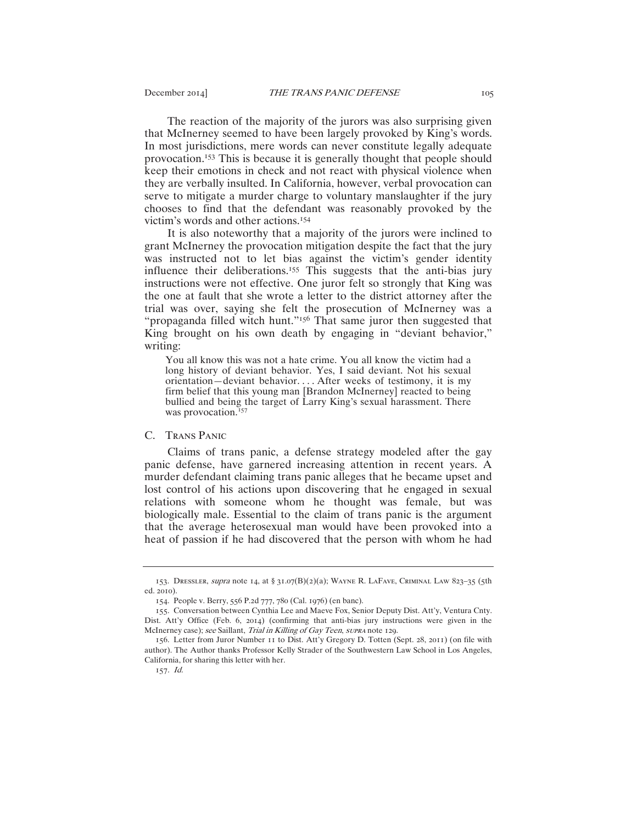The reaction of the majority of the jurors was also surprising given that McInerney seemed to have been largely provoked by King's words. In most jurisdictions, mere words can never constitute legally adequate provocation.<sup>153</sup> This is because it is generally thought that people should keep their emotions in check and not react with physical violence when they are verbally insulted. In California, however, verbal provocation can serve to mitigate a murder charge to voluntary manslaughter if the jury chooses to find that the defendant was reasonably provoked by the victim's words and other actions.<sup>154</sup>

It is also noteworthy that a majority of the jurors were inclined to grant McInerney the provocation mitigation despite the fact that the jury was instructed not to let bias against the victim's gender identity influence their deliberations.<sup>155</sup> This suggests that the anti-bias jury instructions were not effective. One juror felt so strongly that King was the one at fault that she wrote a letter to the district attorney after the trial was over, saying she felt the prosecution of McInerney was a "propaganda filled witch hunt."<sup>156</sup> That same juror then suggested that King brought on his own death by engaging in "deviant behavior," writing:

You all know this was not a hate crime. You all know the victim had a long history of deviant behavior. Yes, I said deviant. Not his sexual orientation—deviant behavior. . . . After weeks of testimony, it is my firm belief that this young man [Brandon McInerney] reacted to being bullied and being the target of Larry King's sexual harassment. There was provocation.<sup>157</sup>

### C. Trans Panic

Claims of trans panic, a defense strategy modeled after the gay panic defense, have garnered increasing attention in recent years. A murder defendant claiming trans panic alleges that he became upset and lost control of his actions upon discovering that he engaged in sexual relations with someone whom he thought was female, but was biologically male. Essential to the claim of trans panic is the argument that the average heterosexual man would have been provoked into a heat of passion if he had discovered that the person with whom he had

 <sup>153.</sup> Dressler, supra note 14, at § 31.07(B)(2)(a); Wayne R. LaFave, Criminal Law 823–35 (5th ed. 2010).

<sup>154</sup>. People v. Berry, 556 P.2d 777, 780 (Cal. 1976) (en banc).

<sup>155</sup>. Conversation between Cynthia Lee and Maeve Fox, Senior Deputy Dist. Att'y, Ventura Cnty. Dist. Att'y Office (Feb. 6, 2014) (confirming that anti-bias jury instructions were given in the McInerney case); see Saillant, Trial in Killing of Gay Teen, supra note 129.

<sup>156</sup>. Letter from Juror Number 11 to Dist. Att'y Gregory D. Totten (Sept. 28, 2011) (on file with author). The Author thanks Professor Kelly Strader of the Southwestern Law School in Los Angeles, California, for sharing this letter with her.

<sup>157</sup>. Id.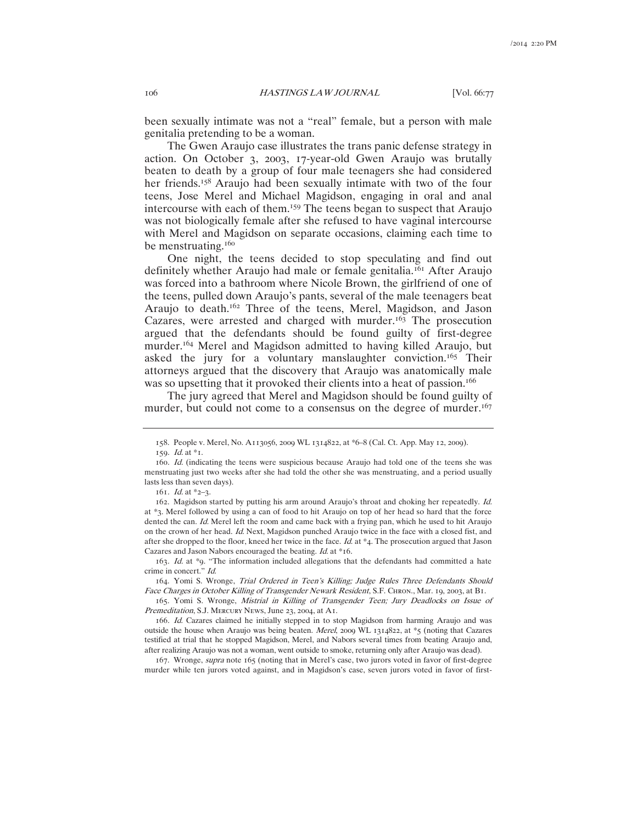been sexually intimate was not a "real" female, but a person with male genitalia pretending to be a woman.

The Gwen Araujo case illustrates the trans panic defense strategy in action. On October 3, 2003, 17-year-old Gwen Araujo was brutally beaten to death by a group of four male teenagers she had considered her friends.<sup>158</sup> Araujo had been sexually intimate with two of the four teens, Jose Merel and Michael Magidson, engaging in oral and anal intercourse with each of them.<sup>159</sup> The teens began to suspect that Araujo was not biologically female after she refused to have vaginal intercourse with Merel and Magidson on separate occasions, claiming each time to be menstruating.<sup>160</sup>

One night, the teens decided to stop speculating and find out definitely whether Araujo had male or female genitalia.<sup>161</sup> After Araujo was forced into a bathroom where Nicole Brown, the girlfriend of one of the teens, pulled down Araujo's pants, several of the male teenagers beat Araujo to death.<sup>162</sup> Three of the teens, Merel, Magidson, and Jason Cazares, were arrested and charged with murder.<sup>163</sup> The prosecution argued that the defendants should be found guilty of first-degree murder.<sup>164</sup> Merel and Magidson admitted to having killed Araujo, but asked the jury for a voluntary manslaughter conviction.<sup>165</sup> Their attorneys argued that the discovery that Araujo was anatomically male was so upsetting that it provoked their clients into a heat of passion.<sup>166</sup>

The jury agreed that Merel and Magidson should be found guilty of murder, but could not come to a consensus on the degree of murder.<sup>167</sup>

<sup>158</sup>. People v. Merel, No. A113056, 2009 WL 1314822, at \*6–8 (Cal. Ct. App. May 12, 2009). 159. Id. at \*1.

<sup>160</sup>. Id. (indicating the teens were suspicious because Araujo had told one of the teens she was menstruating just two weeks after she had told the other she was menstruating, and a period usually lasts less than seven days).

<sup>161</sup>. Id. at \*2–3.

<sup>162</sup>. Magidson started by putting his arm around Araujo's throat and choking her repeatedly. Id. at \*3. Merel followed by using a can of food to hit Araujo on top of her head so hard that the force dented the can. Id. Merel left the room and came back with a frying pan, which he used to hit Araujo on the crown of her head. Id. Next, Magidson punched Araujo twice in the face with a closed fist, and after she dropped to the floor, kneed her twice in the face. Id. at  $*_{4}$ . The prosecution argued that Jason Cazares and Jason Nabors encouraged the beating. Id. at \*16.

<sup>163.</sup> Id. at  $*9$ . "The information included allegations that the defendants had committed a hate crime in concert." Id.

<sup>164</sup>. Yomi S. Wronge, Trial Ordered in Teen's Killing; Judge Rules Three Defendants Should Face Charges in October Killing of Transgender Newark Resident, S.F. Chron., Mar. 19, 2003, at B1.

<sup>165</sup>. Yomi S. Wronge, Mistrial in Killing of Transgender Teen; Jury Deadlocks on Issue of Premeditation, S.J. Mercury News, June 23, 2004, at A1.

<sup>166</sup>. Id. Cazares claimed he initially stepped in to stop Magidson from harming Araujo and was outside the house when Araujo was being beaten. Merel, 2009 WL 1314822, at \*5 (noting that Cazares testified at trial that he stopped Magidson, Merel, and Nabors several times from beating Araujo and, after realizing Araujo was not a woman, went outside to smoke, returning only after Araujo was dead).

<sup>167</sup>. Wronge, supra note 165 (noting that in Merel's case, two jurors voted in favor of first-degree murder while ten jurors voted against, and in Magidson's case, seven jurors voted in favor of first-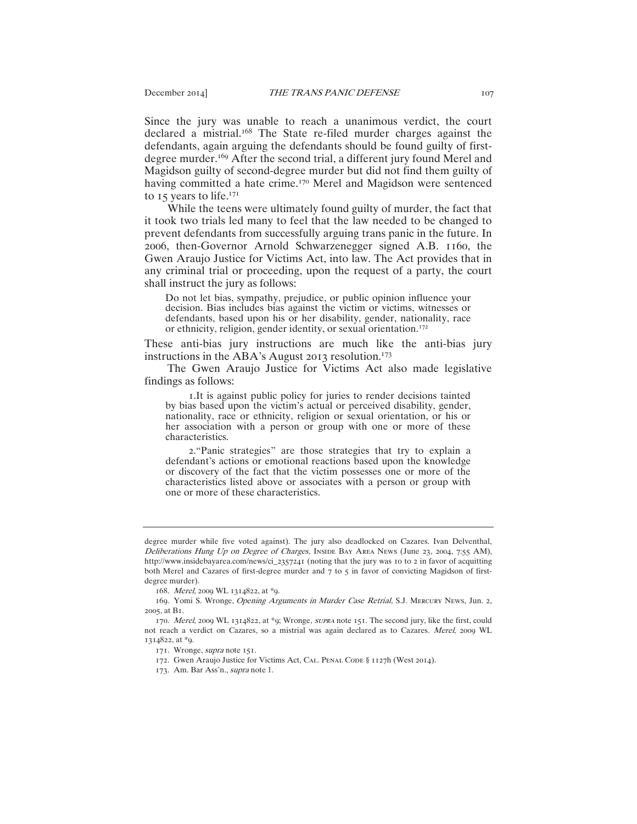Since the jury was unable to reach a unanimous verdict, the court declared a mistrial.<sup>168</sup> The State re-filed murder charges against the defendants, again arguing the defendants should be found guilty of firstdegree murder.<sup>169</sup> After the second trial, a different jury found Merel and Magidson guilty of second-degree murder but did not find them guilty of having committed a hate crime.<sup>170</sup> Merel and Magidson were sentenced to 15 years to life.<sup>171</sup>

While the teens were ultimately found guilty of murder, the fact that it took two trials led many to feel that the law needed to be changed to prevent defendants from successfully arguing trans panic in the future. In 2006, then-Governor Arnold Schwarzenegger signed A.B. 1160, the Gwen Araujo Justice for Victims Act, into law. The Act provides that in any criminal trial or proceeding, upon the request of a party, the court shall instruct the jury as follows:

Do not let bias, sympathy, prejudice, or public opinion influence your decision. Bias includes bias against the victim or victims, witnesses or defendants, based upon his or her disability, gender, nationality, race or ethnicity, religion, gender identity, or sexual orientation.<sup>172</sup>

These anti-bias jury instructions are much like the anti-bias jury instructions in the ABA's August 2013 resolution.<sup>173</sup>

The Gwen Araujo Justice for Victims Act also made legislative findings as follows:

1.It is against public policy for juries to render decisions tainted by bias based upon the victim's actual or perceived disability, gender, nationality, race or ethnicity, religion or sexual orientation, or his or her association with a person or group with one or more of these characteristics.

2."Panic strategies" are those strategies that try to explain a defendant's actions or emotional reactions based upon the knowledge or discovery of the fact that the victim possesses one or more of the characteristics listed above or associates with a person or group with one or more of these characteristics.

degree murder while five voted against). The jury also deadlocked on Cazares. Ivan Delventhal, Deliberations Hung Up on Degree of Charges, Inside Bay Area News (June 23, 2004, 7:55 AM), http://www.insidebayarea.com/news/ci\_2357241 (noting that the jury was 10 to 2 in favor of acquitting both Merel and Cazares of first-degree murder and 7 to 5 in favor of convicting Magidson of firstdegree murder).

<sup>168</sup>. Merel, 2009 WL 1314822, at \*9.

<sup>169</sup>. Yomi S. Wronge, Opening Arguments in Murder Case Retrial, S.J. Mercury News, Jun. 2, 2005, at B1.

<sup>170</sup>. Merel, 2009 WL 1314822, at \*9; Wronge, supra note 151. The second jury, like the first, could not reach a verdict on Cazares, so a mistrial was again declared as to Cazares. Merel, 2009 WL 1314822, at \*9.

<sup>171</sup>. Wronge, supra note 151.

<sup>172.</sup> Gwen Araujo Justice for Victims Act, Cal. PENAL CODE § 1127h (West 2014).

<sup>173</sup>. Am. Bar Ass'n., supra note 1.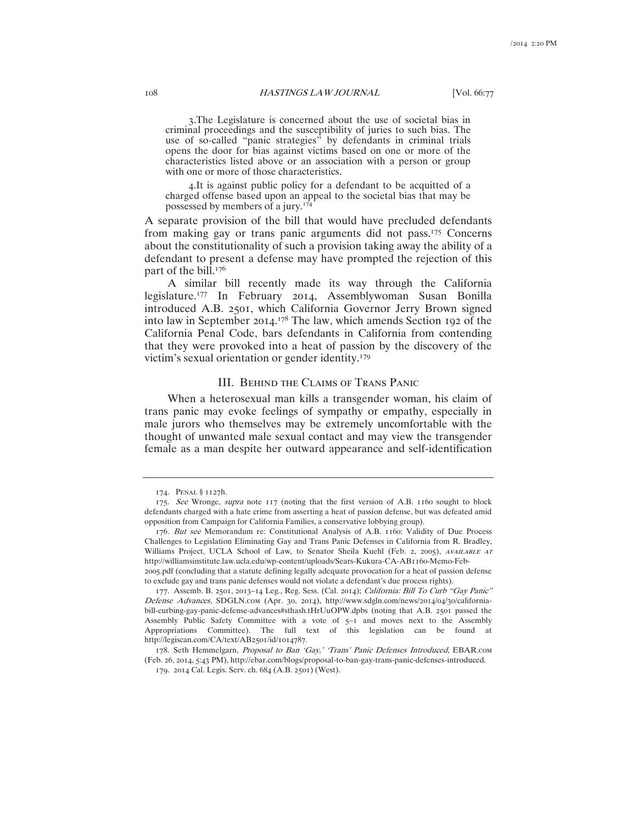3.The Legislature is concerned about the use of societal bias in criminal proceedings and the susceptibility of juries to such bias. The use of so-called "panic strategies" by defendants in criminal trials opens the door for bias against victims based on one or more of the characteristics listed above or an association with a person or group with one or more of those characteristics.

4.It is against public policy for a defendant to be acquitted of a charged offense based upon an appeal to the societal bias that may be possessed by members of a jury.<sup>174</sup>

A separate provision of the bill that would have precluded defendants from making gay or trans panic arguments did not pass.<sup>175</sup> Concerns about the constitutionality of such a provision taking away the ability of a defendant to present a defense may have prompted the rejection of this part of the bill.<sup>176</sup>

 A similar bill recently made its way through the California legislature.<sup>177</sup> In February 2014, Assemblywoman Susan Bonilla introduced A.B. 2501, which California Governor Jerry Brown signed into law in September 2014. <sup>178</sup> The law, which amends Section 192 of the California Penal Code, bars defendants in California from contending that they were provoked into a heat of passion by the discovery of the victim's sexual orientation or gender identity.<sup>179</sup>

#### III. Behind the Claims of Trans Panic

When a heterosexual man kills a transgender woman, his claim of trans panic may evoke feelings of sympathy or empathy, especially in male jurors who themselves may be extremely uncomfortable with the thought of unwanted male sexual contact and may view the transgender female as a man despite her outward appearance and self-identification

<sup>174</sup>. Penal § 1127h.

<sup>175</sup>. See Wronge, supra note 117 (noting that the first version of A.B. 1160 sought to block defendants charged with a hate crime from asserting a heat of passion defense, but was defeated amid opposition from Campaign for California Families, a conservative lobbying group).

<sup>176</sup>. But see Memorandum re: Constitutional Analysis of A.B. 1160: Validity of Due Process Challenges to Legislation Eliminating Gay and Trans Panic Defenses in California from R. Bradley, Williams Project, UCLA School of Law, to Senator Sheila Kuehl (Feb. 2, 2005), AVAILABLE AT http://williamsinstitute.law.ucla.edu/wp-content/uploads/Sears-Kukura-CA-AB1160-Memo-Feb-2005.pdf (concluding that a statute defining legally adequate provocation for a heat of passion defense

to exclude gay and trans panic defenses would not violate a defendant's due process rights).

<sup>177</sup>. Assemb. B. 2501, 2013–14 Leg., Reg. Sess. (Cal. 2014); California: Bill To Curb "Gay Panic" Defense Advances, SDGLN.com (Apr. 30, 2014), http://www.sdgln.com/news/2014/04/30/californiabill-curbing-gay-panic-defense-advances#sthash.tHrUuOPW.dpbs (noting that A.B. 2501 passed the Assembly Public Safety Committee with a vote of 5–1 and moves next to the Assembly Appropriations Committee). The full text of this legislation can be found at http://legiscan.com/CA/text/AB2501/id/1014787.

<sup>178</sup>. Seth Hemmelgarn, Proposal to Ban 'Gay,' 'Trans' Panic Defenses Introduced, EBAR.com (Feb. 26, 2014, 5:43 PM), http://ebar.com/blogs/proposal-to-ban-gay-trans-panic-defenses-introduced.

<sup>179</sup>. 2014 Cal. Legis. Serv. ch. 684 (A.B. 2501) (West).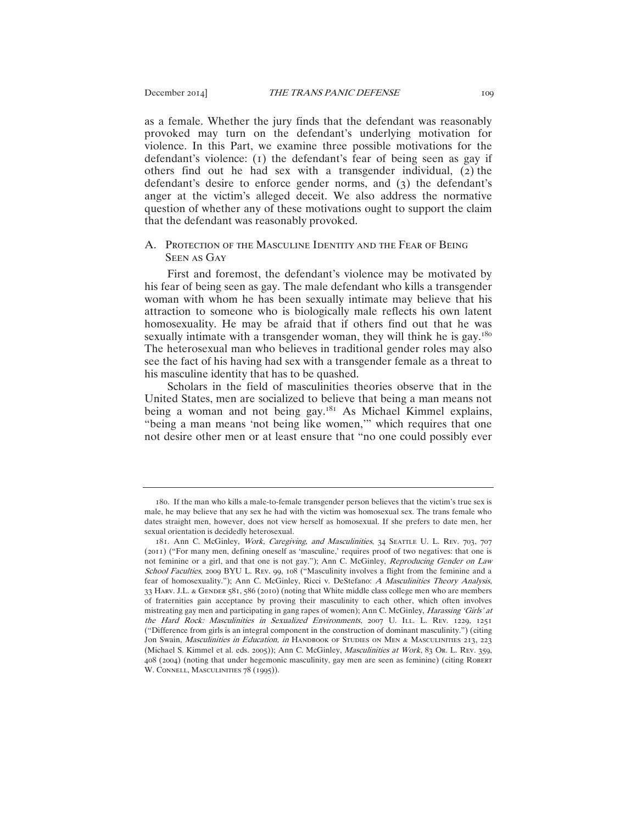as a female. Whether the jury finds that the defendant was reasonably provoked may turn on the defendant's underlying motivation for violence. In this Part, we examine three possible motivations for the defendant's violence: (1) the defendant's fear of being seen as gay if others find out he had sex with a transgender individual, (2) the defendant's desire to enforce gender norms, and (3) the defendant's anger at the victim's alleged deceit. We also address the normative question of whether any of these motivations ought to support the claim that the defendant was reasonably provoked.

### A. Protection of the Masculine Identity and the Fear of Being SEEN AS GAY

First and foremost, the defendant's violence may be motivated by his fear of being seen as gay. The male defendant who kills a transgender woman with whom he has been sexually intimate may believe that his attraction to someone who is biologically male reflects his own latent homosexuality. He may be afraid that if others find out that he was sexually intimate with a transgender woman, they will think he is gay.<sup>180</sup> The heterosexual man who believes in traditional gender roles may also see the fact of his having had sex with a transgender female as a threat to his masculine identity that has to be quashed.

Scholars in the field of masculinities theories observe that in the United States, men are socialized to believe that being a man means not being a woman and not being gay.<sup>181</sup> As Michael Kimmel explains, "being a man means 'not being like women,'" which requires that one not desire other men or at least ensure that "no one could possibly ever

<sup>180</sup>. If the man who kills a male-to-female transgender person believes that the victim's true sex is male, he may believe that any sex he had with the victim was homosexual sex. The trans female who dates straight men, however, does not view herself as homosexual. If she prefers to date men, her sexual orientation is decidedly heterosexual.

<sup>181</sup>. Ann C. McGinley, Work, Caregiving, and Masculinities, 34 Seattle U. L. Rev. 703, 707 (2011) ("For many men, defining oneself as 'masculine,' requires proof of two negatives: that one is not feminine or a girl, and that one is not gay."); Ann C. McGinley, Reproducing Gender on Law School Faculties, 2009 BYU L. Rev. 99, 108 ("Masculinity involves a flight from the feminine and a fear of homosexuality."); Ann C. McGinley, Ricci v. DeStefano: A Masculinities Theory Analysis, 33 Harv. J.L. & GENDER 581, 586 (2010) (noting that White middle class college men who are members of fraternities gain acceptance by proving their masculinity to each other, which often involves mistreating gay men and participating in gang rapes of women); Ann C. McGinley, Harassing 'Girls' at the Hard Rock: Masculinities in Sexualized Environments, 2007 U. Ill. L. Rev. 1229, 1251 ("Difference from girls is an integral component in the construction of dominant masculinity.") (citing Jon Swain, Masculinities in Education, in HANDBOOK OF STUDIES ON MEN & MASCULINITIES 213, 223 (Michael S. Kimmel et al. eds. 2005)); Ann C. McGinley, *Masculinities at Work*, 83 Or. L. REV. 359, 408 (2004) (noting that under hegemonic masculinity, gay men are seen as feminine) (citing Robert W. CONNELL, MASCULINITIES 78 (1995)).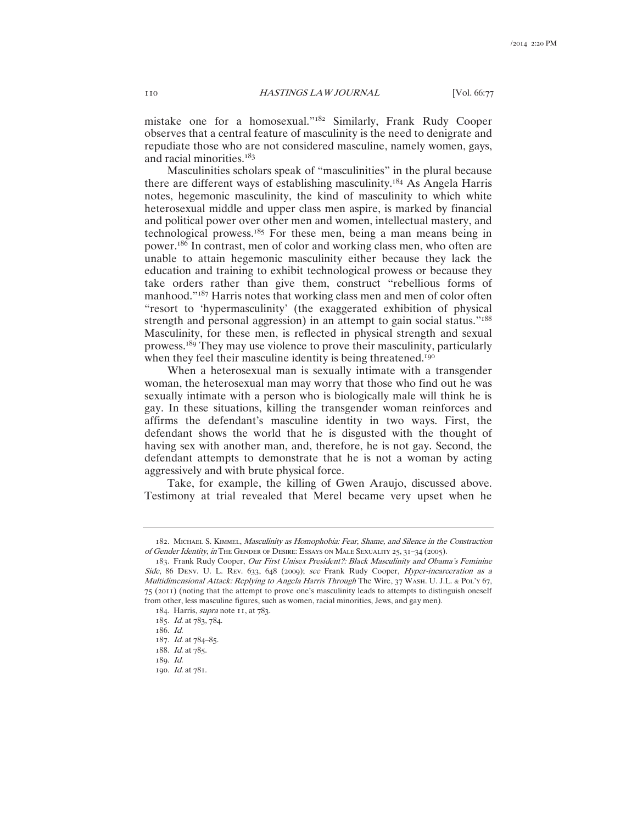mistake one for a homosexual."<sup>182</sup> Similarly, Frank Rudy Cooper observes that a central feature of masculinity is the need to denigrate and repudiate those who are not considered masculine, namely women, gays, and racial minorities.<sup>183</sup>

Masculinities scholars speak of "masculinities" in the plural because there are different ways of establishing masculinity.<sup>184</sup> As Angela Harris notes, hegemonic masculinity, the kind of masculinity to which white heterosexual middle and upper class men aspire, is marked by financial and political power over other men and women, intellectual mastery, and technological prowess.<sup>185</sup> For these men, being a man means being in power.<sup>186</sup> In contrast, men of color and working class men, who often are unable to attain hegemonic masculinity either because they lack the education and training to exhibit technological prowess or because they take orders rather than give them, construct "rebellious forms of manhood."<sup>187</sup> Harris notes that working class men and men of color often "resort to 'hypermasculinity' (the exaggerated exhibition of physical strength and personal aggression) in an attempt to gain social status."<sup>188</sup> Masculinity, for these men, is reflected in physical strength and sexual prowess.<sup>189</sup> They may use violence to prove their masculinity, particularly when they feel their masculine identity is being threatened.<sup>190</sup>

When a heterosexual man is sexually intimate with a transgender woman, the heterosexual man may worry that those who find out he was sexually intimate with a person who is biologically male will think he is gay. In these situations, killing the transgender woman reinforces and affirms the defendant's masculine identity in two ways. First, the defendant shows the world that he is disgusted with the thought of having sex with another man, and, therefore, he is not gay. Second, the defendant attempts to demonstrate that he is not a woman by acting aggressively and with brute physical force.

Take, for example, the killing of Gwen Araujo, discussed above. Testimony at trial revealed that Merel became very upset when he

<sup>182</sup>. Michael S. Kimmel, Masculinity as Homophobia: Fear, Shame, and Silence in the Construction of Gender Identity, in The Gender of Desire: Essays on Male Sexuality 25, 31–34 (2005).

<sup>183</sup>. Frank Rudy Cooper, Our First Unisex President?: Black Masculinity and Obama's Feminine Side, 86 DENV. U. L. REV. 633, 648 (2009); see Frank Rudy Cooper, Hyper-incarceration as a Multidimensional Attack: Replying to Angela Harris Through The Wire, 37 Wash. U. J.L. & Pol'y 67, 75 (2011) (noting that the attempt to prove one's masculinity leads to attempts to distinguish oneself from other, less masculine figures, such as women, racial minorities, Jews, and gay men).

<sup>184</sup>. Harris, supra note 11, at 783.

<sup>185</sup>. Id. at 783, 784.

<sup>186</sup>. Id.

<sup>187</sup>. Id. at 784–85.

<sup>188</sup>. Id. at 785.

<sup>189</sup>. Id.

<sup>190</sup>. Id. at 781.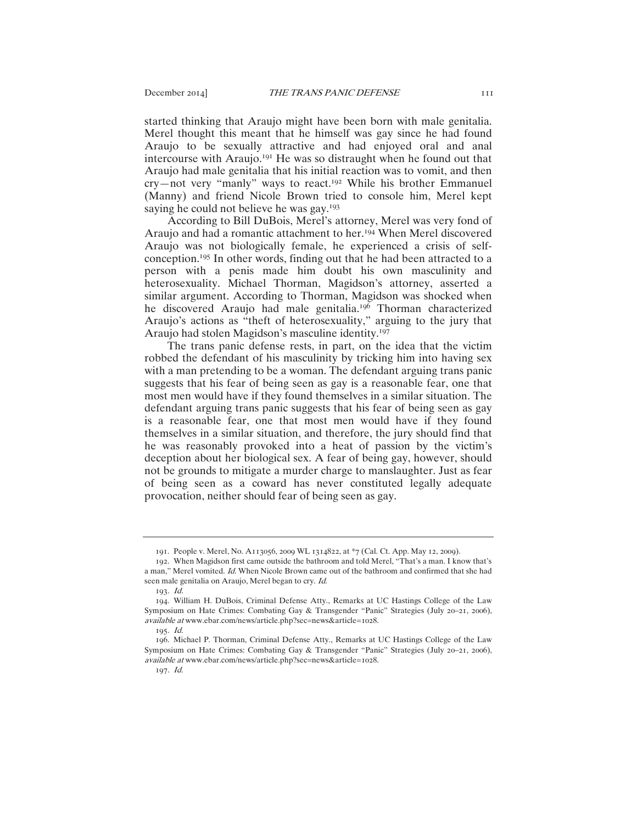started thinking that Araujo might have been born with male genitalia. Merel thought this meant that he himself was gay since he had found Araujo to be sexually attractive and had enjoyed oral and anal intercourse with Araujo.<sup>191</sup> He was so distraught when he found out that Araujo had male genitalia that his initial reaction was to vomit, and then cry—not very "manly" ways to react.<sup>192</sup> While his brother Emmanuel (Manny) and friend Nicole Brown tried to console him, Merel kept saying he could not believe he was gay.<sup>193</sup>

According to Bill DuBois, Merel's attorney, Merel was very fond of Araujo and had a romantic attachment to her.<sup>194</sup> When Merel discovered Araujo was not biologically female, he experienced a crisis of selfconception.<sup>195</sup> In other words, finding out that he had been attracted to a person with a penis made him doubt his own masculinity and heterosexuality. Michael Thorman, Magidson's attorney, asserted a similar argument. According to Thorman, Magidson was shocked when he discovered Araujo had male genitalia.<sup>196</sup> Thorman characterized Araujo's actions as "theft of heterosexuality," arguing to the jury that Araujo had stolen Magidson's masculine identity.<sup>197</sup>

The trans panic defense rests, in part, on the idea that the victim robbed the defendant of his masculinity by tricking him into having sex with a man pretending to be a woman. The defendant arguing trans panic suggests that his fear of being seen as gay is a reasonable fear, one that most men would have if they found themselves in a similar situation. The defendant arguing trans panic suggests that his fear of being seen as gay is a reasonable fear, one that most men would have if they found themselves in a similar situation, and therefore, the jury should find that he was reasonably provoked into a heat of passion by the victim's deception about her biological sex. A fear of being gay, however, should not be grounds to mitigate a murder charge to manslaughter. Just as fear of being seen as a coward has never constituted legally adequate provocation, neither should fear of being seen as gay.

<sup>191</sup>. People v. Merel, No. A113056, 2009 WL 1314822, at \*7 (Cal. Ct. App. May 12, 2009).

<sup>192</sup>. When Magidson first came outside the bathroom and told Merel, "That's a man. I know that's a man," Merel vomited. Id. When Nicole Brown came out of the bathroom and confirmed that she had seen male genitalia on Araujo, Merel began to cry. Id.

 $103.$  Id.

<sup>194</sup>. William H. DuBois, Criminal Defense Atty., Remarks at UC Hastings College of the Law Symposium on Hate Crimes: Combating Gay & Transgender "Panic" Strategies (July 20–21, 2006), available at www.ebar.com/news/article.php?sec=news&article=1028.

<sup>195</sup>. Id.

<sup>196</sup>. Michael P. Thorman, Criminal Defense Atty., Remarks at UC Hastings College of the Law Symposium on Hate Crimes: Combating Gay & Transgender "Panic" Strategies (July 20–21, 2006), available at www.ebar.com/news/article.php?sec=news&article=1028.

<sup>197</sup>. Id.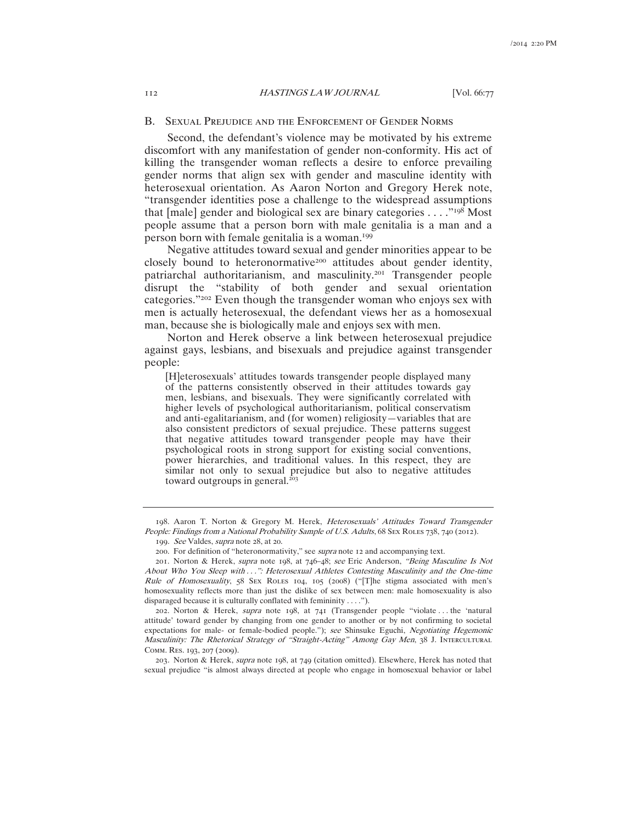#### B. SEXUAL PREJUDICE AND THE ENFORCEMENT OF GENDER NORMS

Second, the defendant's violence may be motivated by his extreme discomfort with any manifestation of gender non-conformity. His act of killing the transgender woman reflects a desire to enforce prevailing gender norms that align sex with gender and masculine identity with heterosexual orientation. As Aaron Norton and Gregory Herek note, "transgender identities pose a challenge to the widespread assumptions that [male] gender and biological sex are binary categories . . . ."<sup>198</sup> Most people assume that a person born with male genitalia is a man and a person born with female genitalia is a woman.<sup>199</sup>

Negative attitudes toward sexual and gender minorities appear to be closely bound to heteronormative<sup>200</sup> attitudes about gender identity, patriarchal authoritarianism, and masculinity.<sup>201</sup> Transgender people disrupt the "stability of both gender and sexual orientation categories."<sup>202</sup> Even though the transgender woman who enjoys sex with men is actually heterosexual, the defendant views her as a homosexual man, because she is biologically male and enjoys sex with men.

Norton and Herek observe a link between heterosexual prejudice against gays, lesbians, and bisexuals and prejudice against transgender people:

[H]eterosexuals' attitudes towards transgender people displayed many of the patterns consistently observed in their attitudes towards gay men, lesbians, and bisexuals. They were significantly correlated with higher levels of psychological authoritarianism, political conservatism and anti-egalitarianism, and (for women) religiosity—variables that are also consistent predictors of sexual prejudice. These patterns suggest that negative attitudes toward transgender people may have their psychological roots in strong support for existing social conventions, power hierarchies, and traditional values. In this respect, they are similar not only to sexual prejudice but also to negative attitudes toward outgroups in general. $^{203}$ 

203. Norton & Herek, supra note 198, at 749 (citation omitted). Elsewhere, Herek has noted that sexual prejudice "is almost always directed at people who engage in homosexual behavior or label

<sup>198</sup>. Aaron T. Norton & Gregory M. Herek, Heterosexuals' Attitudes Toward Transgender People: Findings from a National Probability Sample of U.S. Adults, 68 SEX ROLES 738, 740 (2012).

<sup>199</sup>. See Valdes, supra note 28, at 20.

<sup>200</sup>. For definition of "heteronormativity," see supra note 12 and accompanying text.

<sup>201</sup>. Norton & Herek, supra note 198, at 746–48; see Eric Anderson, "Being Masculine Is Not About Who You Sleep with . . .": Heterosexual Athletes Contesting Masculinity and the One-time Rule of Homosexuality, 58 Sex Roles 104, 105 (2008) ("[T]he stigma associated with men's homosexuality reflects more than just the dislike of sex between men: male homosexuality is also disparaged because it is culturally conflated with femininity . . . .").

<sup>202</sup>. Norton & Herek, supra note 198, at 741 (Transgender people "violate . . . the 'natural attitude' toward gender by changing from one gender to another or by not confirming to societal expectations for male- or female-bodied people."); see Shinsuke Eguchi, Negotiating Hegemonic Masculinity: The Rhetorical Strategy of "Straight-Acting" Among Gay Men, 38 J. INTERCULTURAL Comm. Res. 193, 207 (2009).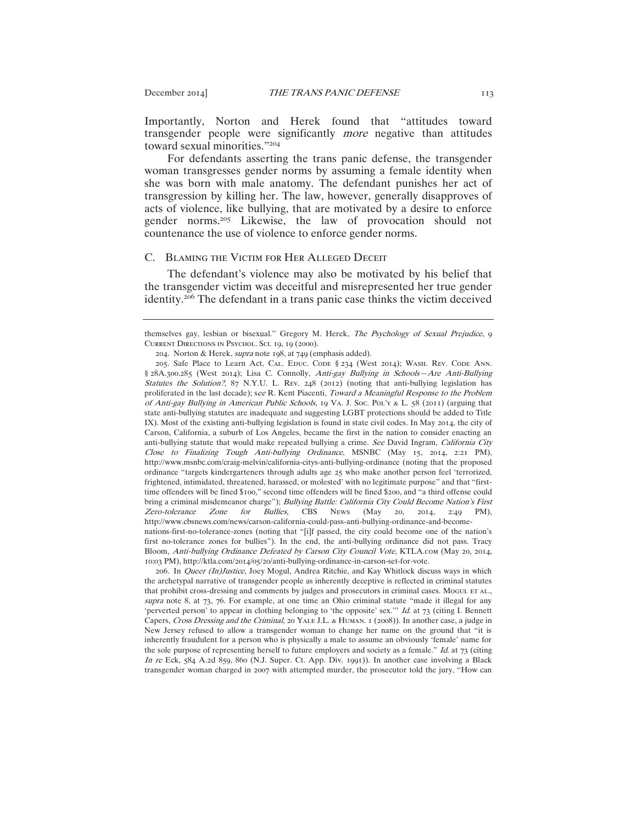Importantly, Norton and Herek found that "attitudes toward transgender people were significantly more negative than attitudes toward sexual minorities."<sup>204</sup>

For defendants asserting the trans panic defense, the transgender woman transgresses gender norms by assuming a female identity when she was born with male anatomy. The defendant punishes her act of transgression by killing her. The law, however, generally disapproves of acts of violence, like bullying, that are motivated by a desire to enforce gender norms.<sup>205</sup> Likewise, the law of provocation should not countenance the use of violence to enforce gender norms.

#### C. Blaming the Victim for Her Alleged Deceit

The defendant's violence may also be motivated by his belief that the transgender victim was deceitful and misrepresented her true gender identity.<sup>206</sup> The defendant in a trans panic case thinks the victim deceived

206. In Queer (In)Justice, Joey Mogul, Andrea Ritchie, and Kay Whitlock discuss ways in which the archetypal narrative of transgender people as inherently deceptive is reflected in criminal statutes that prohibit cross-dressing and comments by judges and prosecutors in criminal cases. Mogul ET AL., supra note 8, at  $73$ ,  $76$ . For example, at one time an Ohio criminal statute "made it illegal for any 'perverted person' to appear in clothing belonging to 'the opposite' sex.'" Id. at 73 (citing I. Bennett Capers, Cross Dressing and the Criminal, 20 Yale J.L. & Human. 1 (2008)). In another case, a judge in New Jersey refused to allow a transgender woman to change her name on the ground that "it is inherently fraudulent for a person who is physically a male to assume an obviously 'female' name for the sole purpose of representing herself to future employers and society as a female." Id. at 73 (citing In re Eck, 584 A.2d 859, 860 (N.J. Super. Ct. App. Div. 1991)). In another case involving a Black transgender woman charged in 2007 with attempted murder, the prosecutor told the jury, "How can

themselves gay, lesbian or bisexual." Gregory M. Herek, The Psychology of Sexual Prejudice, 9 Current Directions in Psychol. Sci. 19, 19 (2000).

<sup>204</sup>. Norton & Herek, supra note 198, at 749 (emphasis added).

<sup>205</sup>. Safe Place to Learn Act, Cal. Educ. Code § 234 (West 2014); Wash. Rev. Code Ann. § 28A.300.285 (West 2014); Lisa C. Connolly, Anti-gay Bullying in Schools-Are Anti-Bullying Statutes the Solution?, 87 N.Y.U. L. Rev. 248 (2012) (noting that anti-bullying legislation has proliferated in the last decade); see R. Kent Piacenti, *Toward a Meaningful Response to the Problem* of Anti-gay Bullying in American Public Schools, 19 Va. J. Soc. Pol'y & L. 58 (2011) (arguing that state anti-bullying statutes are inadequate and suggesting LGBT protections should be added to Title IX). Most of the existing anti-bullying legislation is found in state civil codes. In May 2014, the city of Carson, California, a suburb of Los Angeles, became the first in the nation to consider enacting an anti-bullying statute that would make repeated bullying a crime. See David Ingram, California City Close to Finalizing Tough Anti-bullying Ordinance, MSNBC (May 15, 2014, 2:21 PM), http://www.msnbc.com/craig-melvin/california-citys-anti-bullying-ordinance (noting that the proposed ordinance "targets kindergarteners through adults age 25 who make another person feel 'terrorized, frightened, intimidated, threatened, harassed, or molested' with no legitimate purpose" and that "firsttime offenders will be fined \$100," second time offenders will be fined \$200, and "a third offense could bring a criminal misdemeanor charge"); Bullying Battle: California City Could Become Nation's First<br>Zero-tolerance Zone for Bullies, CBS News (May 20, 2014. 2:40 PM). Zero-tolerance Zone for Bullies, CBS News (May 20, 2014, 2:49 PM), http://www.cbsnews.com/news/carson-california-could-pass-anti-bullying-ordinance-and-becomenations-first-no-tolerance-zones (noting that "[i]f passed, the city could become one of the nation's first no-tolerance zones for bullies"). In the end, the anti-bullying ordinance did not pass. Tracy Bloom, Anti-bullying Ordinance Defeated by Carson City Council Vote, KTLA.com (May 20, 2014, 10:03 PM), http://ktla.com/2014/05/20/anti-bullying-ordinance-in-carson-set-for-vote.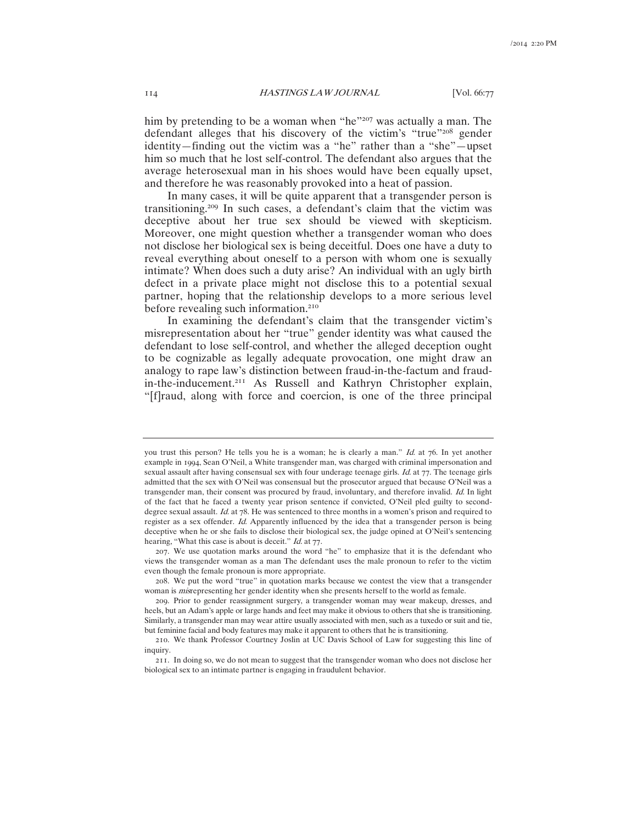him by pretending to be a woman when "he"<sup>207</sup> was actually a man. The defendant alleges that his discovery of the victim's "true"<sup>208</sup> gender identity—finding out the victim was a "he" rather than a "she"—upset him so much that he lost self-control. The defendant also argues that the average heterosexual man in his shoes would have been equally upset, and therefore he was reasonably provoked into a heat of passion.

In many cases, it will be quite apparent that a transgender person is transitioning.<sup>209</sup> In such cases, a defendant's claim that the victim was deceptive about her true sex should be viewed with skepticism. Moreover, one might question whether a transgender woman who does not disclose her biological sex is being deceitful. Does one have a duty to reveal everything about oneself to a person with whom one is sexually intimate? When does such a duty arise? An individual with an ugly birth defect in a private place might not disclose this to a potential sexual partner, hoping that the relationship develops to a more serious level before revealing such information.<sup>210</sup>

In examining the defendant's claim that the transgender victim's misrepresentation about her "true" gender identity was what caused the defendant to lose self-control, and whether the alleged deception ought to be cognizable as legally adequate provocation, one might draw an analogy to rape law's distinction between fraud-in-the-factum and fraudin-the-inducement.<sup>211</sup> As Russell and Kathryn Christopher explain, "[f]raud, along with force and coercion, is one of the three principal

207. We use quotation marks around the word "he" to emphasize that it is the defendant who views the transgender woman as a man The defendant uses the male pronoun to refer to the victim even though the female pronoun is more appropriate.

you trust this person? He tells you he is a woman; he is clearly a man." Id. at 76. In yet another example in 1994, Sean O'Neil, a White transgender man, was charged with criminal impersonation and sexual assault after having consensual sex with four underage teenage girls. Id. at 77. The teenage girls admitted that the sex with O'Neil was consensual but the prosecutor argued that because O'Neil was a transgender man, their consent was procured by fraud, involuntary, and therefore invalid. Id. In light of the fact that he faced a twenty year prison sentence if convicted, O'Neil pled guilty to seconddegree sexual assault. Id. at 78. He was sentenced to three months in a women's prison and required to register as a sex offender. Id. Apparently influenced by the idea that a transgender person is being deceptive when he or she fails to disclose their biological sex, the judge opined at O'Neil's sentencing hearing, "What this case is about is deceit." *Id.* at 77.

<sup>208</sup>. We put the word "true" in quotation marks because we contest the view that a transgender woman is misrepresenting her gender identity when she presents herself to the world as female.

<sup>209</sup>. Prior to gender reassignment surgery, a transgender woman may wear makeup, dresses, and heels, but an Adam's apple or large hands and feet may make it obvious to others that she is transitioning. Similarly, a transgender man may wear attire usually associated with men, such as a tuxedo or suit and tie, but feminine facial and body features may make it apparent to others that he is transitioning.

<sup>210</sup>. We thank Professor Courtney Joslin at UC Davis School of Law for suggesting this line of inquiry.

<sup>211</sup>. In doing so, we do not mean to suggest that the transgender woman who does not disclose her biological sex to an intimate partner is engaging in fraudulent behavior.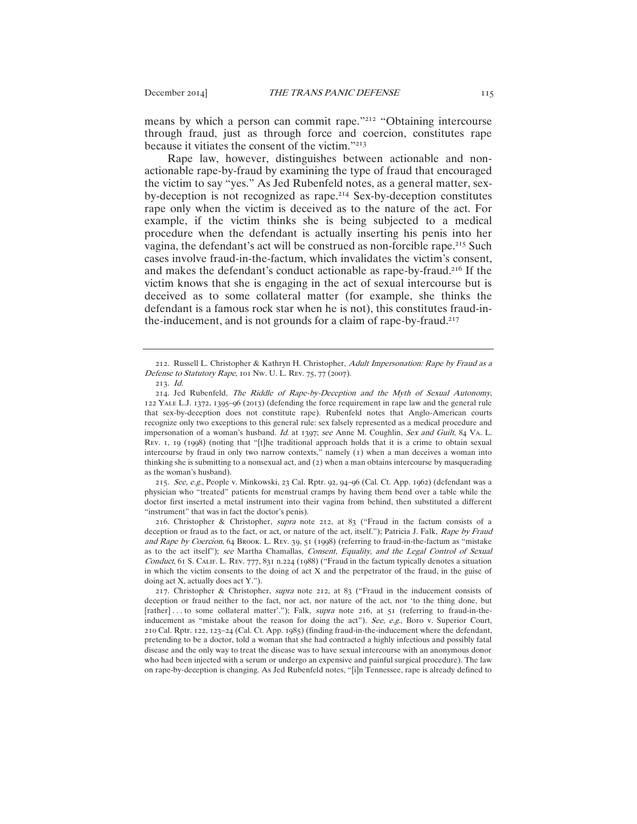means by which a person can commit rape."<sup>212</sup> "Obtaining intercourse through fraud, just as through force and coercion, constitutes rape because it vitiates the consent of the victim."<sup>213</sup>

Rape law, however, distinguishes between actionable and nonactionable rape-by-fraud by examining the type of fraud that encouraged the victim to say "yes." As Jed Rubenfeld notes, as a general matter, sexby-deception is not recognized as rape.<sup>214</sup> Sex-by-deception constitutes rape only when the victim is deceived as to the nature of the act. For example, if the victim thinks she is being subjected to a medical procedure when the defendant is actually inserting his penis into her vagina, the defendant's act will be construed as non-forcible rape.<sup>215</sup> Such cases involve fraud-in-the-factum, which invalidates the victim's consent, and makes the defendant's conduct actionable as rape-by-fraud.<sup>216</sup> If the victim knows that she is engaging in the act of sexual intercourse but is deceived as to some collateral matter (for example, she thinks the defendant is a famous rock star when he is not), this constitutes fraud-inthe-inducement, and is not grounds for a claim of rape-by-fraud.<sup>217</sup>

215. See, e.g., People v. Minkowski, 23 Cal. Rptr. 92, 94–96 (Cal. Ct. App. 1962) (defendant was a physician who "treated" patients for menstrual cramps by having them bend over a table while the doctor first inserted a metal instrument into their vagina from behind, then substituted a different "instrument" that was in fact the doctor's penis).

216. Christopher & Christopher, supra note 212, at 83 ("Fraud in the factum consists of a deception or fraud as to the fact, or act, or nature of the act, itself."); Patricia J. Falk, Rape by Fraud and Rape by Coercion, 64 Brook. L. Rev. 39, 51 (1998) (referring to fraud-in-the-factum as "mistake as to the act itself"); see Martha Chamallas, Consent, Equality, and the Legal Control of Sexual Conduct, 61 S. CALIF. L. REV. 777, 831 n.224 (1988) ("Fraud in the factum typically denotes a situation in which the victim consents to the doing of act X and the perpetrator of the fraud, in the guise of doing act X, actually does act Y.").

217. Christopher & Christopher, supra note 212, at 83 ("Fraud in the inducement consists of deception or fraud neither to the fact, nor act, nor nature of the act, nor 'to the thing done, but [rather] ... to some collateral matter'."); Falk, supra note 216, at 51 (referring to fraud-in-theinducement as "mistake about the reason for doing the act"). See, e.g., Boro v. Superior Court, 210 Cal. Rptr. 122, 123–24 (Cal. Ct. App. 1985) (finding fraud-in-the-inducement where the defendant, pretending to be a doctor, told a woman that she had contracted a highly infectious and possibly fatal disease and the only way to treat the disease was to have sexual intercourse with an anonymous donor who had been injected with a serum or undergo an expensive and painful surgical procedure). The law on rape-by-deception is changing. As Jed Rubenfeld notes, "[i]n Tennessee, rape is already defined to

<sup>212</sup>. Russell L. Christopher & Kathryn H. Christopher, Adult Impersonation: Rape by Fraud as a Defense to Statutory Rape, 101 Nw. U. L. Rev. 75, 77 (2007).

<sup>213</sup>. Id.

<sup>214</sup>. Jed Rubenfeld, The Riddle of Rape-by-Deception and the Myth of Sexual Autonomy, 122 Yale L.J. 1372, 1395–96 (2013) (defending the force requirement in rape law and the general rule that sex-by-deception does not constitute rape). Rubenfeld notes that Anglo-American courts recognize only two exceptions to this general rule: sex falsely represented as a medical procedure and impersonation of a woman's husband. Id. at 1397; see Anne M. Coughlin, Sex and Guilt, 84 VA. L. Rev. 1, 19 (1998) (noting that "[t]he traditional approach holds that it is a crime to obtain sexual intercourse by fraud in only two narrow contexts," namely (1) when a man deceives a woman into thinking she is submitting to a nonsexual act, and (2) when a man obtains intercourse by masquerading as the woman's husband).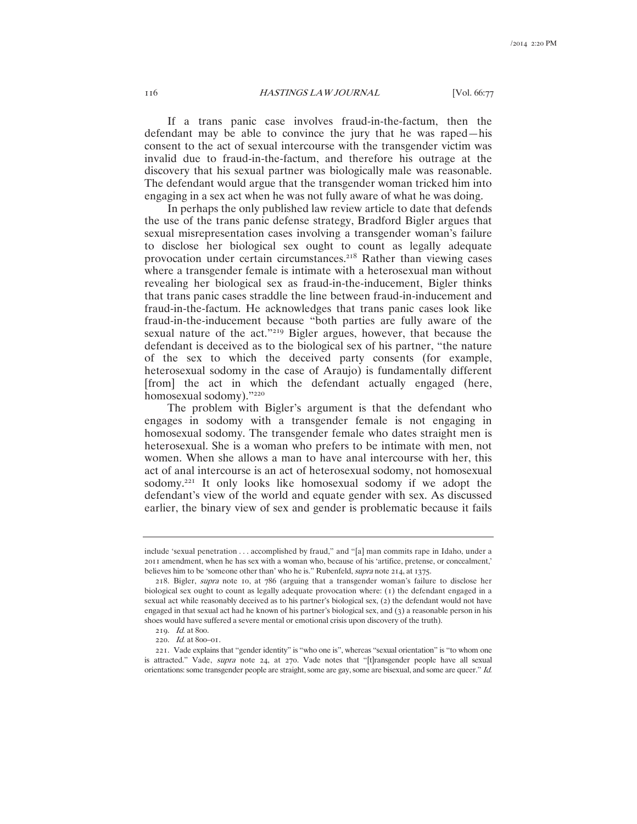If a trans panic case involves fraud-in-the-factum, then the defendant may be able to convince the jury that he was raped—his consent to the act of sexual intercourse with the transgender victim was invalid due to fraud-in-the-factum, and therefore his outrage at the discovery that his sexual partner was biologically male was reasonable. The defendant would argue that the transgender woman tricked him into engaging in a sex act when he was not fully aware of what he was doing.

In perhaps the only published law review article to date that defends the use of the trans panic defense strategy, Bradford Bigler argues that sexual misrepresentation cases involving a transgender woman's failure to disclose her biological sex ought to count as legally adequate provocation under certain circumstances.<sup>218</sup> Rather than viewing cases where a transgender female is intimate with a heterosexual man without revealing her biological sex as fraud-in-the-inducement, Bigler thinks that trans panic cases straddle the line between fraud-in-inducement and fraud-in-the-factum. He acknowledges that trans panic cases look like fraud-in-the-inducement because "both parties are fully aware of the sexual nature of the act."<sup>219</sup> Bigler argues, however, that because the defendant is deceived as to the biological sex of his partner, "the nature of the sex to which the deceived party consents (for example, heterosexual sodomy in the case of Araujo) is fundamentally different [from] the act in which the defendant actually engaged (here, homosexual sodomy)."<sup>220</sup>

The problem with Bigler's argument is that the defendant who engages in sodomy with a transgender female is not engaging in homosexual sodomy. The transgender female who dates straight men is heterosexual. She is a woman who prefers to be intimate with men, not women. When she allows a man to have anal intercourse with her, this act of anal intercourse is an act of heterosexual sodomy, not homosexual sodomy.<sup>221</sup> It only looks like homosexual sodomy if we adopt the defendant's view of the world and equate gender with sex. As discussed earlier, the binary view of sex and gender is problematic because it fails

include 'sexual penetration . . . accomplished by fraud," and "[a] man commits rape in Idaho, under a 2011 amendment, when he has sex with a woman who, because of his 'artifice, pretense, or concealment,' believes him to be 'someone other than' who he is." Rubenfeld, supra note 214, at 1375.

<sup>218</sup>. Bigler, supra note 10, at 786 (arguing that a transgender woman's failure to disclose her biological sex ought to count as legally adequate provocation where:  $(i)$  the defendant engaged in a sexual act while reasonably deceived as to his partner's biological sex, (2) the defendant would not have engaged in that sexual act had he known of his partner's biological sex, and (3) a reasonable person in his shoes would have suffered a severe mental or emotional crisis upon discovery of the truth).

<sup>219</sup>. Id. at 800.

<sup>220</sup>. Id. at 800–01.

<sup>221</sup>. Vade explains that "gender identity" is "who one is", whereas "sexual orientation" is "to whom one is attracted." Vade, *supra* note 24, at 270. Vade notes that "[t]ransgender people have all sexual orientations: some transgender people are straight, some are gay, some are bisexual, and some are queer." Id.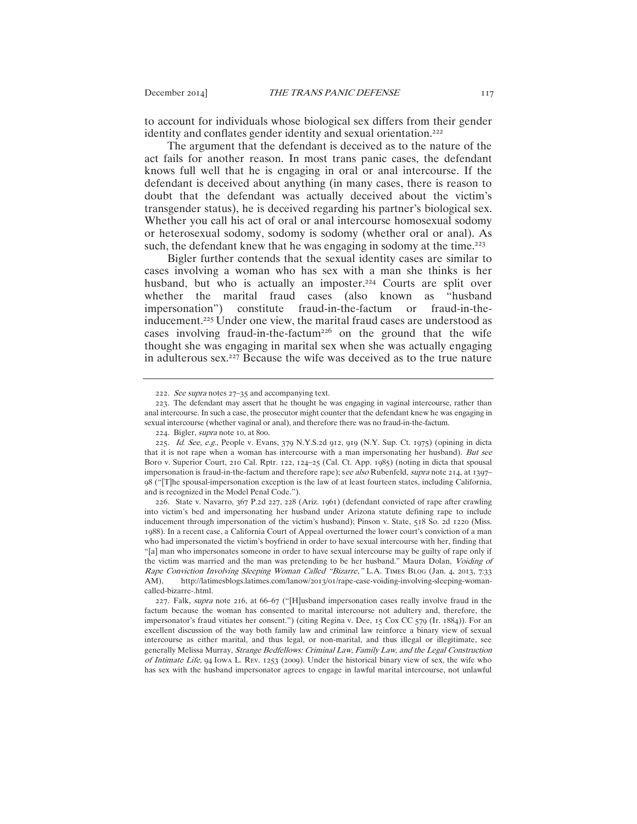to account for individuals whose biological sex differs from their gender identity and conflates gender identity and sexual orientation.<sup>222</sup>

The argument that the defendant is deceived as to the nature of the act fails for another reason. In most trans panic cases, the defendant knows full well that he is engaging in oral or anal intercourse. If the defendant is deceived about anything (in many cases, there is reason to doubt that the defendant was actually deceived about the victim's transgender status), he is deceived regarding his partner's biological sex. Whether you call his act of oral or anal intercourse homosexual sodomy or heterosexual sodomy, sodomy is sodomy (whether oral or anal). As such, the defendant knew that he was engaging in sodomy at the time.<sup>223</sup>

Bigler further contends that the sexual identity cases are similar to cases involving a woman who has sex with a man she thinks is her husband, but who is actually an imposter.<sup>224</sup> Courts are split over whether the marital fraud cases (also known as "husband" impersonation") constitute fraud-in-the-factum or fraud-in-theinducement.<sup>225</sup> Under one view, the marital fraud cases are understood as cases involving fraud-in-the-factum<sup>226</sup> on the ground that the wife thought she was engaging in marital sex when she was actually engaging in adulterous sex.<sup>227</sup> Because the wife was deceived as to the true nature

226. State v. Navarro, 367 P.2d 227, 228 (Ariz. 1961) (defendant convicted of rape after crawling into victim's bed and impersonating her husband under Arizona statute defining rape to include inducement through impersonation of the victim's husband); Pinson v. State, 518 So. 2d 1220 (Miss. 1988). In a recent case, a California Court of Appeal overturned the lower court's conviction of a man who had impersonated the victim's boyfriend in order to have sexual intercourse with her, finding that "[a] man who impersonates someone in order to have sexual intercourse may be guilty of rape only if the victim was married and the man was pretending to be her husband." Maura Dolan, Voiding of Rape Conviction Involving Sleeping Woman Called "Bizarre," L.A. Times Blog (Jan. 4, 2013, 7:33 AM), http://latimesblogs.latimes.com/lanow/2013/01/rape-case-voiding-involving-sleeping-womancalled-bizarre-.html.

227. Falk, supra note 216, at 66–67 ("[H]usband impersonation cases really involve fraud in the factum because the woman has consented to marital intercourse not adultery and, therefore, the impersonator's fraud vitiates her consent.") (citing Regina v. Dee, 15 Cox CC 579 (Ir. 1884)). For an excellent discussion of the way both family law and criminal law reinforce a binary view of sexual intercourse as either marital, and thus legal, or non-marital, and thus illegal or illegitimate, see generally Melissa Murray, Strange Bedfellows: Criminal Law, Family Law, and the Legal Construction of Intimate Life, 94 Iowa L. Rev. 1253 (2009). Under the historical binary view of sex, the wife who has sex with the husband impersonator agrees to engage in lawful marital intercourse, not unlawful

<sup>222</sup>. See supra notes 27–35 and accompanying text.

<sup>223</sup>. The defendant may assert that he thought he was engaging in vaginal intercourse, rather than anal intercourse. In such a case, the prosecutor might counter that the defendant knew he was engaging in sexual intercourse (whether vaginal or anal), and therefore there was no fraud-in-the-factum.

<sup>224</sup>. Bigler, supra note 10, at 800.

<sup>225</sup>. Id. See, e.g., People v. Evans, 379 N.Y.S.2d 912, 919 (N.Y. Sup. Ct. 1975) (opining in dicta that it is not rape when a woman has intercourse with a man impersonating her husband). But see Boro v. Superior Court, 210 Cal. Rptr. 122, 124–25 (Cal. Ct. App. 1985) (noting in dicta that spousal impersonation is fraud-in-the-factum and therefore rape); see also Rubenfeld, supra note 214, at 1397– 98 ("[T]he spousal-impersonation exception is the law of at least fourteen states, including California, and is recognized in the Model Penal Code.").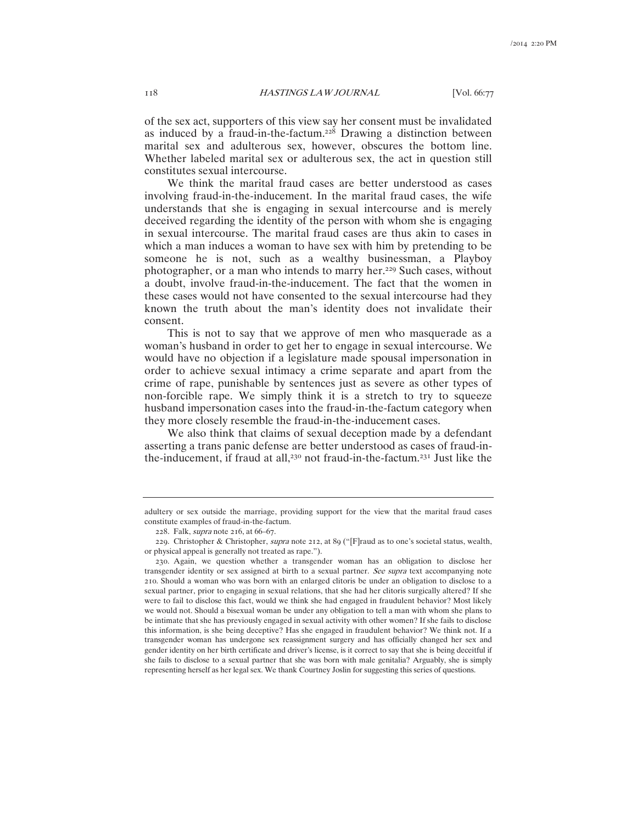of the sex act, supporters of this view say her consent must be invalidated as induced by a fraud-in-the-factum.<sup>228</sup> Drawing a distinction between marital sex and adulterous sex, however, obscures the bottom line. Whether labeled marital sex or adulterous sex, the act in question still constitutes sexual intercourse.

We think the marital fraud cases are better understood as cases involving fraud-in-the-inducement. In the marital fraud cases, the wife understands that she is engaging in sexual intercourse and is merely deceived regarding the identity of the person with whom she is engaging in sexual intercourse. The marital fraud cases are thus akin to cases in which a man induces a woman to have sex with him by pretending to be someone he is not, such as a wealthy businessman, a Playboy photographer, or a man who intends to marry her.<sup>229</sup> Such cases, without a doubt, involve fraud-in-the-inducement. The fact that the women in these cases would not have consented to the sexual intercourse had they known the truth about the man's identity does not invalidate their consent.

This is not to say that we approve of men who masquerade as a woman's husband in order to get her to engage in sexual intercourse. We would have no objection if a legislature made spousal impersonation in order to achieve sexual intimacy a crime separate and apart from the crime of rape, punishable by sentences just as severe as other types of non-forcible rape. We simply think it is a stretch to try to squeeze husband impersonation cases into the fraud-in-the-factum category when they more closely resemble the fraud-in-the-inducement cases.

We also think that claims of sexual deception made by a defendant asserting a trans panic defense are better understood as cases of fraud-inthe-inducement, if fraud at all,<sup>230</sup> not fraud-in-the-factum.<sup>231</sup> Just like the

adultery or sex outside the marriage, providing support for the view that the marital fraud cases constitute examples of fraud-in-the-factum.

<sup>228</sup>. Falk, supra note 216, at 66–67.

<sup>229</sup>. Christopher & Christopher, supra note 212, at 89 ("[F]raud as to one's societal status, wealth, or physical appeal is generally not treated as rape.").

<sup>230</sup>. Again, we question whether a transgender woman has an obligation to disclose her transgender identity or sex assigned at birth to a sexual partner. See supra text accompanying note 210. Should a woman who was born with an enlarged clitoris be under an obligation to disclose to a sexual partner, prior to engaging in sexual relations, that she had her clitoris surgically altered? If she were to fail to disclose this fact, would we think she had engaged in fraudulent behavior? Most likely we would not. Should a bisexual woman be under any obligation to tell a man with whom she plans to be intimate that she has previously engaged in sexual activity with other women? If she fails to disclose this information, is she being deceptive? Has she engaged in fraudulent behavior? We think not. If a transgender woman has undergone sex reassignment surgery and has officially changed her sex and gender identity on her birth certificate and driver's license, is it correct to say that she is being deceitful if she fails to disclose to a sexual partner that she was born with male genitalia? Arguably, she is simply representing herself as her legal sex. We thank Courtney Joslin for suggesting this series of questions.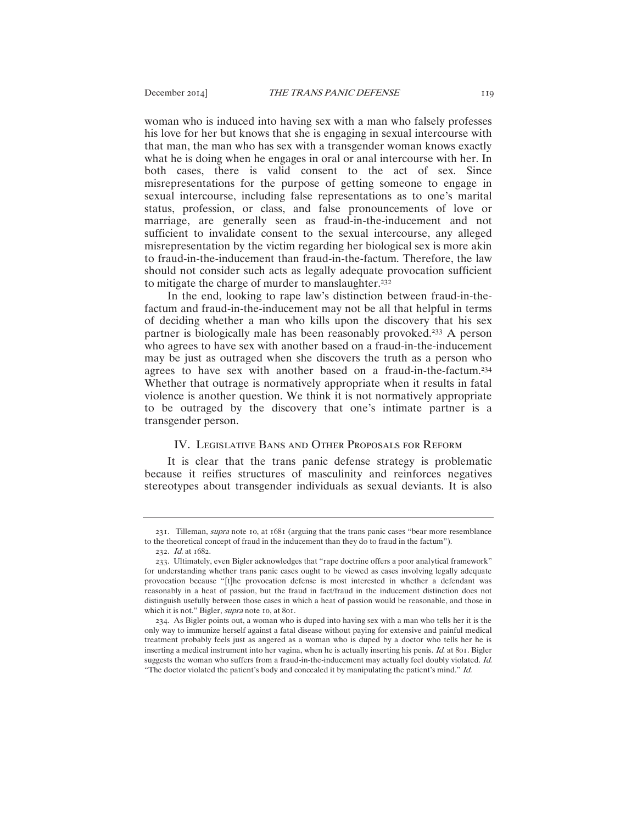woman who is induced into having sex with a man who falsely professes his love for her but knows that she is engaging in sexual intercourse with that man, the man who has sex with a transgender woman knows exactly what he is doing when he engages in oral or anal intercourse with her. In both cases, there is valid consent to the act of sex. Since misrepresentations for the purpose of getting someone to engage in sexual intercourse, including false representations as to one's marital status, profession, or class, and false pronouncements of love or marriage, are generally seen as fraud-in-the-inducement and not sufficient to invalidate consent to the sexual intercourse, any alleged misrepresentation by the victim regarding her biological sex is more akin to fraud-in-the-inducement than fraud-in-the-factum. Therefore, the law should not consider such acts as legally adequate provocation sufficient to mitigate the charge of murder to manslaughter.<sup>232</sup>

In the end, looking to rape law's distinction between fraud-in-thefactum and fraud-in-the-inducement may not be all that helpful in terms of deciding whether a man who kills upon the discovery that his sex partner is biologically male has been reasonably provoked.<sup>233</sup> A person who agrees to have sex with another based on a fraud-in-the-inducement may be just as outraged when she discovers the truth as a person who agrees to have sex with another based on a fraud-in-the-factum.<sup>234</sup> Whether that outrage is normatively appropriate when it results in fatal violence is another question. We think it is not normatively appropriate to be outraged by the discovery that one's intimate partner is a transgender person.

#### IV. Legislative Bans and Other Proposals for Reform

It is clear that the trans panic defense strategy is problematic because it reifies structures of masculinity and reinforces negatives stereotypes about transgender individuals as sexual deviants. It is also

<sup>231</sup>. Tilleman, supra note 10, at 1681 (arguing that the trans panic cases "bear more resemblance to the theoretical concept of fraud in the inducement than they do to fraud in the factum").

<sup>232</sup>. Id. at 1682.

<sup>233</sup>. Ultimately, even Bigler acknowledges that "rape doctrine offers a poor analytical framework" for understanding whether trans panic cases ought to be viewed as cases involving legally adequate provocation because "[t]he provocation defense is most interested in whether a defendant was reasonably in a heat of passion, but the fraud in fact/fraud in the inducement distinction does not distinguish usefully between those cases in which a heat of passion would be reasonable, and those in which it is not." Bigler, *supra* note 10, at 801.

<sup>234</sup>. As Bigler points out, a woman who is duped into having sex with a man who tells her it is the only way to immunize herself against a fatal disease without paying for extensive and painful medical treatment probably feels just as angered as a woman who is duped by a doctor who tells her he is inserting a medical instrument into her vagina, when he is actually inserting his penis. Id. at 801. Bigler suggests the woman who suffers from a fraud-in-the-inducement may actually feel doubly violated. Id. "The doctor violated the patient's body and concealed it by manipulating the patient's mind." Id.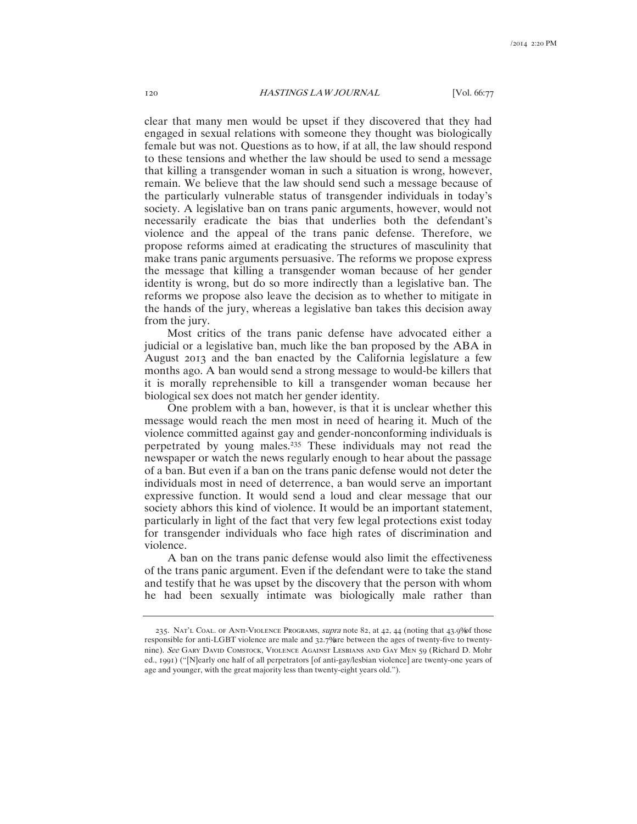clear that many men would be upset if they discovered that they had engaged in sexual relations with someone they thought was biologically female but was not. Questions as to how, if at all, the law should respond to these tensions and whether the law should be used to send a message that killing a transgender woman in such a situation is wrong, however, remain. We believe that the law should send such a message because of the particularly vulnerable status of transgender individuals in today's society. A legislative ban on trans panic arguments, however, would not necessarily eradicate the bias that underlies both the defendant's violence and the appeal of the trans panic defense. Therefore, we propose reforms aimed at eradicating the structures of masculinity that make trans panic arguments persuasive. The reforms we propose express the message that killing a transgender woman because of her gender identity is wrong, but do so more indirectly than a legislative ban. The reforms we propose also leave the decision as to whether to mitigate in the hands of the jury, whereas a legislative ban takes this decision away from the jury.

Most critics of the trans panic defense have advocated either a judicial or a legislative ban, much like the ban proposed by the ABA in August 2013 and the ban enacted by the California legislature a few months ago. A ban would send a strong message to would-be killers that it is morally reprehensible to kill a transgender woman because her biological sex does not match her gender identity.

One problem with a ban, however, is that it is unclear whether this message would reach the men most in need of hearing it. Much of the violence committed against gay and gender-nonconforming individuals is perpetrated by young males.<sup>235</sup> These individuals may not read the newspaper or watch the news regularly enough to hear about the passage of a ban. But even if a ban on the trans panic defense would not deter the individuals most in need of deterrence, a ban would serve an important expressive function. It would send a loud and clear message that our society abhors this kind of violence. It would be an important statement, particularly in light of the fact that very few legal protections exist today for transgender individuals who face high rates of discrimination and violence.

A ban on the trans panic defense would also limit the effectiveness of the trans panic argument. Even if the defendant were to take the stand and testify that he was upset by the discovery that the person with whom he had been sexually intimate was biologically male rather than

<sup>235.</sup> Nat'l Coal. of ANTI-VIOLENCE PROGRAMS, supra note 82, at 42, 44 (noting that 43.9% of those responsible for anti-LGBT violence are male and 32.7% are between the ages of twenty-five to twentynine). See GARY DAVID COMSTOCK, VIOLENCE AGAINST LESBIANS AND GAY MEN 59 (Richard D. Mohr ed., 1991) ("[N]early one half of all perpetrators [of anti-gay/lesbian violence] are twenty-one years of age and younger, with the great majority less than twenty-eight years old.").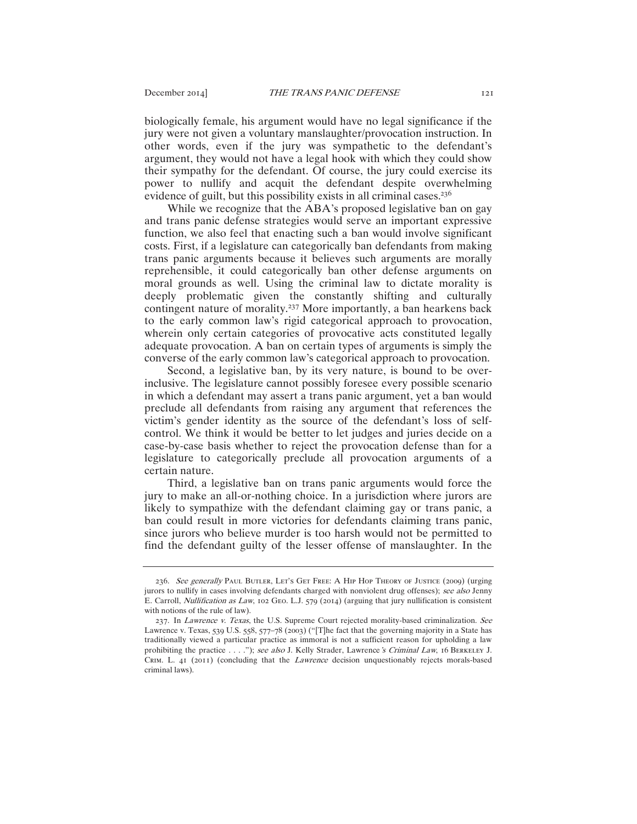biologically female, his argument would have no legal significance if the jury were not given a voluntary manslaughter/provocation instruction. In other words, even if the jury was sympathetic to the defendant's argument, they would not have a legal hook with which they could show their sympathy for the defendant. Of course, the jury could exercise its power to nullify and acquit the defendant despite overwhelming evidence of guilt, but this possibility exists in all criminal cases.<sup>236</sup>

While we recognize that the ABA's proposed legislative ban on gay and trans panic defense strategies would serve an important expressive function, we also feel that enacting such a ban would involve significant costs. First, if a legislature can categorically ban defendants from making trans panic arguments because it believes such arguments are morally reprehensible, it could categorically ban other defense arguments on moral grounds as well. Using the criminal law to dictate morality is deeply problematic given the constantly shifting and culturally contingent nature of morality.<sup>237</sup> More importantly, a ban hearkens back to the early common law's rigid categorical approach to provocation, wherein only certain categories of provocative acts constituted legally adequate provocation. A ban on certain types of arguments is simply the converse of the early common law's categorical approach to provocation.

Second, a legislative ban, by its very nature, is bound to be overinclusive. The legislature cannot possibly foresee every possible scenario in which a defendant may assert a trans panic argument, yet a ban would preclude all defendants from raising any argument that references the victim's gender identity as the source of the defendant's loss of selfcontrol. We think it would be better to let judges and juries decide on a case-by-case basis whether to reject the provocation defense than for a legislature to categorically preclude all provocation arguments of a certain nature.

Third, a legislative ban on trans panic arguments would force the jury to make an all-or-nothing choice. In a jurisdiction where jurors are likely to sympathize with the defendant claiming gay or trans panic, a ban could result in more victories for defendants claiming trans panic, since jurors who believe murder is too harsh would not be permitted to find the defendant guilty of the lesser offense of manslaughter. In the

<sup>236.</sup> See generally PAUL BUTLER, LET'S GET FREE: A HIP HOP THEORY OF JUSTICE (2009) (urging jurors to nullify in cases involving defendants charged with nonviolent drug offenses); see also Jenny E. Carroll, Nullification as Law, 102 Geo. L.J. 579 (2014) (arguing that jury nullification is consistent with notions of the rule of law).

<sup>237.</sup> In Lawrence v. Texas, the U.S. Supreme Court rejected morality-based criminalization. See Lawrence v. Texas, 539 U.S. 558, 577-78 (2003) ("[T]he fact that the governing majority in a State has traditionally viewed a particular practice as immoral is not a sufficient reason for upholding a law prohibiting the practice . . . ."); see also J. Kelly Strader, Lawrence's Criminal Law, 16 BERKELEY J. Crim. L. 41 (2011) (concluding that the Lawrence decision unquestionably rejects morals-based criminal laws).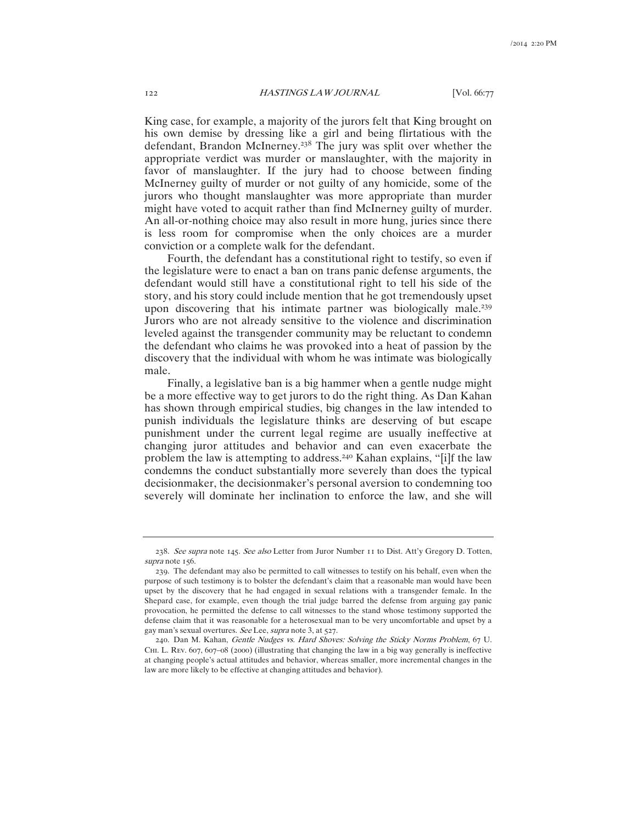King case, for example, a majority of the jurors felt that King brought on his own demise by dressing like a girl and being flirtatious with the defendant, Brandon McInerney.<sup>238</sup> The jury was split over whether the appropriate verdict was murder or manslaughter, with the majority in favor of manslaughter. If the jury had to choose between finding McInerney guilty of murder or not guilty of any homicide, some of the jurors who thought manslaughter was more appropriate than murder might have voted to acquit rather than find McInerney guilty of murder. An all-or-nothing choice may also result in more hung, juries since there is less room for compromise when the only choices are a murder conviction or a complete walk for the defendant.

Fourth, the defendant has a constitutional right to testify, so even if the legislature were to enact a ban on trans panic defense arguments, the defendant would still have a constitutional right to tell his side of the story, and his story could include mention that he got tremendously upset upon discovering that his intimate partner was biologically male.<sup>239</sup> Jurors who are not already sensitive to the violence and discrimination leveled against the transgender community may be reluctant to condemn the defendant who claims he was provoked into a heat of passion by the discovery that the individual with whom he was intimate was biologically male.

Finally, a legislative ban is a big hammer when a gentle nudge might be a more effective way to get jurors to do the right thing. As Dan Kahan has shown through empirical studies, big changes in the law intended to punish individuals the legislature thinks are deserving of but escape punishment under the current legal regime are usually ineffective at changing juror attitudes and behavior and can even exacerbate the problem the law is attempting to address.<sup>240</sup> Kahan explains, "[i]f the law condemns the conduct substantially more severely than does the typical decisionmaker, the decisionmaker's personal aversion to condemning too severely will dominate her inclination to enforce the law, and she will

<sup>238</sup>. See supra note 145. See also Letter from Juror Number 11 to Dist. Att'y Gregory D. Totten, supra note 156.

<sup>239</sup>. The defendant may also be permitted to call witnesses to testify on his behalf, even when the purpose of such testimony is to bolster the defendant's claim that a reasonable man would have been upset by the discovery that he had engaged in sexual relations with a transgender female. In the Shepard case, for example, even though the trial judge barred the defense from arguing gay panic provocation, he permitted the defense to call witnesses to the stand whose testimony supported the defense claim that it was reasonable for a heterosexual man to be very uncomfortable and upset by a gay man's sexual overtures. See Lee, supra note 3, at 527.

<sup>240</sup>. Dan M. Kahan, Gentle Nudges vs. Hard Shoves: Solving the Sticky Norms Problem, 67 U. Chi. L. Rev. 607, 607–08 (2000) (illustrating that changing the law in a big way generally is ineffective at changing people's actual attitudes and behavior, whereas smaller, more incremental changes in the law are more likely to be effective at changing attitudes and behavior).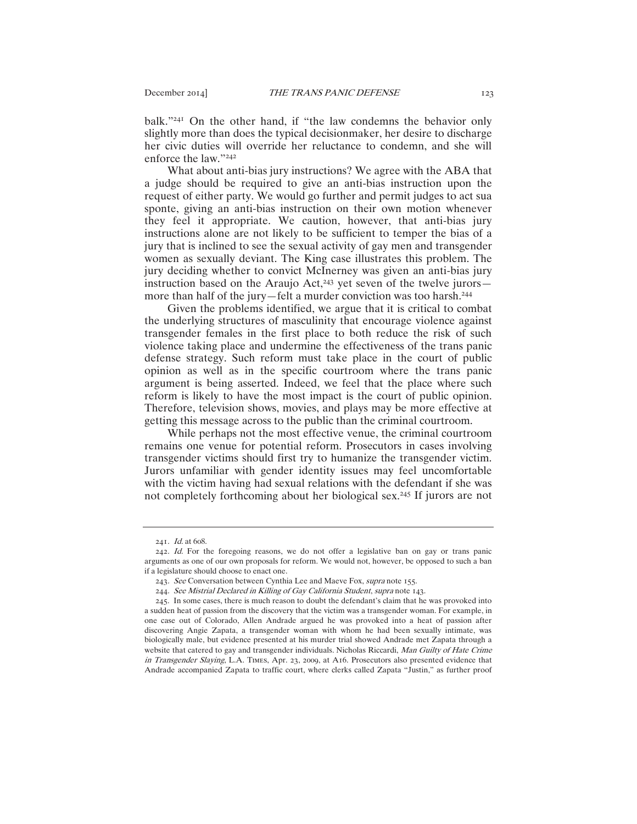balk."<sup>241</sup> On the other hand, if "the law condemns the behavior only slightly more than does the typical decisionmaker, her desire to discharge her civic duties will override her reluctance to condemn, and she will enforce the law."<sup>242</sup>

What about anti-bias jury instructions? We agree with the ABA that a judge should be required to give an anti-bias instruction upon the request of either party. We would go further and permit judges to act sua sponte, giving an anti-bias instruction on their own motion whenever they feel it appropriate. We caution, however, that anti-bias jury instructions alone are not likely to be sufficient to temper the bias of a jury that is inclined to see the sexual activity of gay men and transgender women as sexually deviant. The King case illustrates this problem. The jury deciding whether to convict McInerney was given an anti-bias jury instruction based on the Araujo  $Act^{243}$  yet seven of the twelve jurors more than half of the jury—felt a murder conviction was too harsh.<sup>244</sup>

Given the problems identified, we argue that it is critical to combat the underlying structures of masculinity that encourage violence against transgender females in the first place to both reduce the risk of such violence taking place and undermine the effectiveness of the trans panic defense strategy. Such reform must take place in the court of public opinion as well as in the specific courtroom where the trans panic argument is being asserted. Indeed, we feel that the place where such reform is likely to have the most impact is the court of public opinion. Therefore, television shows, movies, and plays may be more effective at getting this message across to the public than the criminal courtroom.

While perhaps not the most effective venue, the criminal courtroom remains one venue for potential reform. Prosecutors in cases involving transgender victims should first try to humanize the transgender victim. Jurors unfamiliar with gender identity issues may feel uncomfortable with the victim having had sexual relations with the defendant if she was not completely forthcoming about her biological sex.<sup>245</sup> If jurors are not

 $24I$ . Id. at 608.

<sup>242</sup>. Id. For the foregoing reasons, we do not offer a legislative ban on gay or trans panic arguments as one of our own proposals for reform. We would not, however, be opposed to such a ban if a legislature should choose to enact one.

<sup>243</sup>. See Conversation between Cynthia Lee and Maeve Fox, supra note 155.

<sup>244</sup>. See Mistrial Declared in Killing of Gay California Student, supra note 143.

<sup>245</sup>. In some cases, there is much reason to doubt the defendant's claim that he was provoked into a sudden heat of passion from the discovery that the victim was a transgender woman. For example, in one case out of Colorado, Allen Andrade argued he was provoked into a heat of passion after discovering Angie Zapata, a transgender woman with whom he had been sexually intimate, was biologically male, but evidence presented at his murder trial showed Andrade met Zapata through a website that catered to gay and transgender individuals. Nicholas Riccardi, Man Guilty of Hate Crime in Transgender Slaying, L.A. TIMES, Apr. 23, 2009, at A16. Prosecutors also presented evidence that

Andrade accompanied Zapata to traffic court, where clerks called Zapata "Justin," as further proof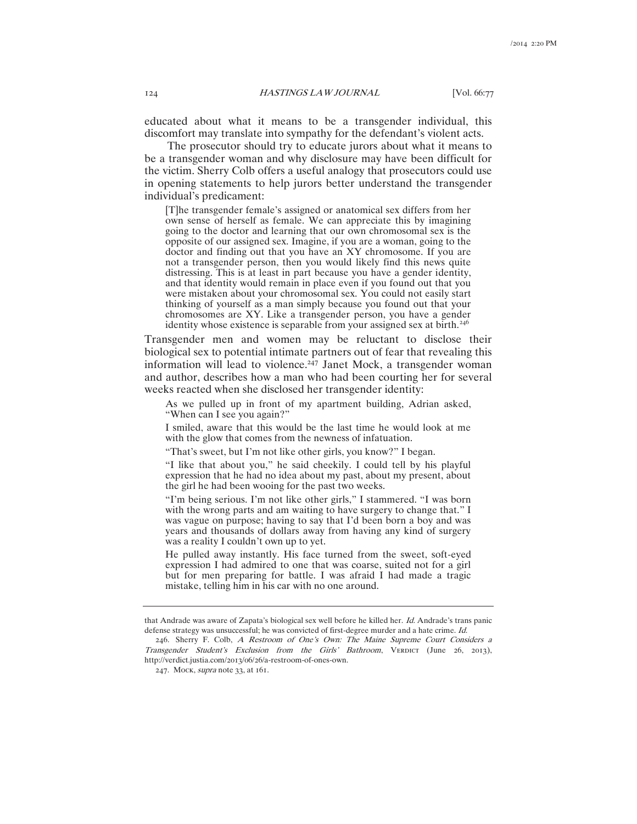educated about what it means to be a transgender individual, this discomfort may translate into sympathy for the defendant's violent acts.

The prosecutor should try to educate jurors about what it means to be a transgender woman and why disclosure may have been difficult for the victim. Sherry Colb offers a useful analogy that prosecutors could use in opening statements to help jurors better understand the transgender individual's predicament:

[T]he transgender female's assigned or anatomical sex differs from her own sense of herself as female. We can appreciate this by imagining going to the doctor and learning that our own chromosomal sex is the opposite of our assigned sex. Imagine, if you are a woman, going to the doctor and finding out that you have an XY chromosome. If you are not a transgender person, then you would likely find this news quite distressing. This is at least in part because you have a gender identity, and that identity would remain in place even if you found out that you were mistaken about your chromosomal sex. You could not easily start thinking of yourself as a man simply because you found out that your chromosomes are XY. Like a transgender person, you have a gender identity whose existence is separable from your assigned sex at birth.<sup>246</sup>

Transgender men and women may be reluctant to disclose their biological sex to potential intimate partners out of fear that revealing this information will lead to violence.<sup>247</sup> Janet Mock, a transgender woman and author, describes how a man who had been courting her for several weeks reacted when she disclosed her transgender identity:

As we pulled up in front of my apartment building, Adrian asked, "When can I see you again?"

I smiled, aware that this would be the last time he would look at me with the glow that comes from the newness of infatuation.

"That's sweet, but I'm not like other girls, you know?" I began.

"I like that about you," he said cheekily. I could tell by his playful expression that he had no idea about my past, about my present, about the girl he had been wooing for the past two weeks.

"I'm being serious. I'm not like other girls," I stammered. "I was born with the wrong parts and am waiting to have surgery to change that." I was vague on purpose; having to say that I'd been born a boy and was years and thousands of dollars away from having any kind of surgery was a reality I couldn't own up to yet.

He pulled away instantly. His face turned from the sweet, soft-eyed expression I had admired to one that was coarse, suited not for a girl but for men preparing for battle. I was afraid I had made a tragic mistake, telling him in his car with no one around.

that Andrade was aware of Zapata's biological sex well before he killed her. Id. Andrade's trans panic defense strategy was unsuccessful; he was convicted of first-degree murder and a hate crime. Id.

<sup>246</sup>. Sherry F. Colb, A Restroom of One's Own: The Maine Supreme Court Considers a Transgender Student's Exclusion from the Girls' Bathroom, VERDICT (June 26, 2013), http://verdict.justia.com/2013/06/26/a-restroom-of-ones-own.

 <sup>247.</sup> Mock, supra note 33, at 161.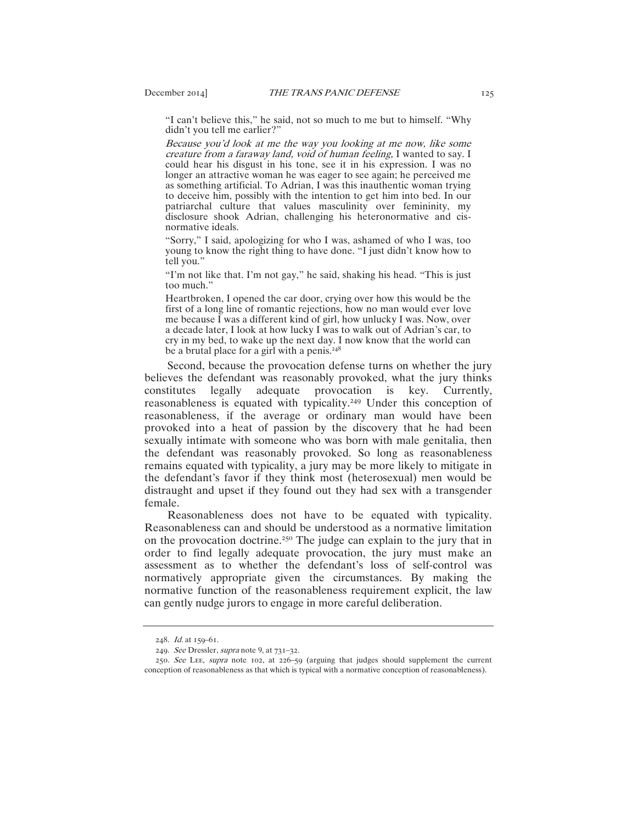"I can't believe this," he said, not so much to me but to himself. "Why didn't you tell me earlier?"

Because you'd look at me the way you looking at me now, like some creature from a faraway land, void of human feeling, I wanted to say. I could hear his disgust in his tone, see it in his expression. I was no longer an attractive woman he was eager to see again; he perceived me as something artificial. To Adrian, I was this inauthentic woman trying to deceive him, possibly with the intention to get him into bed. In our patriarchal culture that values masculinity over femininity, my disclosure shook Adrian, challenging his heteronormative and cisnormative ideals.

"Sorry," I said, apologizing for who I was, ashamed of who I was, too young to know the right thing to have done. "I just didn't know how to tell you."

"I'm not like that. I'm not gay," he said, shaking his head. "This is just too much."

Heartbroken, I opened the car door, crying over how this would be the first of a long line of romantic rejections, how no man would ever love me because  $\bar{I}$  was a different kind of girl, how unlucky I was. Now, over a decade later, I look at how lucky I was to walk out of Adrian's car, to cry in my bed, to wake up the next day. I now know that the world can be a brutal place for a girl with a penis.<sup>248</sup>

Second, because the provocation defense turns on whether the jury believes the defendant was reasonably provoked, what the jury thinks constitutes legally adequate provocation is key. Currently, reasonableness is equated with typicality.<sup>249</sup> Under this conception of reasonableness, if the average or ordinary man would have been provoked into a heat of passion by the discovery that he had been sexually intimate with someone who was born with male genitalia, then the defendant was reasonably provoked. So long as reasonableness remains equated with typicality, a jury may be more likely to mitigate in the defendant's favor if they think most (heterosexual) men would be distraught and upset if they found out they had sex with a transgender female.

Reasonableness does not have to be equated with typicality. Reasonableness can and should be understood as a normative limitation on the provocation doctrine.<sup>250</sup> The judge can explain to the jury that in order to find legally adequate provocation, the jury must make an assessment as to whether the defendant's loss of self-control was normatively appropriate given the circumstances. By making the normative function of the reasonableness requirement explicit, the law can gently nudge jurors to engage in more careful deliberation.

<sup>248</sup>. Id. at 159–61.

<sup>249</sup>. See Dressler, supra note 9, at 731–32.

<sup>250</sup>. See Lee, supra note 102, at 226–59 (arguing that judges should supplement the current conception of reasonableness as that which is typical with a normative conception of reasonableness).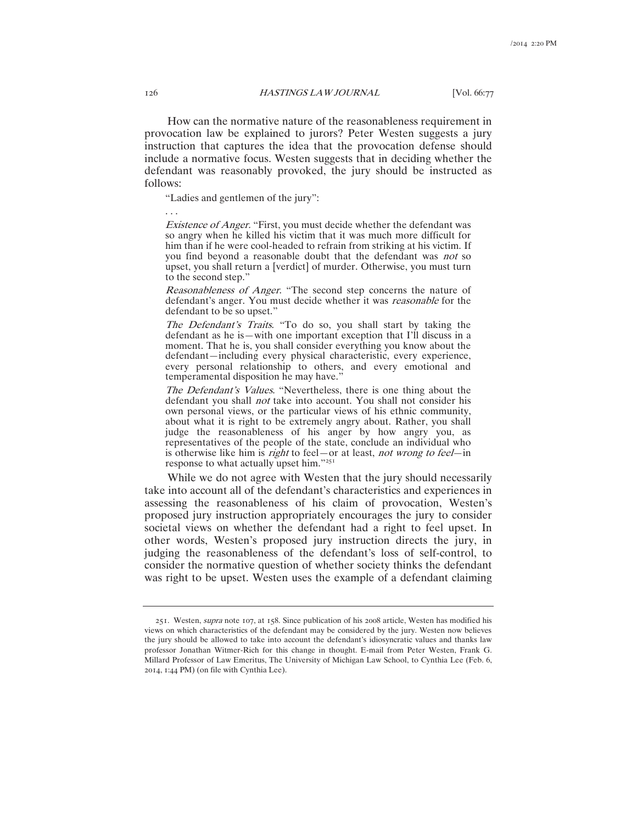How can the normative nature of the reasonableness requirement in provocation law be explained to jurors? Peter Westen suggests a jury instruction that captures the idea that the provocation defense should include a normative focus. Westen suggests that in deciding whether the defendant was reasonably provoked, the jury should be instructed as follows:

"Ladies and gentlemen of the jury":

Existence of Anger. "First, you must decide whether the defendant was so angry when he killed his victim that it was much more difficult for him than if he were cool-headed to refrain from striking at his victim. If you find beyond a reasonable doubt that the defendant was not so upset, you shall return a [verdict] of murder. Otherwise, you must turn to the second step."

Reasonableness of Anger. "The second step concerns the nature of defendant's anger. You must decide whether it was reasonable for the defendant to be so upset."

The Defendant's Traits. "To do so, you shall start by taking the defendant as he is—with one important exception that I'll discuss in a moment. That he is, you shall consider everything you know about the defendant—including every physical characteristic, every experience, every personal relationship to others, and every emotional and temperamental disposition he may have."

The Defendant's Values. "Nevertheless, there is one thing about the defendant you shall not take into account. You shall not consider his own personal views, or the particular views of his ethnic community, about what it is right to be extremely angry about. Rather, you shall judge the reasonableness of his anger by how angry you, as representatives of the people of the state, conclude an individual who is otherwise like him is *right* to feel—or at least, *not wrong to feel*—in response to what actually upset him."<sup>251</sup>

While we do not agree with Westen that the jury should necessarily take into account all of the defendant's characteristics and experiences in assessing the reasonableness of his claim of provocation, Westen's proposed jury instruction appropriately encourages the jury to consider societal views on whether the defendant had a right to feel upset. In other words, Westen's proposed jury instruction directs the jury, in judging the reasonableness of the defendant's loss of self-control, to consider the normative question of whether society thinks the defendant was right to be upset. Westen uses the example of a defendant claiming

. . .

<sup>251</sup>. Westen, supra note 107, at 158. Since publication of his 2008 article, Westen has modified his views on which characteristics of the defendant may be considered by the jury. Westen now believes the jury should be allowed to take into account the defendant's idiosyncratic values and thanks law professor Jonathan Witmer-Rich for this change in thought. E-mail from Peter Westen, Frank G. Millard Professor of Law Emeritus, The University of Michigan Law School, to Cynthia Lee (Feb. 6, 2014, 1:44 PM) (on file with Cynthia Lee).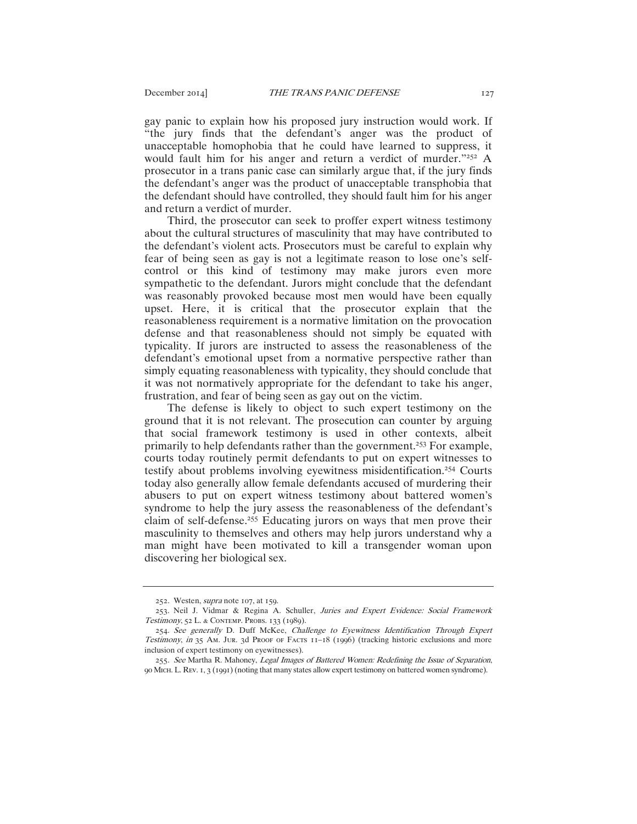gay panic to explain how his proposed jury instruction would work. If "the jury finds that the defendant's anger was the product of unacceptable homophobia that he could have learned to suppress, it would fault him for his anger and return a verdict of murder."252 A prosecutor in a trans panic case can similarly argue that, if the jury finds the defendant's anger was the product of unacceptable transphobia that the defendant should have controlled, they should fault him for his anger and return a verdict of murder.

Third, the prosecutor can seek to proffer expert witness testimony about the cultural structures of masculinity that may have contributed to the defendant's violent acts. Prosecutors must be careful to explain why fear of being seen as gay is not a legitimate reason to lose one's selfcontrol or this kind of testimony may make jurors even more sympathetic to the defendant. Jurors might conclude that the defendant was reasonably provoked because most men would have been equally upset. Here, it is critical that the prosecutor explain that the reasonableness requirement is a normative limitation on the provocation defense and that reasonableness should not simply be equated with typicality. If jurors are instructed to assess the reasonableness of the defendant's emotional upset from a normative perspective rather than simply equating reasonableness with typicality, they should conclude that it was not normatively appropriate for the defendant to take his anger, frustration, and fear of being seen as gay out on the victim.

The defense is likely to object to such expert testimony on the ground that it is not relevant. The prosecution can counter by arguing that social framework testimony is used in other contexts, albeit primarily to help defendants rather than the government.<sup>253</sup> For example, courts today routinely permit defendants to put on expert witnesses to testify about problems involving eyewitness misidentification.<sup>254</sup> Courts today also generally allow female defendants accused of murdering their abusers to put on expert witness testimony about battered women's syndrome to help the jury assess the reasonableness of the defendant's claim of self-defense.<sup>255</sup> Educating jurors on ways that men prove their masculinity to themselves and others may help jurors understand why a man might have been motivated to kill a transgender woman upon discovering her biological sex.

<sup>252</sup>. Westen, supra note 107, at 159.

<sup>253</sup>. Neil J. Vidmar & Regina A. Schuller, Juries and Expert Evidence: Social Framework Testimony, 52 L. & CONTEMP. PROBS. 133 (1989).

<sup>254</sup>. See generally D. Duff McKee, Challenge to Eyewitness Identification Through Expert Testimony, in 35 Am. JUR. 3d PROOF OF FACTS 11-18 (1996) (tracking historic exclusions and more inclusion of expert testimony on eyewitnesses).

<sup>255</sup>. See Martha R. Mahoney, Legal Images of Battered Women: Redefining the Issue of Separation, 90 Mich. L. Rev. 1, 3 (1991) (noting that many states allow expert testimony on battered women syndrome).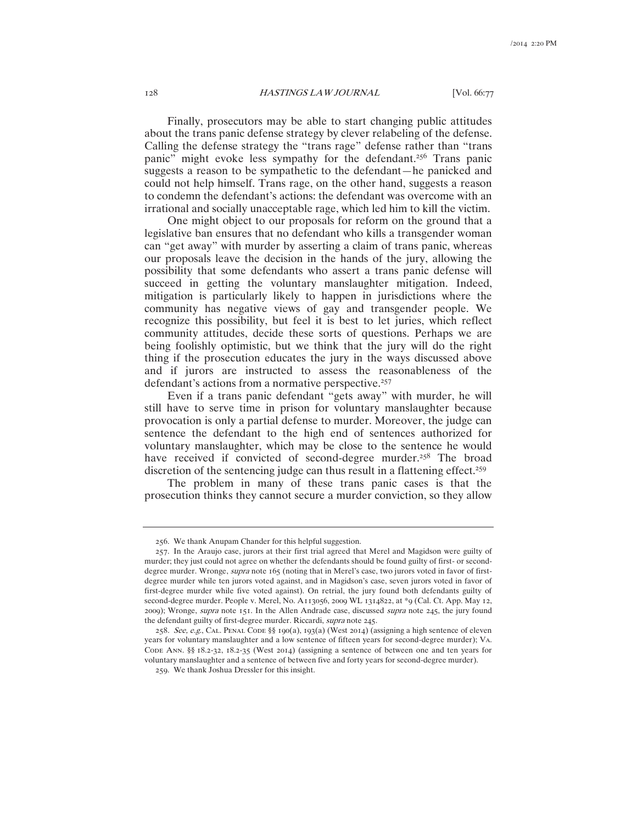Finally, prosecutors may be able to start changing public attitudes about the trans panic defense strategy by clever relabeling of the defense. Calling the defense strategy the "trans rage" defense rather than "trans panic" might evoke less sympathy for the defendant.<sup>256</sup> Trans panic suggests a reason to be sympathetic to the defendant—he panicked and could not help himself. Trans rage, on the other hand, suggests a reason to condemn the defendant's actions: the defendant was overcome with an irrational and socially unacceptable rage, which led him to kill the victim.

One might object to our proposals for reform on the ground that a legislative ban ensures that no defendant who kills a transgender woman can "get away" with murder by asserting a claim of trans panic, whereas our proposals leave the decision in the hands of the jury, allowing the possibility that some defendants who assert a trans panic defense will succeed in getting the voluntary manslaughter mitigation. Indeed, mitigation is particularly likely to happen in jurisdictions where the community has negative views of gay and transgender people. We recognize this possibility, but feel it is best to let juries, which reflect community attitudes, decide these sorts of questions. Perhaps we are being foolishly optimistic, but we think that the jury will do the right thing if the prosecution educates the jury in the ways discussed above and if jurors are instructed to assess the reasonableness of the defendant's actions from a normative perspective.<sup>257</sup>

Even if a trans panic defendant "gets away" with murder, he will still have to serve time in prison for voluntary manslaughter because provocation is only a partial defense to murder. Moreover, the judge can sentence the defendant to the high end of sentences authorized for voluntary manslaughter, which may be close to the sentence he would have received if convicted of second-degree murder.<sup>258</sup> The broad discretion of the sentencing judge can thus result in a flattening effect.<sup>259</sup>

The problem in many of these trans panic cases is that the prosecution thinks they cannot secure a murder conviction, so they allow

<sup>256</sup>. We thank Anupam Chander for this helpful suggestion.

<sup>257</sup>. In the Araujo case, jurors at their first trial agreed that Merel and Magidson were guilty of murder; they just could not agree on whether the defendants should be found guilty of first- or seconddegree murder. Wronge, supra note 165 (noting that in Merel's case, two jurors voted in favor of firstdegree murder while ten jurors voted against, and in Magidson's case, seven jurors voted in favor of first-degree murder while five voted against). On retrial, the jury found both defendants guilty of second-degree murder. People v. Merel, No. A113056, 2009 WL 1314822, at \*9 (Cal. Ct. App. May 12, 2009); Wronge, supra note 151. In the Allen Andrade case, discussed supra note 245, the jury found the defendant guilty of first-degree murder. Riccardi, supra note 245.

<sup>258.</sup> See, e.g., CAL. PENAL CODE §§ 190(a), 193(a) (West 2014) (assigning a high sentence of eleven years for voluntary manslaughter and a low sentence of fifteen years for second-degree murder); Va. Code Ann. §§ 18.2-32, 18.2-35 (West 2014) (assigning a sentence of between one and ten years for voluntary manslaughter and a sentence of between five and forty years for second-degree murder).

<sup>259</sup>. We thank Joshua Dressler for this insight.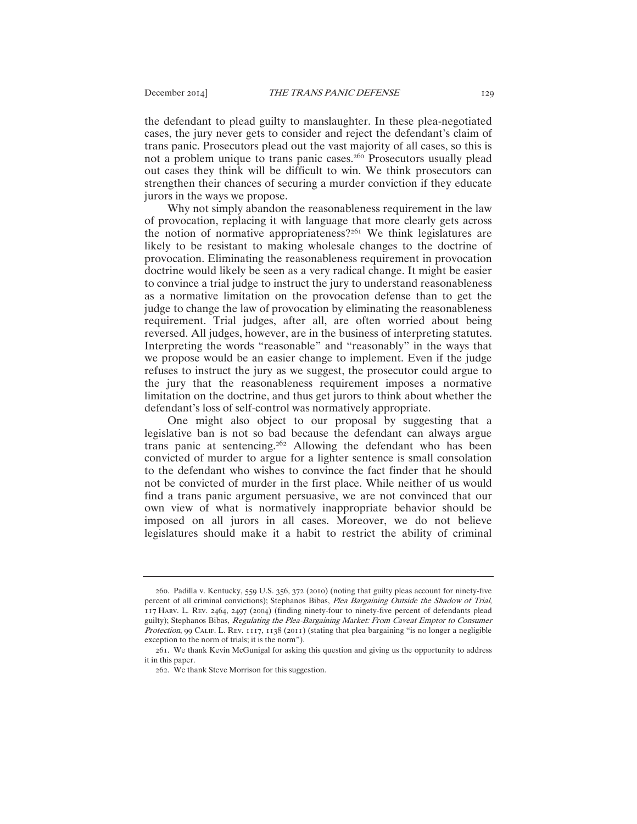the defendant to plead guilty to manslaughter. In these plea-negotiated cases, the jury never gets to consider and reject the defendant's claim of trans panic. Prosecutors plead out the vast majority of all cases, so this is not a problem unique to trans panic cases.<sup>260</sup> Prosecutors usually plead out cases they think will be difficult to win. We think prosecutors can strengthen their chances of securing a murder conviction if they educate jurors in the ways we propose.

Why not simply abandon the reasonableness requirement in the law of provocation, replacing it with language that more clearly gets across the notion of normative appropriateness?<sup>261</sup> We think legislatures are likely to be resistant to making wholesale changes to the doctrine of provocation. Eliminating the reasonableness requirement in provocation doctrine would likely be seen as a very radical change. It might be easier to convince a trial judge to instruct the jury to understand reasonableness as a normative limitation on the provocation defense than to get the judge to change the law of provocation by eliminating the reasonableness requirement. Trial judges, after all, are often worried about being reversed. All judges, however, are in the business of interpreting statutes. Interpreting the words "reasonable" and "reasonably" in the ways that we propose would be an easier change to implement. Even if the judge refuses to instruct the jury as we suggest, the prosecutor could argue to the jury that the reasonableness requirement imposes a normative limitation on the doctrine, and thus get jurors to think about whether the defendant's loss of self-control was normatively appropriate.

One might also object to our proposal by suggesting that a legislative ban is not so bad because the defendant can always argue trans panic at sentencing.<sup>262</sup> Allowing the defendant who has been convicted of murder to argue for a lighter sentence is small consolation to the defendant who wishes to convince the fact finder that he should not be convicted of murder in the first place. While neither of us would find a trans panic argument persuasive, we are not convinced that our own view of what is normatively inappropriate behavior should be imposed on all jurors in all cases. Moreover, we do not believe legislatures should make it a habit to restrict the ability of criminal

<sup>260</sup>. Padilla v. Kentucky, 559 U.S. 356, 372 (2010) (noting that guilty pleas account for ninety-five percent of all criminal convictions); Stephanos Bibas, Plea Bargaining Outside the Shadow of Trial, 117 Harv. L. Rev. 2464, 2497 (2004) (finding ninety-four to ninety-five percent of defendants plead guilty); Stephanos Bibas, Regulating the Plea-Bargaining Market: From Caveat Emptor to Consumer Protection, 99 CALIF. L. REV. 1117, 1138 (2011) (stating that plea bargaining "is no longer a negligible exception to the norm of trials; it is the norm").

<sup>261</sup>. We thank Kevin McGunigal for asking this question and giving us the opportunity to address it in this paper.

<sup>262</sup>. We thank Steve Morrison for this suggestion.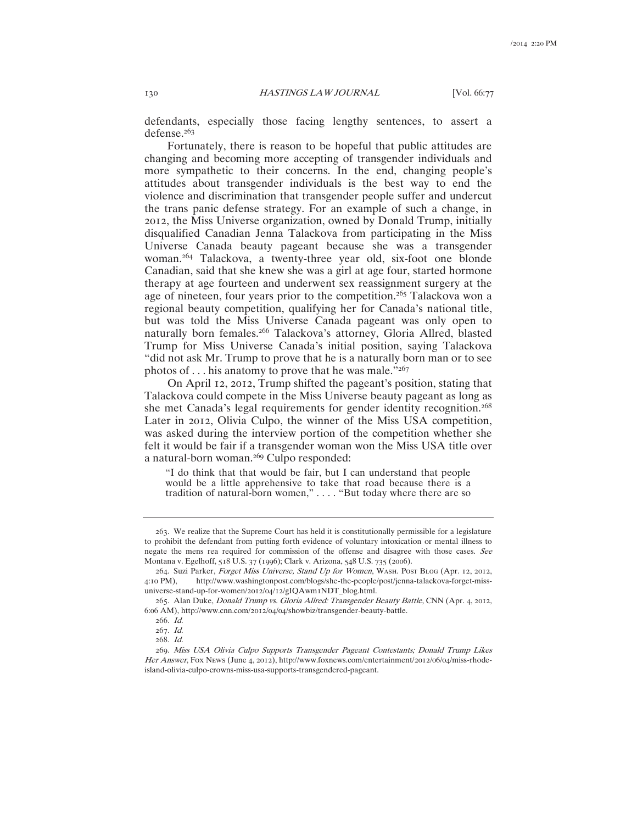defendants, especially those facing lengthy sentences, to assert a defense.<sup>263</sup>

Fortunately, there is reason to be hopeful that public attitudes are changing and becoming more accepting of transgender individuals and more sympathetic to their concerns. In the end, changing people's attitudes about transgender individuals is the best way to end the violence and discrimination that transgender people suffer and undercut the trans panic defense strategy. For an example of such a change, in 2012, the Miss Universe organization, owned by Donald Trump, initially disqualified Canadian Jenna Talackova from participating in the Miss Universe Canada beauty pageant because she was a transgender woman.<sup>264</sup> Talackova, a twenty-three year old, six-foot one blonde Canadian, said that she knew she was a girl at age four, started hormone therapy at age fourteen and underwent sex reassignment surgery at the age of nineteen, four years prior to the competition.<sup>265</sup> Talackova won a regional beauty competition, qualifying her for Canada's national title, but was told the Miss Universe Canada pageant was only open to naturally born females.<sup>266</sup> Talackova's attorney, Gloria Allred, blasted Trump for Miss Universe Canada's initial position, saying Talackova "did not ask Mr. Trump to prove that he is a naturally born man or to see photos of . . . his anatomy to prove that he was male."<sup>267</sup>

On April 12, 2012, Trump shifted the pageant's position, stating that Talackova could compete in the Miss Universe beauty pageant as long as she met Canada's legal requirements for gender identity recognition.<sup>268</sup> Later in 2012, Olivia Culpo, the winner of the Miss USA competition, was asked during the interview portion of the competition whether she felt it would be fair if a transgender woman won the Miss USA title over a natural-born woman.<sup>269</sup> Culpo responded:

"I do think that that would be fair, but I can understand that people would be a little apprehensive to take that road because there is a tradition of natural-born women," . . . . "But today where there are so

<sup>263</sup>. We realize that the Supreme Court has held it is constitutionally permissible for a legislature to prohibit the defendant from putting forth evidence of voluntary intoxication or mental illness to negate the mens rea required for commission of the offense and disagree with those cases. See Montana v. Egelhoff, 518 U.S. 37 (1996); Clark v. Arizona, 548 U.S. 735 (2006).

<sup>264</sup>. Suzi Parker, Forget Miss Universe, Stand Up for Women, Wash. Post Blog (Apr. 12, 2012, 4:10 PM), http://www.washingtonpost.com/blogs/she-the-people/post/jenna-talackova-forget-missuniverse-stand-up-for-women/2012/04/12/gIQAwm1NDT\_blog.html.

<sup>265</sup>. Alan Duke, Donald Trump vs. Gloria Allred: Transgender Beauty Battle, CNN (Apr. 4, 2012, 6:06 AM), http://www.cnn.com/2012/04/04/showbiz/transgender-beauty-battle.

<sup>266</sup>. Id.

<sup>267</sup>. Id.

<sup>268</sup>. Id.

<sup>269</sup>. Miss USA Olivia Culpo Supports Transgender Pageant Contestants; Donald Trump Likes Her Answer, Fox News (June 4, 2012), http://www.foxnews.com/entertainment/2012/06/04/miss-rhodeisland-olivia-culpo-crowns-miss-usa-supports-transgendered-pageant.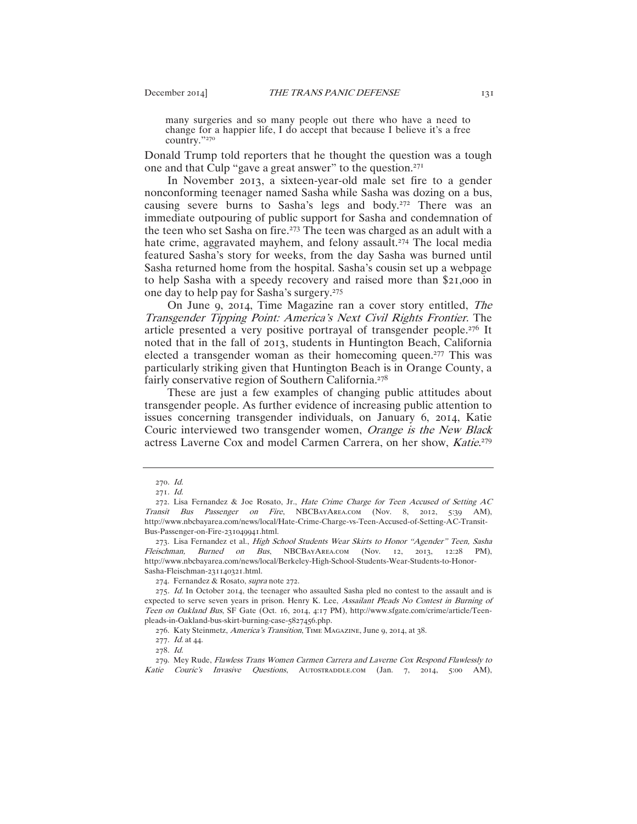many surgeries and so many people out there who have a need to change for a happier life, I do accept that because I believe it's a free country."<sup>270</sup>

Donald Trump told reporters that he thought the question was a tough one and that Culp "gave a great answer" to the question.<sup>271</sup>

In November 2013, a sixteen-year-old male set fire to a gender nonconforming teenager named Sasha while Sasha was dozing on a bus, causing severe burns to Sasha's legs and body. $272$  There was an immediate outpouring of public support for Sasha and condemnation of the teen who set Sasha on fire.<sup>273</sup> The teen was charged as an adult with a hate crime, aggravated mayhem, and felony assault.<sup>274</sup> The local media featured Sasha's story for weeks, from the day Sasha was burned until Sasha returned home from the hospital. Sasha's cousin set up a webpage to help Sasha with a speedy recovery and raised more than \$21,000 in one day to help pay for Sasha's surgery.<sup>275</sup>

On June 9, 2014, Time Magazine ran a cover story entitled, The Transgender Tipping Point: America's Next Civil Rights Frontier. The article presented a very positive portrayal of transgender people.<sup>276</sup> It noted that in the fall of 2013, students in Huntington Beach, California elected a transgender woman as their homecoming queen.<sup>277</sup> This was particularly striking given that Huntington Beach is in Orange County, a fairly conservative region of Southern California.<sup>278</sup>

These are just a few examples of changing public attitudes about transgender people. As further evidence of increasing public attention to issues concerning transgender individuals, on January 6, 2014, Katie Couric interviewed two transgender women, Orange is the New Black actress Laverne Cox and model Carmen Carrera, on her show, Katie.<sup>279</sup>

<sup>270</sup>. Id.

<sup>271</sup>. Id.

<sup>272</sup>. Lisa Fernandez & Joe Rosato, Jr., Hate Crime Charge for Teen Accused of Setting AC Transit Bus Passenger on Fire, NBCBayArea.com (Nov. 8, 2012, 5:39 AM), http://www.nbcbayarea.com/news/local/Hate-Crime-Charge-vs-Teen-Accused-of-Setting-AC-Transit-Bus-Passenger-on-Fire-231049941.html.

<sup>273</sup>. Lisa Fernandez et al., High School Students Wear Skirts to Honor "Agender" Teen, Sasha Fleischman, Burned on Bus, NBCBAYAREA.com (Nov. 12, 2013, 12:28 PM), http://www.nbcbayarea.com/news/local/Berkeley-High-School-Students-Wear-Students-to-Honor-Sasha-Fleischman-231140321.html.

<sup>274</sup>. Fernandez & Rosato, supra note 272.

<sup>275</sup>. Id. In October 2014, the teenager who assaulted Sasha pled no contest to the assault and is expected to serve seven years in prison. Henry K. Lee, Assailant Pleads No Contest in Burning of Teen on Oakland Bus, SF Gate (Oct. 16, 2014, 4:17 PM), http://www.sfgate.com/crime/article/Teenpleads-in-Oakland-bus-skirt-burning-case-5827456.php.

<sup>276</sup>. Katy Steinmetz, America's Transition, Time Magazine, June 9, 2014, at 38.

<sup>277</sup>. Id. at 44.

<sup>278</sup>. Id.

<sup>279</sup>. Mey Rude, Flawless Trans Women Carmen Carrera and Laverne Cox Respond Flawlessly to Katie Couric's Invasive Questions, AUTOSTRADDLE.COM (Jan. 7, 2014, 5:00 AM),